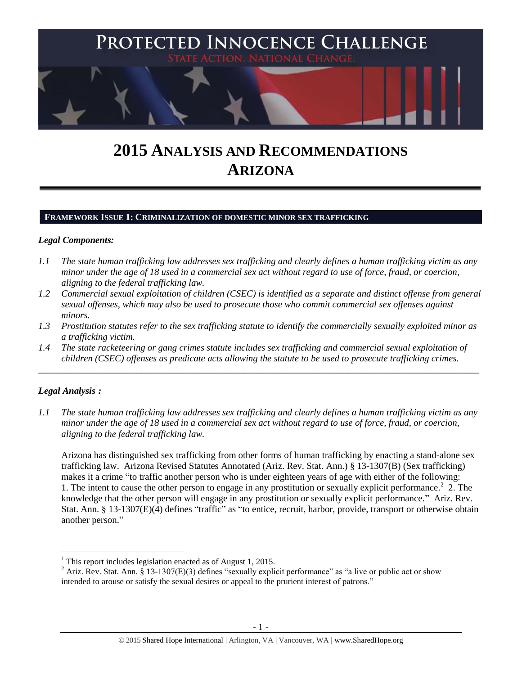

# **2015 ANALYSIS AND RECOMMENDATIONS ARIZONA**

## **FRAMEWORK ISSUE 1: CRIMINALIZATION OF DOMESTIC MINOR SEX TRAFFICKING**

## *Legal Components:*

- *1.1 The state human trafficking law addresses sex trafficking and clearly defines a human trafficking victim as any minor under the age of 18 used in a commercial sex act without regard to use of force, fraud, or coercion, aligning to the federal trafficking law.*
- *1.2 Commercial sexual exploitation of children (CSEC) is identified as a separate and distinct offense from general sexual offenses, which may also be used to prosecute those who commit commercial sex offenses against minors.*
- *1.3 Prostitution statutes refer to the sex trafficking statute to identify the commercially sexually exploited minor as a trafficking victim.*

\_\_\_\_\_\_\_\_\_\_\_\_\_\_\_\_\_\_\_\_\_\_\_\_\_\_\_\_\_\_\_\_\_\_\_\_\_\_\_\_\_\_\_\_\_\_\_\_\_\_\_\_\_\_\_\_\_\_\_\_\_\_\_\_\_\_\_\_\_\_\_\_\_\_\_\_\_\_\_\_\_\_\_\_\_\_\_\_\_\_\_\_\_\_

*1.4 The state racketeering or gang crimes statute includes sex trafficking and commercial sexual exploitation of children (CSEC) offenses as predicate acts allowing the statute to be used to prosecute trafficking crimes.* 

# $\bm{L}$ egal Analysis $^1$ :

 $\overline{a}$ 

*1.1 The state human trafficking law addresses sex trafficking and clearly defines a human trafficking victim as any minor under the age of 18 used in a commercial sex act without regard to use of force, fraud, or coercion, aligning to the federal trafficking law.*

<span id="page-0-0"></span>Arizona has distinguished sex trafficking from other forms of human trafficking by enacting a stand-alone sex trafficking law. Arizona Revised Statutes Annotated (Ariz. Rev. Stat. Ann.) § 13-1307(B) (Sex trafficking) makes it a crime "to traffic another person who is under eighteen years of age with either of the following: 1. The intent to cause the other person to engage in any prostitution or sexually explicit performance.<sup>2</sup> 2. The knowledge that the other person will engage in any prostitution or sexually explicit performance." Ariz. Rev. Stat. Ann. § 13-1307(E)(4) defines "traffic" as "to entice, recruit, harbor, provide, transport or otherwise obtain another person."

 $1$  This report includes legislation enacted as of August 1, 2015.

<sup>&</sup>lt;sup>2</sup> Ariz. Rev. Stat. Ann. § 13-1307(E)(3) defines "sexually explicit performance" as "a live or public act or show intended to arouse or satisfy the sexual desires or appeal to the prurient interest of patrons."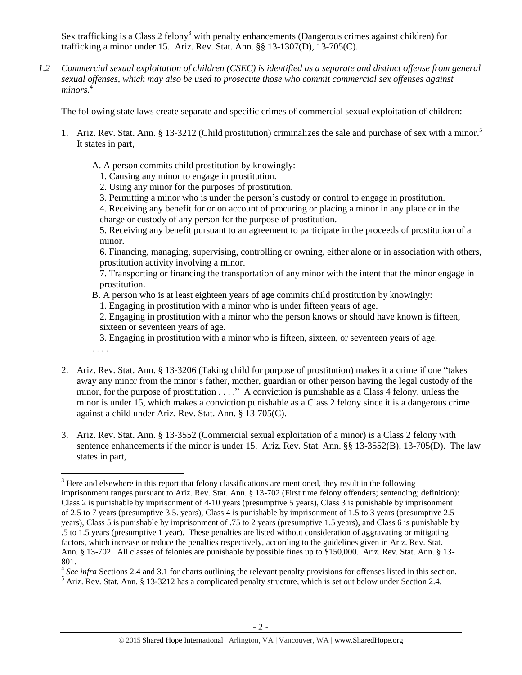<span id="page-1-0"></span>Sex trafficking is a Class 2 felony<sup>3</sup> with penalty enhancements (Dangerous crimes against children) for trafficking a minor under 15. Ariz. Rev. Stat. Ann. §§ 13-1307(D), 13-705(C).

*1.2 Commercial sexual exploitation of children (CSEC) is identified as a separate and distinct offense from general sexual offenses, which may also be used to prosecute those who commit commercial sex offenses against minors.*<sup>4</sup>

The following state laws create separate and specific crimes of commercial sexual exploitation of children:

- 1. Ariz. Rev. Stat. Ann. § 13-3212 (Child prostitution) criminalizes the sale and purchase of sex with a minor.<sup>5</sup> It states in part,
	- A. A person commits child prostitution by knowingly:
		- 1. Causing any minor to engage in prostitution.

. . . .

 $\overline{a}$ 

- 2. Using any minor for the purposes of prostitution.
- 3. Permitting a minor who is under the person's custody or control to engage in prostitution.

4. Receiving any benefit for or on account of procuring or placing a minor in any place or in the charge or custody of any person for the purpose of prostitution.

5. Receiving any benefit pursuant to an agreement to participate in the proceeds of prostitution of a minor.

6. Financing, managing, supervising, controlling or owning, either alone or in association with others, prostitution activity involving a minor.

7. Transporting or financing the transportation of any minor with the intent that the minor engage in prostitution.

B. A person who is at least eighteen years of age commits child prostitution by knowingly:

1. Engaging in prostitution with a minor who is under fifteen years of age.

2. Engaging in prostitution with a minor who the person knows or should have known is fifteen, sixteen or seventeen years of age.

3. Engaging in prostitution with a minor who is fifteen, sixteen, or seventeen years of age.

- 2. Ariz. Rev. Stat. Ann. § 13-3206 (Taking child for purpose of prostitution) makes it a crime if one "takes away any minor from the minor's father, mother, guardian or other person having the legal custody of the minor, for the purpose of prostitution . . . ." A conviction is punishable as a Class 4 felony, unless the minor is under 15, which makes a conviction punishable as a Class 2 felony since it is a dangerous crime against a child under Ariz. Rev. Stat. Ann. § 13-705(C).
- 3. Ariz. Rev. Stat. Ann. § 13-3552 (Commercial sexual exploitation of a minor) is a Class 2 felony with sentence enhancements if the minor is under 15. Ariz. Rev. Stat. Ann. §§ 13-3552(B), 13-705(D). The law states in part,

 $3$  Here and elsewhere in this report that felony classifications are mentioned, they result in the following imprisonment ranges pursuant to Ariz. Rev. Stat. Ann. § 13-702 (First time felony offenders; sentencing; definition): Class 2 is punishable by imprisonment of 4-10 years (presumptive 5 years), Class 3 is punishable by imprisonment of 2.5 to 7 years (presumptive 3.5. years), Class 4 is punishable by imprisonment of 1.5 to 3 years (presumptive 2.5 years), Class 5 is punishable by imprisonment of .75 to 2 years (presumptive 1.5 years), and Class 6 is punishable by .5 to 1.5 years (presumptive 1 year). These penalties are listed without consideration of aggravating or mitigating factors, which increase or reduce the penalties respectively, according to the guidelines given in Ariz. Rev. Stat. Ann. § 13-702. All classes of felonies are punishable by possible fines up to \$150,000. Ariz. Rev. Stat. Ann. § 13- 801.

<sup>&</sup>lt;sup>4</sup> See infra Sections 2.4 and 3.1 for charts outlining the relevant penalty provisions for offenses listed in this section.

<sup>&</sup>lt;sup>5</sup> Ariz. Rev. Stat. Ann. § 13-3212 has a complicated penalty structure, which is set out below under Section 2.4.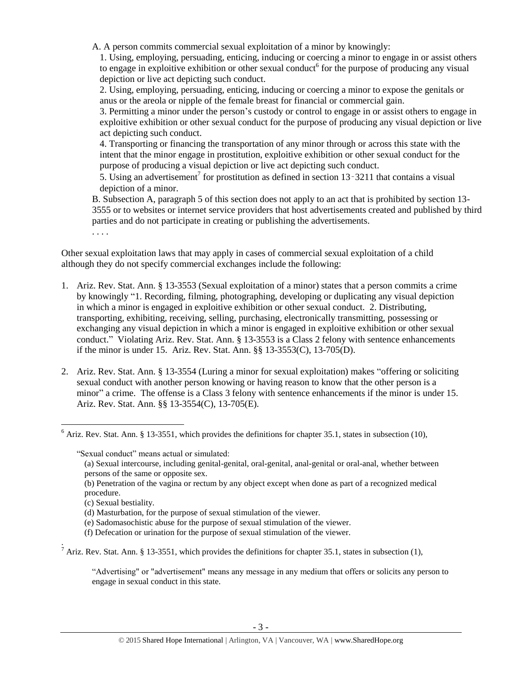A. A person commits commercial sexual exploitation of a minor by knowingly:

1. Using, employing, persuading, enticing, inducing or coercing a minor to engage in or assist others to engage in exploitive exhibition or other sexual conduct<sup>6</sup> for the purpose of producing any visual depiction or live act depicting such conduct.

2. Using, employing, persuading, enticing, inducing or coercing a minor to expose the genitals or anus or the areola or nipple of the female breast for financial or commercial gain.

3. Permitting a minor under the person's custody or control to engage in or assist others to engage in exploitive exhibition or other sexual conduct for the purpose of producing any visual depiction or live act depicting such conduct.

4. Transporting or financing the transportation of any minor through or across this state with the intent that the minor engage in prostitution, exploitive exhibition or other sexual conduct for the purpose of producing a visual depiction or live act depicting such conduct.

5. Using an advertisement<sup>7</sup> for prostitution as defined in section  $13 - 3211$  that contains a visual depiction of a minor.

B. Subsection A, paragraph 5 of this section does not apply to an act that is prohibited by section 13- 3555 or to websites or internet service providers that host advertisements created and published by third parties and do not participate in creating or publishing the advertisements.

. . . .

Other sexual exploitation laws that may apply in cases of commercial sexual exploitation of a child although they do not specify commercial exchanges include the following:

- 1. Ariz. Rev. Stat. Ann. § 13-3553 (Sexual exploitation of a minor) states that a person commits a crime by knowingly "1. Recording, filming, photographing, developing or duplicating any visual depiction in which a minor is engaged in exploitive exhibition or other sexual conduct. 2. Distributing, transporting, exhibiting, receiving, selling, purchasing, electronically transmitting, possessing or exchanging any visual depiction in which a minor is engaged in exploitive exhibition or other sexual conduct." Violating Ariz. Rev. Stat. Ann. § 13-3553 is a Class 2 felony with sentence enhancements if the minor is under 15. Ariz. Rev. Stat. Ann. §§ 13-3553(C), 13-705(D).
- 2. Ariz. Rev. Stat. Ann. § 13-3554 (Luring a minor for sexual exploitation) makes "offering or soliciting sexual conduct with another person knowing or having reason to know that the other person is a minor" a crime. The offense is a Class 3 felony with sentence enhancements if the minor is under 15. Ariz. Rev. Stat. Ann. §§ 13-3554(C), 13-705(E).

"Sexual conduct" means actual or simulated:

 $\overline{a}$ 

.

<sup>7</sup> Ariz. Rev. Stat. Ann. § 13-3551, which provides the definitions for chapter 35.1, states in subsection (1),

"Advertising" or "advertisement" means any message in any medium that offers or solicits any person to engage in sexual conduct in this state.

 $6$  Ariz. Rev. Stat. Ann. § 13-3551, which provides the definitions for chapter 35.1, states in subsection (10),

<sup>(</sup>a) Sexual intercourse, including genital-genital, oral-genital, anal-genital or oral-anal, whether between persons of the same or opposite sex.

<sup>(</sup>b) Penetration of the vagina or rectum by any object except when done as part of a recognized medical procedure.

<sup>(</sup>c) Sexual bestiality.

<sup>(</sup>d) Masturbation, for the purpose of sexual stimulation of the viewer.

<sup>(</sup>e) Sadomasochistic abuse for the purpose of sexual stimulation of the viewer.

<sup>(</sup>f) Defecation or urination for the purpose of sexual stimulation of the viewer.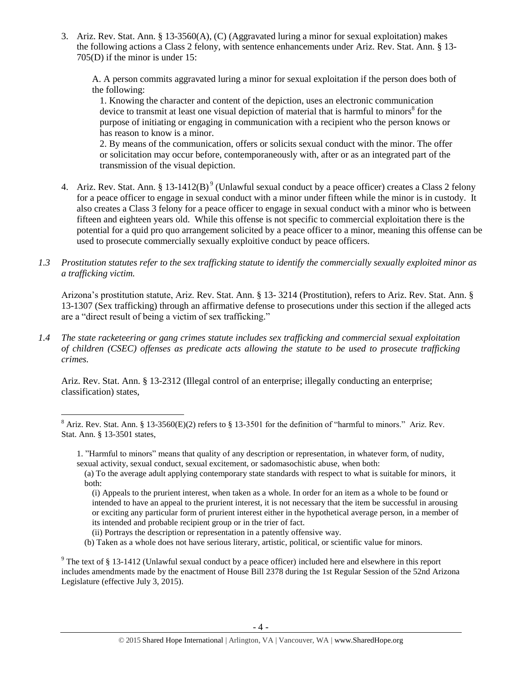3. Ariz. Rev. Stat. Ann. § 13-3560(A), (C) (Aggravated luring a minor for sexual exploitation) makes the following actions a Class 2 felony, with sentence enhancements under Ariz. Rev. Stat. Ann. § 13- 705(D) if the minor is under 15:

A. A person commits aggravated luring a minor for sexual exploitation if the person does both of the following:

1. Knowing the character and content of the depiction, uses an electronic communication device to transmit at least one visual depiction of material that is harmful to minors $^8$  for the purpose of initiating or engaging in communication with a recipient who the person knows or has reason to know is a minor.

2. By means of the communication, offers or solicits sexual conduct with the minor. The offer or solicitation may occur before, contemporaneously with, after or as an integrated part of the transmission of the visual depiction.

- 4. Ariz. Rev. Stat. Ann. § 13-1412(B)<sup>9</sup> (Unlawful sexual conduct by a peace officer) creates a Class 2 felony for a peace officer to engage in sexual conduct with a minor under fifteen while the minor is in custody. It also creates a Class 3 felony for a peace officer to engage in sexual conduct with a minor who is between fifteen and eighteen years old. While this offense is not specific to commercial exploitation there is the potential for a quid pro quo arrangement solicited by a peace officer to a minor, meaning this offense can be used to prosecute commercially sexually exploitive conduct by peace officers.
- *1.3 Prostitution statutes refer to the sex trafficking statute to identify the commercially sexually exploited minor as a trafficking victim.*

Arizona's prostitution statute, Ariz. Rev. Stat. Ann. § 13- 3214 (Prostitution), refers to Ariz. Rev. Stat. Ann. § 13-1307 (Sex trafficking) through an affirmative defense to prosecutions under this section if the alleged acts are a "direct result of being a victim of sex trafficking."

*1.4 The state racketeering or gang crimes statute includes sex trafficking and commercial sexual exploitation of children (CSEC) offenses as predicate acts allowing the statute to be used to prosecute trafficking crimes.* 

Ariz. Rev. Stat. Ann. § 13-2312 (Illegal control of an enterprise; illegally conducting an enterprise; classification) states,

(i) Appeals to the prurient interest, when taken as a whole. In order for an item as a whole to be found or intended to have an appeal to the prurient interest, it is not necessary that the item be successful in arousing or exciting any particular form of prurient interest either in the hypothetical average person, in a member of its intended and probable recipient group or in the trier of fact.

 $\overline{a}$ 

(b) Taken as a whole does not have serious literary, artistic, political, or scientific value for minors.

 $8$  Ariz. Rev. Stat. Ann. § 13-3560(E)(2) refers to § 13-3501 for the definition of "harmful to minors." Ariz. Rev. Stat. Ann. § 13-3501 states,

<sup>1.</sup> "Harmful to minors" means that quality of any description or representation, in whatever form, of nudity, sexual activity, sexual conduct, sexual excitement, or sadomasochistic abuse, when both:

<sup>(</sup>a) To the average adult applying contemporary state standards with respect to what is suitable for minors, it both:

<sup>(</sup>ii) Portrays the description or representation in a patently offensive way.

<sup>&</sup>lt;sup>9</sup> The text of § 13-1412 (Unlawful sexual conduct by a peace officer) included here and elsewhere in this report includes amendments made by the enactment of House Bill 2378 during the 1st Regular Session of the 52nd Arizona Legislature (effective July 3, 2015).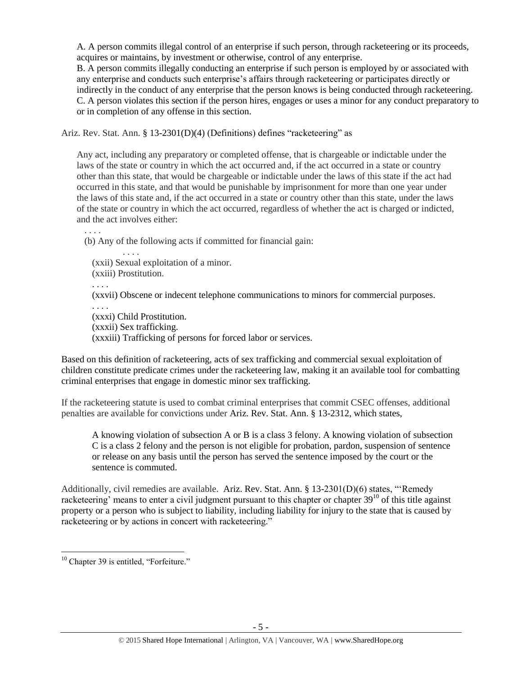A. A person commits illegal control of an enterprise if such person, through racketeering or its proceeds, acquires or maintains, by investment or otherwise, control of any enterprise.

B. A person commits illegally conducting an enterprise if such person is employed by or associated with any enterprise and conducts such enterprise's affairs through racketeering or participates directly or indirectly in the conduct of any enterprise that the person knows is being conducted through racketeering. C. A person violates this section if the person hires, engages or uses a minor for any conduct preparatory to or in completion of any offense in this section.

Ariz. Rev. Stat. Ann. § 13-2301(D)(4) (Definitions) defines "racketeering" as

Any act, including any preparatory or completed offense, that is chargeable or indictable under the laws of the state or country in which the act occurred and, if the act occurred in a state or country other than this state, that would be chargeable or indictable under the laws of this state if the act had occurred in this state, and that would be punishable by imprisonment for more than one year under the laws of this state and, if the act occurred in a state or country other than this state, under the laws of the state or country in which the act occurred, regardless of whether the act is charged or indicted, and the act involves either:

(b) Any of the following acts if committed for financial gain:

(xxii) Sexual exploitation of a minor. (xxiii) Prostitution.

. . . .

. . . .

. . . .

(xxvii) Obscene or indecent telephone communications to minors for commercial purposes.

. . . . (xxxi) Child Prostitution. (xxxii) Sex trafficking. (xxxiii) Trafficking of persons for forced labor or services.

Based on this definition of racketeering, acts of sex trafficking and commercial sexual exploitation of children constitute predicate crimes under the racketeering law, making it an available tool for combatting criminal enterprises that engage in domestic minor sex trafficking.

If the racketeering statute is used to combat criminal enterprises that commit CSEC offenses, additional penalties are available for convictions under Ariz. Rev. Stat. Ann. § 13-2312, which states,

A knowing violation of subsection A or B is a class 3 felony. A knowing violation of subsection C is a class 2 felony and the person is not eligible for probation, pardon, suspension of sentence or release on any basis until the person has served the sentence imposed by the court or the sentence is commuted.

Additionally, civil remedies are available. Ariz. Rev. Stat. Ann. § 13-2301(D)(6) states, "'Remedy racketeering' means to enter a civil judgment pursuant to this chapter or chapter 39<sup>10</sup> of this title against property or a person who is subject to liability, including liability for injury to the state that is caused by racketeering or by actions in concert with racketeering."

 $\overline{a}$ 

<sup>&</sup>lt;sup>10</sup> Chapter 39 is entitled, "Forfeiture."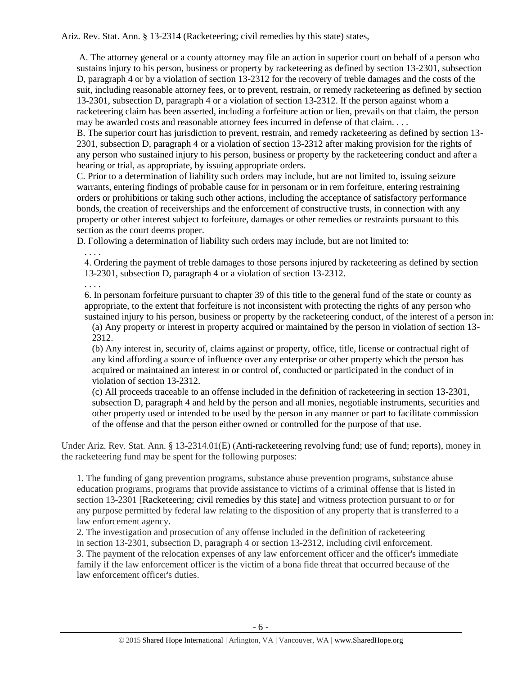Ariz. Rev. Stat. Ann. § 13-2314 (Racketeering; civil remedies by this state) states,

A. The attorney general or a county attorney may file an action in superior court on behalf of a person who sustains injury to his person, business or property by racketeering as defined by section 13-2301, subsection D, paragraph 4 or by a violation of section 13-2312 for the recovery of treble damages and the costs of the suit, including reasonable attorney fees, or to prevent, restrain, or remedy racketeering as defined by section 13-2301, subsection D, paragraph 4 or a violation of section 13-2312. If the person against whom a racketeering claim has been asserted, including a forfeiture action or lien, prevails on that claim, the person may be awarded costs and reasonable attorney fees incurred in defense of that claim. . . .

B. The superior court has jurisdiction to prevent, restrain, and remedy racketeering as defined by section 13- 2301, subsection D, paragraph 4 or a violation of section 13-2312 after making provision for the rights of any person who sustained injury to his person, business or property by the racketeering conduct and after a hearing or trial, as appropriate, by issuing appropriate orders.

C. Prior to a determination of liability such orders may include, but are not limited to, issuing seizure warrants, entering findings of probable cause for in personam or in rem forfeiture, entering restraining orders or prohibitions or taking such other actions, including the acceptance of satisfactory performance bonds, the creation of receiverships and the enforcement of constructive trusts, in connection with any property or other interest subject to forfeiture, damages or other remedies or restraints pursuant to this section as the court deems proper.

D. Following a determination of liability such orders may include, but are not limited to:

. . . .

4. Ordering the payment of treble damages to those persons injured by racketeering as defined by section 13-2301, subsection D, paragraph 4 or a violation of section 13-2312.

. . . .

6. In personam forfeiture pursuant to chapter 39 of this title to the general fund of the state or county as appropriate, to the extent that forfeiture is not inconsistent with protecting the rights of any person who sustained injury to his person, business or property by the racketeering conduct, of the interest of a person in:

(a) Any property or interest in property acquired or maintained by the person in violation of section 13- 2312.

(b) Any interest in, security of, claims against or property, office, title, license or contractual right of any kind affording a source of influence over any enterprise or other property which the person has acquired or maintained an interest in or control of, conducted or participated in the conduct of in violation of section 13-2312.

(c) All proceeds traceable to an offense included in the definition of racketeering in section 13-2301, subsection D, paragraph 4 and held by the person and all monies, negotiable instruments, securities and other property used or intended to be used by the person in any manner or part to facilitate commission of the offense and that the person either owned or controlled for the purpose of that use.

Under Ariz. Rev. Stat. Ann. § 13-2314.01(E) (Anti-racketeering revolving fund; use of fund; reports), money in the racketeering fund may be spent for the following purposes:

1. The funding of gang prevention programs, substance abuse prevention programs, substance abuse education programs, programs that provide assistance to victims of a criminal offense that is listed in section 13-2301 [Racketeering; civil remedies by this state] and witness protection pursuant to or for any purpose permitted by federal law relating to the disposition of any property that is transferred to a law enforcement agency.

2. The investigation and prosecution of any offense included in the definition of racketeering in section 13-2301, subsection D, paragraph 4 or section 13-2312, including civil enforcement.

3. The payment of the relocation expenses of any law enforcement officer and the officer's immediate family if the law enforcement officer is the victim of a bona fide threat that occurred because of the law enforcement officer's duties.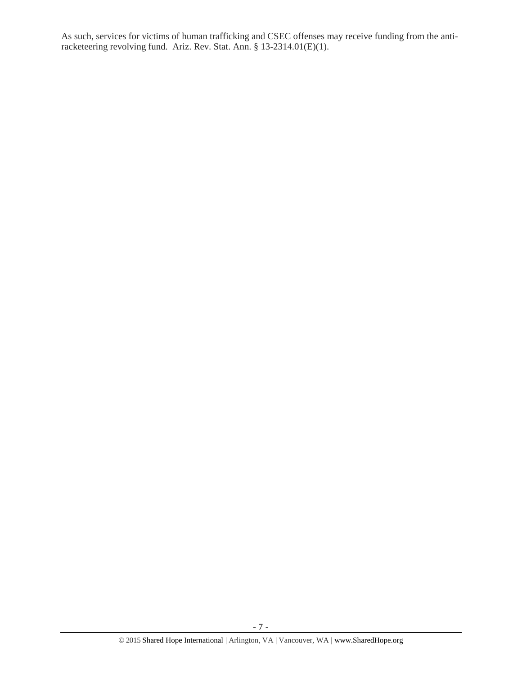As such, services for victims of human trafficking and CSEC offenses may receive funding from the antiracketeering revolving fund. Ariz. Rev. Stat. Ann. § 13-2314.01(E)(1).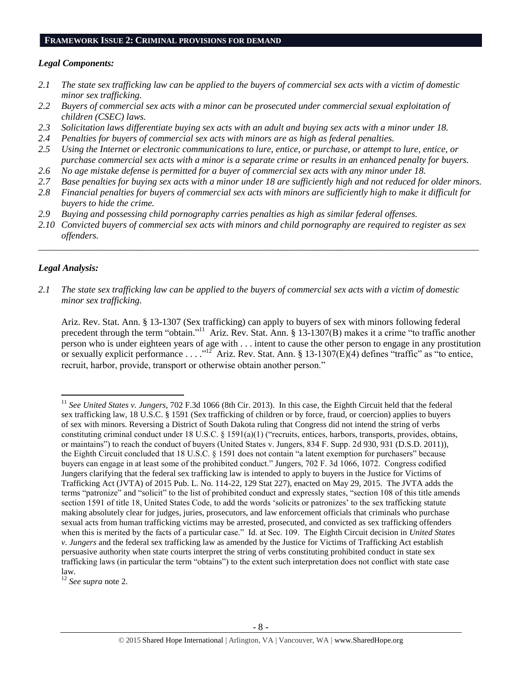#### **FRAMEWORK ISSUE 2: CRIMINAL PROVISIONS FOR DEMAND**

## *Legal Components:*

- *2.1 The state sex trafficking law can be applied to the buyers of commercial sex acts with a victim of domestic minor sex trafficking.*
- *2.2 Buyers of commercial sex acts with a minor can be prosecuted under commercial sexual exploitation of children (CSEC) laws.*
- *2.3 Solicitation laws differentiate buying sex acts with an adult and buying sex acts with a minor under 18.*
- *2.4 Penalties for buyers of commercial sex acts with minors are as high as federal penalties.*
- *2.5 Using the Internet or electronic communications to lure, entice, or purchase, or attempt to lure, entice, or purchase commercial sex acts with a minor is a separate crime or results in an enhanced penalty for buyers.*
- *2.6 No age mistake defense is permitted for a buyer of commercial sex acts with any minor under 18.*
- *2.7 Base penalties for buying sex acts with a minor under 18 are sufficiently high and not reduced for older minors.*
- *2.8 Financial penalties for buyers of commercial sex acts with minors are sufficiently high to make it difficult for buyers to hide the crime.*
- *2.9 Buying and possessing child pornography carries penalties as high as similar federal offenses.*
- *2.10 Convicted buyers of commercial sex acts with minors and child pornography are required to register as sex offenders.*

\_\_\_\_\_\_\_\_\_\_\_\_\_\_\_\_\_\_\_\_\_\_\_\_\_\_\_\_\_\_\_\_\_\_\_\_\_\_\_\_\_\_\_\_\_\_\_\_\_\_\_\_\_\_\_\_\_\_\_\_\_\_\_\_\_\_\_\_\_\_\_\_\_\_\_\_\_\_\_\_\_\_\_\_\_\_\_\_\_\_\_\_\_\_

## *Legal Analysis:*

 $\overline{a}$ 

*2.1 The state sex trafficking law can be applied to the buyers of commercial sex acts with a victim of domestic minor sex trafficking.*

Ariz. Rev. Stat. Ann. § 13-1307 (Sex trafficking) can apply to buyers of sex with minors following federal precedent through the term "obtain."<sup>11</sup> Ariz. Rev. Stat. Ann. § 13-1307(B) makes it a crime "to traffic another person who is under eighteen years of age with . . . intent to cause the other person to engage in any prostitution or sexually explicit performance . . . .<sup>"12</sup> Ariz. Rev. Stat. Ann. § 13-1307(E)(4) defines "traffic" as "to entice, recruit, harbor, provide, transport or otherwise obtain another person."

<sup>11</sup> *See United States v. Jungers*, 702 F.3d 1066 (8th Cir. 2013). In this case, the Eighth Circuit held that the federal sex trafficking law, 18 U.S.C. § 1591 (Sex trafficking of children or by force, fraud, or coercion) applies to buyers of sex with minors. Reversing a District of South Dakota ruling that Congress did not intend the string of verbs constituting criminal conduct under 18 U.S.C. § 1591(a)(1) ("recruits, entices, harbors, transports, provides, obtains, or maintains") to reach the conduct of buyers (United States v. Jungers, 834 F. Supp. 2d 930, 931 (D.S.D. 2011)), the Eighth Circuit concluded that 18 U.S.C. § 1591 does not contain "a latent exemption for purchasers" because buyers can engage in at least some of the prohibited conduct." Jungers, 702 F. 3d 1066, 1072. Congress codified Jungers clarifying that the federal sex trafficking law is intended to apply to buyers in the Justice for Victims of Trafficking Act (JVTA) of 2015 Pub. L. No. 114-22, 129 Stat 227), enacted on May 29, 2015. The JVTA adds the terms "patronize" and "solicit" to the list of prohibited conduct and expressly states, "section 108 of this title amends section 1591 of title 18, United States Code, to add the words 'solicits or patronizes' to the sex trafficking statute making absolutely clear for judges, juries, prosecutors, and law enforcement officials that criminals who purchase sexual acts from human trafficking victims may be arrested, prosecuted, and convicted as sex trafficking offenders when this is merited by the facts of a particular case." Id. at Sec. 109. The Eighth Circuit decision in *United States v. Jungers* and the federal sex trafficking law as amended by the Justice for Victims of Trafficking Act establish persuasive authority when state courts interpret the string of verbs constituting prohibited conduct in state sex trafficking laws (in particular the term "obtains") to the extent such interpretation does not conflict with state case law.

<sup>12</sup> *See supra* note [2.](#page-0-0)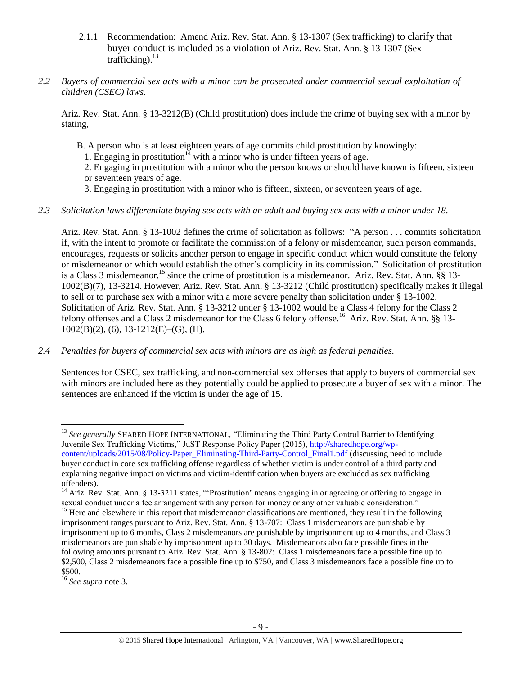- 2.1.1 Recommendation: Amend Ariz. Rev. Stat. Ann. § 13-1307 (Sex trafficking) to clarify that buyer conduct is included as a violation of Ariz. Rev. Stat. Ann. § 13-1307 (Sex trafficking). 13
- *2.2 Buyers of commercial sex acts with a minor can be prosecuted under commercial sexual exploitation of children (CSEC) laws.*

Ariz. Rev. Stat. Ann. § 13-3212(B) (Child prostitution) does include the crime of buying sex with a minor by stating,

- B. A person who is at least eighteen years of age commits child prostitution by knowingly:
	- 1. Engaging in prostitution<sup>14</sup> with a minor who is under fifteen years of age.

2. Engaging in prostitution with a minor who the person knows or should have known is fifteen, sixteen or seventeen years of age.

3. Engaging in prostitution with a minor who is fifteen, sixteen, or seventeen years of age.

## *2.3 Solicitation laws differentiate buying sex acts with an adult and buying sex acts with a minor under 18.*

Ariz. Rev. Stat. Ann. § 13-1002 defines the crime of solicitation as follows: "A person . . . commits solicitation if, with the intent to promote or facilitate the commission of a felony or misdemeanor, such person commands, encourages, requests or solicits another person to engage in specific conduct which would constitute the felony or misdemeanor or which would establish the other's complicity in its commission." Solicitation of prostitution is a Class 3 misdemeanor,<sup>15</sup> since the crime of prostitution is a misdemeanor. Ariz. Rev. Stat. Ann.  $\S$ § 13-1002(B)(7), 13-3214. However, Ariz. Rev. Stat. Ann. § 13-3212 (Child prostitution) specifically makes it illegal to sell or to purchase sex with a minor with a more severe penalty than solicitation under § 13-1002. Solicitation of Ariz. Rev. Stat. Ann. § 13-3212 under § 13-1002 would be a Class 4 felony for the Class 2 felony offenses and a Class 2 misdemeanor for the Class 6 felony offense.<sup>16</sup> Ariz. Rev. Stat. Ann. §§ 13- $1002(B)(2)$ , (6),  $13-1212(E)-(G)$ , (H).

*2.4 Penalties for buyers of commercial sex acts with minors are as high as federal penalties.*

Sentences for CSEC, sex trafficking, and non-commercial sex offenses that apply to buyers of commercial sex with minors are included here as they potentially could be applied to prosecute a buyer of sex with a minor. The sentences are enhanced if the victim is under the age of 15.

 $\overline{a}$ 

<sup>&</sup>lt;sup>13</sup> See generally SHARED HOPE INTERNATIONAL, "Eliminating the Third Party Control Barrier to Identifying Juvenile Sex Trafficking Victims," JuST Response Policy Paper (2015), [http://sharedhope.org/wp](http://sharedhope.org/wp-content/uploads/2015/08/Policy-Paper_Eliminating-Third-Party-Control_Final1.pdf)[content/uploads/2015/08/Policy-Paper\\_Eliminating-Third-Party-Control\\_Final1.pdf](http://sharedhope.org/wp-content/uploads/2015/08/Policy-Paper_Eliminating-Third-Party-Control_Final1.pdf) (discussing need to include buyer conduct in core sex trafficking offense regardless of whether victim is under control of a third party and explaining negative impact on victims and victim-identification when buyers are excluded as sex trafficking offenders).

<sup>&</sup>lt;sup>14</sup> Ariz. Rev. Stat. Ann. § 13-3211 states, "'Prostitution' means engaging in or agreeing or offering to engage in sexual conduct under a fee arrangement with any person for money or any other valuable consideration."

<sup>&</sup>lt;sup>15</sup> Here and elsewhere in this report that misdemeanor classifications are mentioned, they result in the following imprisonment ranges pursuant to Ariz. Rev. Stat. Ann. § 13-707: Class 1 misdemeanors are punishable by imprisonment up to 6 months, Class 2 misdemeanors are punishable by imprisonment up to 4 months, and Class 3 misdemeanors are punishable by imprisonment up to 30 days. Misdemeanors also face possible fines in the following amounts pursuant to Ariz. Rev. Stat. Ann. § 13-802: Class 1 misdemeanors face a possible fine up to \$2,500, Class 2 misdemeanors face a possible fine up to \$750, and Class 3 misdemeanors face a possible fine up to \$500.

<sup>16</sup> *See supra* note [3.](#page-1-0)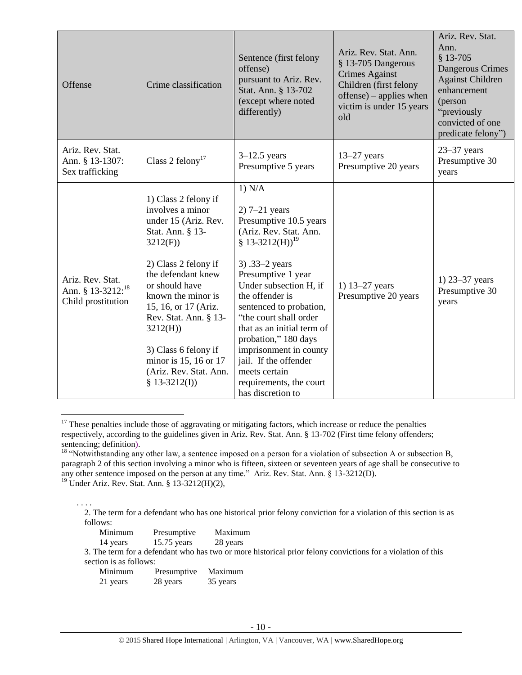| Offense                                                                 | Crime classification                                                                                                                                                                                                                                                                                                                           | Sentence (first felony<br>offense)<br>pursuant to Ariz. Rev.<br>Stat. Ann. § 13-702<br>(except where noted<br>differently)                                                                                                                                                                                                                                                                                                         | Ariz. Rev. Stat. Ann.<br>§ 13-705 Dangerous<br><b>Crimes Against</b><br>Children (first felony<br>$offense$ ) – applies when<br>victim is under 15 years<br>old | Ariz. Rev. Stat.<br>Ann.<br>§ 13-705<br>Dangerous Crimes<br><b>Against Children</b><br>enhancement<br>(person<br>"previously<br>convicted of one<br>predicate felony") |
|-------------------------------------------------------------------------|------------------------------------------------------------------------------------------------------------------------------------------------------------------------------------------------------------------------------------------------------------------------------------------------------------------------------------------------|------------------------------------------------------------------------------------------------------------------------------------------------------------------------------------------------------------------------------------------------------------------------------------------------------------------------------------------------------------------------------------------------------------------------------------|-----------------------------------------------------------------------------------------------------------------------------------------------------------------|------------------------------------------------------------------------------------------------------------------------------------------------------------------------|
| Ariz. Rev. Stat.<br>Ann. § 13-1307:<br>Sex trafficking                  | Class 2 felony <sup>17</sup>                                                                                                                                                                                                                                                                                                                   | $3-12.5$ years<br>Presumptive 5 years                                                                                                                                                                                                                                                                                                                                                                                              | $13-27$ years<br>Presumptive 20 years                                                                                                                           | $23 - 37$ years<br>Presumptive 30<br>years                                                                                                                             |
| Ariz. Rev. Stat.<br>Ann. § 13-3212: <sup>18</sup><br>Child prostitution | 1) Class 2 felony if<br>involves a minor<br>under 15 (Ariz. Rev.<br>Stat. Ann. § 13-<br>3212(F)<br>2) Class 2 felony if<br>the defendant knew<br>or should have<br>known the minor is<br>15, 16, or 17 (Ariz.<br>Rev. Stat. Ann. § 13-<br>3212(H)<br>3) Class 6 felony if<br>minor is 15, 16 or 17<br>(Ariz. Rev. Stat. Ann.<br>$$13-3212(I))$ | 1) N/A<br>$2)$ 7-21 years<br>Presumptive 10.5 years<br>(Ariz. Rev. Stat. Ann.<br>§ 13-3212(H)) <sup>19</sup><br>3).33 $-2$ years<br>Presumptive 1 year<br>Under subsection H, if<br>the offender is<br>sentenced to probation,<br>"the court shall order<br>that as an initial term of<br>probation," 180 days<br>imprisonment in county<br>jail. If the offender<br>meets certain<br>requirements, the court<br>has discretion to | 1) 13–27 years<br>Presumptive 20 years                                                                                                                          | 1) $23 - 37$ years<br>Presumptive 30<br>years                                                                                                                          |

 $17$  These penalties include those of aggravating or mitigating factors, which increase or reduce the penalties respectively, according to the guidelines given in Ariz. Rev. Stat. Ann. § 13-702 (First time felony offenders; sentencing; definition).

<span id="page-9-0"></span> $\overline{a}$ 

<sup>. . . .</sup> 2. The term for a defendant who has one historical prior felony conviction for a violation of this section is as follows:

| Minimum  | Presumptive                                        | Maximum  |
|----------|----------------------------------------------------|----------|
| 14 years | $15.75$ years                                      | 28 years |
|          | 3. The term for a defendant who has two or more hi |          |

istorical prior felony convictions for a violation of this section is as follows:

| Minimum  | Presumptive | Maximum  |
|----------|-------------|----------|
| 21 years | 28 years    | 35 years |

<sup>&</sup>lt;sup>18</sup> "Notwithstanding any other law, a sentence imposed on a person for a violation of subsection A or subsection B, paragraph 2 of this section involving a minor who is fifteen, sixteen or seventeen years of age shall be consecutive to any other sentence imposed on the person at any time." Ariz. Rev. Stat. Ann. § 13-3212(D).

<sup>19</sup> Under Ariz. Rev. Stat. Ann. § 13-3212(H)(2),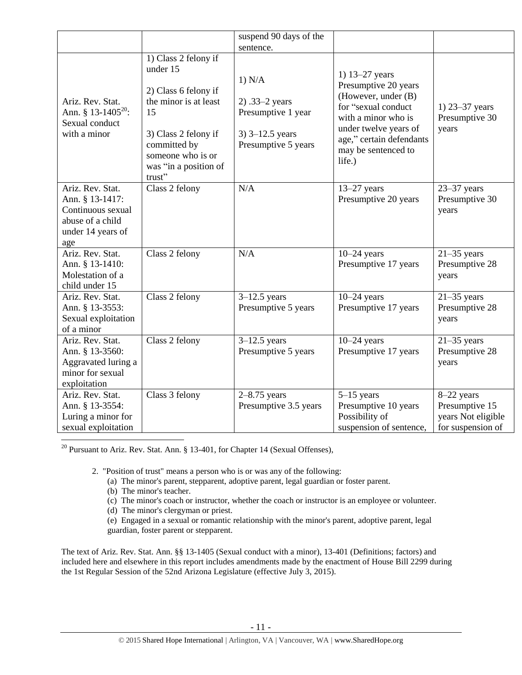<span id="page-10-0"></span>

|                                                                                                          |                                                                                                                                                                                         | suspend 90 days of the                                                                     |                                                                                                                                                                                                   |                                                                         |
|----------------------------------------------------------------------------------------------------------|-----------------------------------------------------------------------------------------------------------------------------------------------------------------------------------------|--------------------------------------------------------------------------------------------|---------------------------------------------------------------------------------------------------------------------------------------------------------------------------------------------------|-------------------------------------------------------------------------|
|                                                                                                          |                                                                                                                                                                                         | sentence.                                                                                  |                                                                                                                                                                                                   |                                                                         |
| Ariz. Rev. Stat.<br>Ann. § 13-1405 <sup>20</sup> :<br>Sexual conduct<br>with a minor                     | 1) Class 2 felony if<br>under 15<br>2) Class 6 felony if<br>the minor is at least<br>15<br>3) Class 2 felony if<br>committed by<br>someone who is or<br>was "in a position of<br>trust" | 1) N/A<br>2) .33–2 years<br>Presumptive 1 year<br>$3)$ 3–12.5 years<br>Presumptive 5 years | 1) 13–27 years<br>Presumptive 20 years<br>(However, under (B)<br>for "sexual conduct<br>with a minor who is<br>under twelve years of<br>age," certain defendants<br>may be sentenced to<br>life.) | 1) $23 - 37$ years<br>Presumptive 30<br>years                           |
| Ariz. Rev. Stat.<br>Ann. § 13-1417:<br>Continuous sexual<br>abuse of a child<br>under 14 years of<br>age | Class 2 felony                                                                                                                                                                          | N/A                                                                                        | $13-27$ years<br>Presumptive 20 years                                                                                                                                                             | $23 - 37$ years<br>Presumptive 30<br>years                              |
| Ariz. Rev. Stat.<br>Ann. § 13-1410:<br>Molestation of a<br>child under 15                                | Class 2 felony                                                                                                                                                                          | N/A                                                                                        | $10-24$ years<br>Presumptive 17 years                                                                                                                                                             | $21 - 35$ years<br>Presumptive 28<br>years                              |
| Ariz. Rev. Stat.<br>Ann. § 13-3553:<br>Sexual exploitation<br>of a minor                                 | Class 2 felony                                                                                                                                                                          | $3-12.5$ years<br>Presumptive 5 years                                                      | $10-24$ years<br>Presumptive 17 years                                                                                                                                                             | $21 - 35$ years<br>Presumptive 28<br>years                              |
| Ariz. Rev. Stat.<br>Ann. § 13-3560:<br>Aggravated luring a<br>minor for sexual<br>exploitation           | Class 2 felony                                                                                                                                                                          | $3-12.5$ years<br>Presumptive 5 years                                                      | $10-24$ years<br>Presumptive 17 years                                                                                                                                                             | $21 - 35$ years<br>Presumptive 28<br>years                              |
| Ariz. Rev. Stat.<br>Ann. § 13-3554:<br>Luring a minor for<br>sexual exploitation                         | Class 3 felony                                                                                                                                                                          | $2 - 8.75$ years<br>Presumptive 3.5 years                                                  | $5-15$ years<br>Presumptive 10 years<br>Possibility of<br>suspension of sentence,                                                                                                                 | 8-22 years<br>Presumptive 15<br>years Not eligible<br>for suspension of |

<sup>20</sup> Pursuant to Ariz. Rev. Stat. Ann. § 13-401, for Chapter 14 (Sexual Offenses),

2. "Position of trust" means a person who is or was any of the following:

- (a) The minor's parent, stepparent, adoptive parent, legal guardian or foster parent.
- (b) The minor's teacher.
- (c) The minor's coach or instructor, whether the coach or instructor is an employee or volunteer.
- (d) The minor's clergyman or priest.
- (e) Engaged in a sexual or romantic relationship with the minor's parent, adoptive parent, legal guardian, foster parent or stepparent.

The text of Ariz. Rev. Stat. Ann. §§ 13-1405 (Sexual conduct with a minor), 13-401 (Definitions; factors) and included here and elsewhere in this report includes amendments made by the enactment of House Bill 2299 during the 1st Regular Session of the 52nd Arizona Legislature (effective July 3, 2015).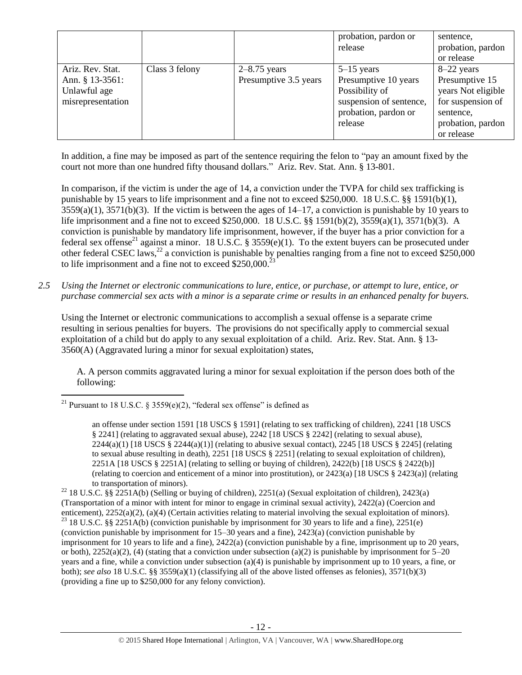|                                                                          |                |                                         | probation, pardon or<br>release                                                                                      | sentence,<br>probation, pardon<br>or release                                                                              |
|--------------------------------------------------------------------------|----------------|-----------------------------------------|----------------------------------------------------------------------------------------------------------------------|---------------------------------------------------------------------------------------------------------------------------|
| Ariz. Rev. Stat.<br>Ann. § 13-3561:<br>Unlawful age<br>misrepresentation | Class 3 felony | $2-8.75$ years<br>Presumptive 3.5 years | $5-15$ years<br>Presumptive 10 years<br>Possibility of<br>suspension of sentence,<br>probation, pardon or<br>release | $8-22$ years<br>Presumptive 15<br>years Not eligible<br>for suspension of<br>sentence,<br>probation, pardon<br>or release |

In addition, a fine may be imposed as part of the sentence requiring the felon to "pay an amount fixed by the court not more than one hundred fifty thousand dollars." Ariz. Rev. Stat. Ann. § 13-801.

<span id="page-11-0"></span>In comparison, if the victim is under the age of 14, a conviction under the TVPA for child sex trafficking is punishable by 15 years to life imprisonment and a fine not to exceed \$250,000. 18 U.S.C. §§ 1591(b)(1), 3559(a)(1), 3571(b)(3). If the victim is between the ages of 14–17, a conviction is punishable by 10 years to life imprisonment and a fine not to exceed \$250,000. 18 U.S.C. §§ 1591(b)(2), 3559(a)(1), 3571(b)(3). A conviction is punishable by mandatory life imprisonment, however, if the buyer has a prior conviction for a federal sex offense<sup>21</sup> against a minor. 18 U.S.C. § 3559(e)(1). To the extent buyers can be prosecuted under other federal CSEC laws,<sup>22</sup> a conviction is punishable by penalties ranging from a fine not to exceed \$250,000 to life imprisonment and a fine not to exceed  $$250,000.<sup>2</sup>$ 

*2.5 Using the Internet or electronic communications to lure, entice, or purchase, or attempt to lure, entice, or purchase commercial sex acts with a minor is a separate crime or results in an enhanced penalty for buyers.*

Using the Internet or electronic communications to accomplish a sexual offense is a separate crime resulting in serious penalties for buyers. The provisions do not specifically apply to commercial sexual exploitation of a child but do apply to any sexual exploitation of a child. Ariz. Rev. Stat. Ann. § 13- 3560(A) (Aggravated luring a minor for sexual exploitation) states,

A. A person commits aggravated luring a minor for sexual exploitation if the person does both of the following:

 $\overline{a}$ <sup>21</sup> Pursuant to 18 U.S.C. § 3559(e)(2), "federal sex offense" is defined as

an offense under section 1591 [18 USCS § 1591] (relating to sex trafficking of children), 2241 [18 USCS § 2241] (relating to aggravated sexual abuse), 2242 [18 USCS § 2242] (relating to sexual abuse),  $2244(a)(1)$  [18 USCS §  $2244(a)(1)$ ] (relating to abusive sexual contact),  $2245$  [18 USCS § 2245] (relating to sexual abuse resulting in death), 2251 [18 USCS § 2251] (relating to sexual exploitation of children), 2251A [18 USCS § 2251A] (relating to selling or buying of children), 2422(b) [18 USCS § 2422(b)] (relating to coercion and enticement of a minor into prostitution), or 2423(a) [18 USCS § 2423(a)] (relating to transportation of minors).

<sup>&</sup>lt;sup>22</sup> 18 U.S.C. §§ 2251A(b) (Selling or buying of children), 2251(a) (Sexual exploitation of children), 2423(a) (Transportation of a minor with intent for minor to engage in criminal sexual activity), 2422(a) (Coercion and enticement), 2252(a)(2), (a)(4) (Certain activities relating to material involving the sexual exploitation of minors). <sup>23</sup> 18 U.S.C. §§ 2251A(b) (conviction punishable by imprisonment for 30 years to life and a fine), 2251(e) (conviction punishable by imprisonment for 15–30 years and a fine), 2423(a) (conviction punishable by imprisonment for 10 years to life and a fine), 2422(a) (conviction punishable by a fine, imprisonment up to 20 years, or both),  $2252(a)(2)$ , (4) (stating that a conviction under subsection (a)(2) is punishable by imprisonment for  $5-20$ years and a fine, while a conviction under subsection (a)(4) is punishable by imprisonment up to 10 years, a fine, or both); *see also* 18 U.S.C. §§ 3559(a)(1) (classifying all of the above listed offenses as felonies), 3571(b)(3) (providing a fine up to \$250,000 for any felony conviction).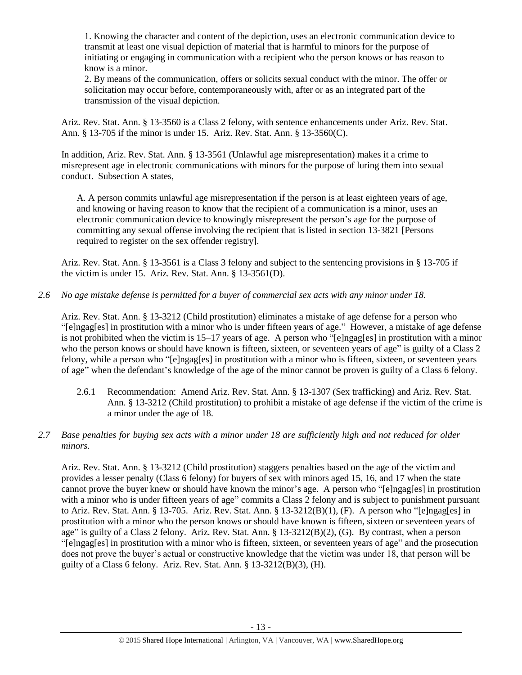1. Knowing the character and content of the depiction, uses an electronic communication device to transmit at least one visual depiction of material that is harmful to minors for the purpose of initiating or engaging in communication with a recipient who the person knows or has reason to know is a minor.

2. By means of the communication, offers or solicits sexual conduct with the minor. The offer or solicitation may occur before, contemporaneously with, after or as an integrated part of the transmission of the visual depiction.

Ariz. Rev. Stat. Ann. § 13-3560 is a Class 2 felony, with sentence enhancements under Ariz. Rev. Stat. Ann. § 13-705 if the minor is under 15. Ariz. Rev. Stat. Ann. § 13-3560(C).

In addition, Ariz. Rev. Stat. Ann. § 13-3561 (Unlawful age misrepresentation) makes it a crime to misrepresent age in electronic communications with minors for the purpose of luring them into sexual conduct. Subsection A states,

A. A person commits unlawful age misrepresentation if the person is at least eighteen years of age, and knowing or having reason to know that the recipient of a communication is a minor, uses an electronic communication device to knowingly misrepresent the person's age for the purpose of committing any sexual offense involving the recipient that is listed in [section 13-3821](https://www.lexis.com/research/buttonTFLink?_m=090cb2535ee035315844633f6dc755af&_xfercite=%3ccite%20cc%3d%22USA%22%3e%3c%21%5bCDATA%5bA.R.S.%20%a7%2013-3561%5d%5d%3e%3c%2fcite%3e&_butType=4&_butStat=0&_butNum=2&_butInline=1&_butinfo=AZCODE%2013-3821&_fmtstr=FULL&docnum=1&_startdoc=1&wchp=dGLzVlz-zSkAz&_md5=79822e9548f774d4abd7be509d74901f) [Persons required to register on the sex offender registry].

Ariz. Rev. Stat. Ann. § 13-3561 is a Class 3 felony and subject to the sentencing provisions in § 13-705 if the victim is under 15. Ariz. Rev. Stat. Ann. § 13-3561(D).

*2.6 No age mistake defense is permitted for a buyer of commercial sex acts with any minor under 18.*

Ariz. Rev. Stat. Ann. § 13-3212 (Child prostitution) eliminates a mistake of age defense for a person who "[e]ngag[es] in prostitution with a minor who is under fifteen years of age." However, a mistake of age defense is not prohibited when the victim is 15–17 years of age. A person who "[e]ngag[es] in prostitution with a minor who the person knows or should have known is fifteen, sixteen, or seventeen years of age" is guilty of a Class 2 felony, while a person who "[e]ngag[es] in prostitution with a minor who is fifteen, sixteen, or seventeen years of age" when the defendant's knowledge of the age of the minor cannot be proven is guilty of a Class 6 felony.

- 2.6.1 Recommendation: Amend Ariz. Rev. Stat. Ann. § 13-1307 (Sex trafficking) and Ariz. Rev. Stat. Ann. § 13-3212 (Child prostitution) to prohibit a mistake of age defense if the victim of the crime is a minor under the age of 18.
- *2.7 Base penalties for buying sex acts with a minor under 18 are sufficiently high and not reduced for older minors.*

Ariz. Rev. Stat. Ann. § 13-3212 (Child prostitution) staggers penalties based on the age of the victim and provides a lesser penalty (Class 6 felony) for buyers of sex with minors aged 15, 16, and 17 when the state cannot prove the buyer knew or should have known the minor's age. A person who "[e]ngag[es] in prostitution with a minor who is under fifteen years of age" commits a Class 2 felony and is subject to punishment pursuant to Ariz. Rev. Stat. Ann. § 13-705. Ariz. Rev. Stat. Ann. § 13-3212(B)(1), (F). A person who "[e]ngag[es] in prostitution with a minor who the person knows or should have known is fifteen, sixteen or seventeen years of age" is guilty of a Class 2 felony. Ariz. Rev. Stat. Ann. § 13-3212(B)(2), (G). By contrast, when a person "[e]ngag[es] in prostitution with a minor who is fifteen, sixteen, or seventeen years of age" and the prosecution does not prove the buyer's actual or constructive knowledge that the victim was under 18, that person will be guilty of a Class 6 felony. Ariz. Rev. Stat. Ann. § 13-3212(B)(3), (H).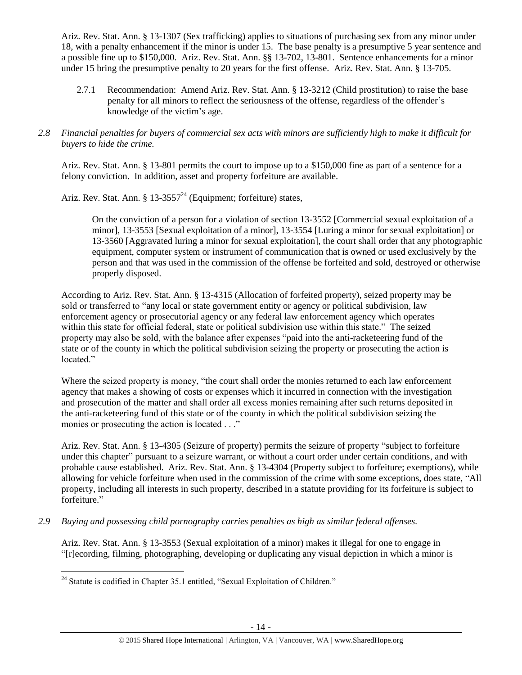Ariz. Rev. Stat. Ann. § 13-1307 (Sex trafficking) applies to situations of purchasing sex from any minor under 18, with a penalty enhancement if the minor is under 15. The base penalty is a presumptive 5 year sentence and a possible fine up to \$150,000. Ariz. Rev. Stat. Ann. §§ 13-702, 13-801. Sentence enhancements for a minor under 15 bring the presumptive penalty to 20 years for the first offense. Ariz. Rev. Stat. Ann. § 13-705.

- 2.7.1 Recommendation: Amend Ariz. Rev. Stat. Ann. § 13-3212 (Child prostitution) to raise the base penalty for all minors to reflect the seriousness of the offense, regardless of the offender's knowledge of the victim's age.
- *2.8 Financial penalties for buyers of commercial sex acts with minors are sufficiently high to make it difficult for buyers to hide the crime.*

Ariz. Rev. Stat. Ann. § 13-801 permits the court to impose up to a \$150,000 fine as part of a sentence for a felony conviction. In addition, asset and property forfeiture are available.

Ariz. Rev. Stat. Ann. §  $13-3557^{24}$  (Equipment; forfeiture) states,

On the conviction of a person for a violation of section 13-3552 [Commercial sexual exploitation of a minor], 13-3553 [Sexual exploitation of a minor], 13-3554 [Luring a minor for sexual exploitation] or 13-3560 [Aggravated luring a minor for sexual exploitation], the court shall order that any photographic equipment, computer system or instrument of communication that is owned or used exclusively by the person and that was used in the commission of the offense be forfeited and sold, destroyed or otherwise properly disposed.

According to Ariz. Rev. Stat. Ann. § 13-4315 (Allocation of forfeited property), seized property may be sold or transferred to "any local or state government entity or agency or political subdivision, law enforcement agency or prosecutorial agency or any federal law enforcement agency which operates within this state for official federal, state or political subdivision use within this state." The seized property may also be sold, with the balance after expenses "paid into the anti-racketeering fund of the state or of the county in which the political subdivision seizing the property or prosecuting the action is located."

Where the seized property is money, "the court shall order the monies returned to each law enforcement agency that makes a showing of costs or expenses which it incurred in connection with the investigation and prosecution of the matter and shall order all excess monies remaining after such returns deposited in the anti-racketeering fund of this state or of the county in which the political subdivision seizing the monies or prosecuting the action is located . . ."

Ariz. Rev. Stat. Ann. § 13-4305 (Seizure of property) permits the seizure of property "subject to forfeiture under this chapter" pursuant to a seizure warrant, or without a court order under certain conditions, and with probable cause established. Ariz. Rev. Stat. Ann. § 13-4304 (Property subject to forfeiture; exemptions), while allowing for vehicle forfeiture when used in the commission of the crime with some exceptions, does state, "All property, including all interests in such property, described in a statute providing for its forfeiture is subject to forfeiture."

*2.9 Buying and possessing child pornography carries penalties as high as similar federal offenses.*

Ariz. Rev. Stat. Ann. § 13-3553 (Sexual exploitation of a minor) makes it illegal for one to engage in "[r]ecording, filming, photographing, developing or duplicating any visual depiction in which a minor is

 $\overline{a}$  $24$  Statute is codified in Chapter 35.1 entitled, "Sexual Exploitation of Children."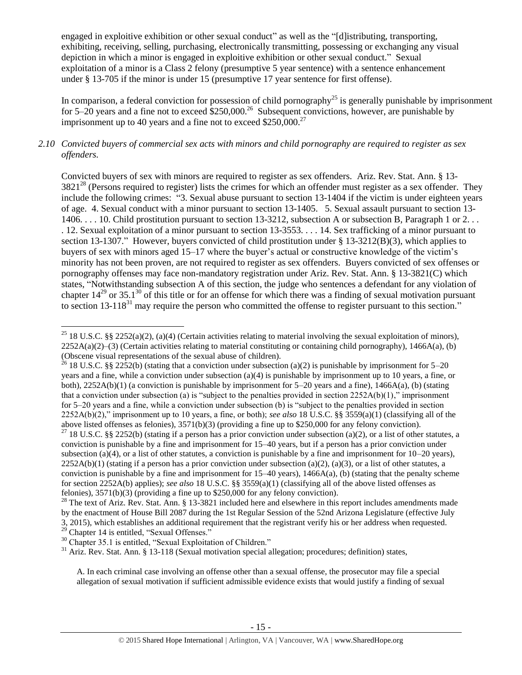engaged in exploitive exhibition or other sexual conduct" as well as the "[d]istributing, transporting, exhibiting, receiving, selling, purchasing, electronically transmitting, possessing or exchanging any visual depiction in which a minor is engaged in exploitive exhibition or other sexual conduct." Sexual exploitation of a minor is a Class 2 felony (presumptive 5 year sentence) with a sentence enhancement under § 13-705 if the minor is under 15 (presumptive 17 year sentence for first offense).

In comparison, a federal conviction for possession of child pornography<sup>25</sup> is generally punishable by imprisonment for 5–20 years and a fine not to exceed  $$250,000.<sup>26</sup>$  Subsequent convictions, however, are punishable by imprisonment up to 40 years and a fine not to exceed  $$250,000.<sup>27</sup>$ 

## *2.10 Convicted buyers of commercial sex acts with minors and child pornography are required to register as sex offenders.*

<span id="page-14-0"></span>Convicted buyers of sex with minors are required to register as sex offenders. Ariz. Rev. Stat. Ann. § 13-  $3821^{28}$  (Persons required to register) lists the crimes for which an offender must register as a sex offender. They include the following crimes: "3. Sexual abuse pursuant to section 13-1404 if the victim is under eighteen years of age. 4. Sexual conduct with a minor pursuant to section 13-1405. 5. Sexual assault pursuant to section 13- 1406. . . . 10. Child prostitution pursuant to section 13-3212, subsection A or subsection B, Paragraph 1 or 2. . . . 12. Sexual exploitation of a minor pursuant to section 13-3553. . . . 14. Sex trafficking of a minor pursuant to section 13-1307." However, buyers convicted of child prostitution under  $\S$  13-3212(B)(3), which applies to buyers of sex with minors aged 15–17 where the buyer's actual or constructive knowledge of the victim's minority has not been proven, are not required to register as sex offenders. Buyers convicted of sex offenses or pornography offenses may face non-mandatory registration under Ariz. Rev. Stat. Ann. § 13-3821(C) which states, "Notwithstanding subsection A of this section, the judge who sentences a defendant for any violation of chapter  $14^{29}$  or 35.1<sup>30</sup> of this title or for an offense for which there was a finding of sexual motivation pursuant to section 13-118<sup>31</sup> may require the person who committed the offense to register pursuant to this section."

 $29$  Chapter 14 is entitled, "Sexual Offenses."

 $\overline{a}$ 

A. In each criminal case involving an offense other than a sexual offense, the prosecutor may file a special allegation of sexual motivation if sufficient admissible evidence exists that would justify a finding of sexual

<sup>&</sup>lt;sup>25</sup> 18 U.S.C. §§ 2252(a)(2), (a)(4) (Certain activities relating to material involving the sexual exploitation of minors),  $2252A(a)(2)$ –(3) (Certain activities relating to material constituting or containing child pornography), 1466A(a), (b) (Obscene visual representations of the sexual abuse of children).

<sup>&</sup>lt;sup>26</sup> 18 U.S.C. §§ 2252(b) (stating that a conviction under subsection (a)(2) is punishable by imprisonment for 5–20 years and a fine, while a conviction under subsection (a)(4) is punishable by imprisonment up to 10 years, a fine, or both),  $2252A(b)(1)$  (a conviction is punishable by imprisonment for 5–20 years and a fine),  $1466A(a)$ , (b) (stating that a conviction under subsection (a) is "subject to the penalties provided in section  $2252A(b)(1)$ ," imprisonment for 5–20 years and a fine, while a conviction under subsection (b) is "subject to the penalties provided in section 2252A(b)(2)," imprisonment up to 10 years, a fine, or both); *see also* 18 U.S.C. §§ 3559(a)(1) (classifying all of the above listed offenses as felonies), 3571(b)(3) (providing a fine up to \$250,000 for any felony conviction).

<sup>&</sup>lt;sup>27</sup> 18 U.S.C. §§ 2252(b) (stating if a person has a prior conviction under subsection (a)(2), or a list of other statutes, a conviction is punishable by a fine and imprisonment for 15–40 years, but if a person has a prior conviction under subsection (a)(4), or a list of other statutes, a conviction is punishable by a fine and imprisonment for  $10-20$  years),  $2252A(b)(1)$  (stating if a person has a prior conviction under subsection (a)(2), (a)(3), or a list of other statutes, a conviction is punishable by a fine and imprisonment for  $15-40$  years),  $1466A(a)$ , (b) (stating that the penalty scheme for section 2252A(b) applies); *see also* 18 U.S.C. §§ 3559(a)(1) (classifying all of the above listed offenses as felonies), 3571(b)(3) (providing a fine up to \$250,000 for any felony conviction).

 $^{28}$  The text of Ariz. Rev. Stat. Ann. § 13-3821 included here and elsewhere in this report includes amendments made by the enactment of House Bill 2087 during the 1st Regular Session of the 52nd Arizona Legislature (effective July 3, 2015), which establishes an additional requirement that the registrant verify his or her address when requested.

<sup>&</sup>lt;sup>30</sup> Chapter 35.1 is entitled, "Sexual Exploitation of Children."

 $31$  Ariz. Rev. Stat. Ann. § 13-118 (Sexual motivation special allegation; procedures; definition) states,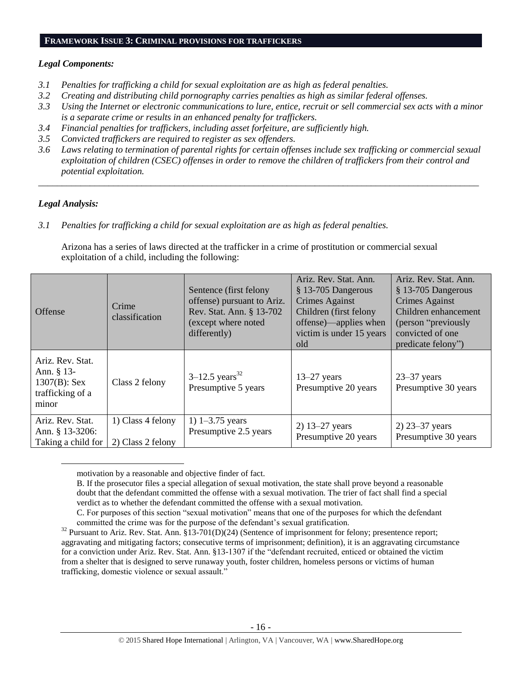#### **FRAMEWORK ISSUE 3: CRIMINAL PROVISIONS FOR TRAFFICKERS**

#### *Legal Components:*

- *3.1 Penalties for trafficking a child for sexual exploitation are as high as federal penalties.*
- *3.2 Creating and distributing child pornography carries penalties as high as similar federal offenses.*
- *3.3 Using the Internet or electronic communications to lure, entice, recruit or sell commercial sex acts with a minor is a separate crime or results in an enhanced penalty for traffickers.*
- *3.4 Financial penalties for traffickers, including asset forfeiture, are sufficiently high.*
- *3.5 Convicted traffickers are required to register as sex offenders.*
- *3.6 Laws relating to termination of parental rights for certain offenses include sex trafficking or commercial sexual exploitation of children (CSEC) offenses in order to remove the children of traffickers from their control and potential exploitation.*

*\_\_\_\_\_\_\_\_\_\_\_\_\_\_\_\_\_\_\_\_\_\_\_\_\_\_\_\_\_\_\_\_\_\_\_\_\_\_\_\_\_\_\_\_\_\_\_\_\_\_\_\_\_\_\_\_\_\_\_\_\_\_\_\_\_\_\_\_\_\_\_\_\_\_\_\_\_\_\_\_\_\_\_\_\_\_\_\_\_\_\_\_\_\_*

## *Legal Analysis:*

 $\overline{a}$ 

*3.1 Penalties for trafficking a child for sexual exploitation are as high as federal penalties.* 

Arizona has a series of laws directed at the trafficker in a crime of prostitution or commercial sexual exploitation of a child, including the following:

| <b>Offense</b>                                                                   | Crime<br>classification                | Sentence (first felony<br>offense) pursuant to Ariz.<br>Rev. Stat. Ann. § 13-702<br>(except where noted<br>differently) | Ariz. Rev. Stat. Ann.<br>§ 13-705 Dangerous<br><b>Crimes Against</b><br>Children (first felony<br>offense)—applies when<br>victim is under 15 years<br>old | Ariz. Rev. Stat. Ann.<br>$§$ 13-705 Dangerous<br><b>Crimes Against</b><br>Children enhancement<br>(person "previously")<br>convicted of one<br>predicate felony") |
|----------------------------------------------------------------------------------|----------------------------------------|-------------------------------------------------------------------------------------------------------------------------|------------------------------------------------------------------------------------------------------------------------------------------------------------|-------------------------------------------------------------------------------------------------------------------------------------------------------------------|
| Ariz. Rev. Stat.<br>Ann. $§$ 13-<br>$1307(B)$ : Sex<br>trafficking of a<br>minor | Class 2 felony                         | $3-12.5$ years <sup>32</sup><br>Presumptive 5 years                                                                     | $13-27$ years<br>Presumptive 20 years                                                                                                                      | $23 - 37$ years<br>Presumptive 30 years                                                                                                                           |
| Ariz. Rev. Stat.<br>Ann. § 13-3206:<br>Taking a child for                        | 1) Class 4 felony<br>2) Class 2 felony | 1) $1 - 3.75$ years<br>Presumptive 2.5 years                                                                            | 2) $13 - 27$ years<br>Presumptive 20 years                                                                                                                 | $2)$ 23–37 years<br>Presumptive 30 years                                                                                                                          |

motivation by a reasonable and objective finder of fact.

B. If the prosecutor files a special allegation of sexual motivation, the state shall prove beyond a reasonable doubt that the defendant committed the offense with a sexual motivation. The trier of fact shall find a special verdict as to whether the defendant committed the offense with a sexual motivation.

C. For purposes of this section "sexual motivation" means that one of the purposes for which the defendant committed the crime was for the purpose of the defendant's sexual gratification.

<sup>&</sup>lt;sup>32</sup> Pursuant to Ariz. Rev. Stat. Ann. §13-701(D)(24) (Sentence of imprisonment for felony; presentence report; aggravating and mitigating factors; consecutive terms of imprisonment; definition), it is an aggravating circumstance for a conviction under Ariz. Rev. Stat. Ann. §13-1307 if the "defendant recruited, enticed or obtained the victim from a shelter that is designed to serve runaway youth, foster children, homeless persons or victims of human trafficking, domestic violence or sexual assault."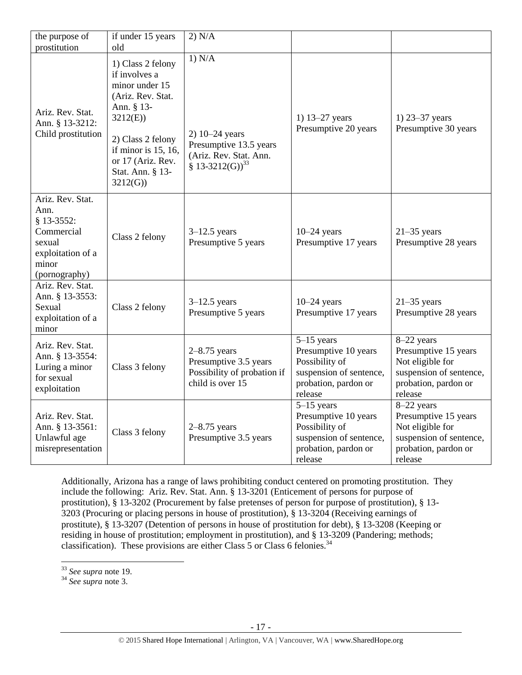| the purpose of                                                                                                | if under 15 years                                                                                                                                                                                        | 2) N/A                                                                                              |                                                                                                                      |                                                                                                                      |
|---------------------------------------------------------------------------------------------------------------|----------------------------------------------------------------------------------------------------------------------------------------------------------------------------------------------------------|-----------------------------------------------------------------------------------------------------|----------------------------------------------------------------------------------------------------------------------|----------------------------------------------------------------------------------------------------------------------|
| prostitution                                                                                                  | old                                                                                                                                                                                                      |                                                                                                     |                                                                                                                      |                                                                                                                      |
| Ariz. Rev. Stat.<br>Ann. § 13-3212:<br>Child prostitution                                                     | 1) Class 2 felony<br>if involves a<br>minor under 15<br>(Ariz. Rev. Stat.<br>Ann. § 13-<br>3212(E)<br>2) Class 2 felony<br>if minor is $15$ , $16$ ,<br>or 17 (Ariz. Rev.<br>Stat. Ann. § 13-<br>3212(G) | 1) N/A<br>$2) 10 - 24$ years<br>Presumptive 13.5 years<br>(Ariz. Rev. Stat. Ann.<br>$$13-3212(G)33$ | 1) $13 - 27$ years<br>Presumptive 20 years                                                                           | 1) $23 - 37$ years<br>Presumptive 30 years                                                                           |
| Ariz. Rev. Stat.<br>Ann.<br>§ 13-3552:<br>Commercial<br>sexual<br>exploitation of a<br>minor<br>(pornography) | Class 2 felony                                                                                                                                                                                           | $3-12.5$ years<br>Presumptive 5 years                                                               | $10-24$ years<br>Presumptive 17 years                                                                                | $21-35$ years<br>Presumptive 28 years                                                                                |
| Ariz. Rev. Stat.<br>Ann. § 13-3553:<br>Sexual<br>exploitation of a<br>minor                                   | Class 2 felony                                                                                                                                                                                           | $3-12.5$ years<br>Presumptive 5 years                                                               | $10-24$ years<br>Presumptive 17 years                                                                                | $21-35$ years<br>Presumptive 28 years                                                                                |
| Ariz. Rev. Stat.<br>Ann. § 13-3554:<br>Luring a minor<br>for sexual<br>exploitation                           | Class 3 felony                                                                                                                                                                                           | $2-8.75$ years<br>Presumptive 3.5 years<br>Possibility of probation if<br>child is over 15          | $5-15$ years<br>Presumptive 10 years<br>Possibility of<br>suspension of sentence,<br>probation, pardon or<br>release | 8-22 years<br>Presumptive 15 years<br>Not eligible for<br>suspension of sentence,<br>probation, pardon or<br>release |
| Ariz. Rev. Stat.<br>Ann. § 13-3561:<br>Unlawful age<br>misrepresentation                                      | Class 3 felony                                                                                                                                                                                           | $2 - 8.75$ years<br>Presumptive 3.5 years                                                           | $5-15$ years<br>Presumptive 10 years<br>Possibility of<br>suspension of sentence,<br>probation, pardon or<br>release | 8-22 years<br>Presumptive 15 years<br>Not eligible for<br>suspension of sentence,<br>probation, pardon or<br>release |

Additionally, Arizona has a range of laws prohibiting conduct centered on promoting prostitution. They include the following: Ariz. Rev. Stat. Ann. § 13-3201 (Enticement of persons for purpose of prostitution), § 13-3202 (Procurement by false pretenses of person for purpose of prostitution), § 13- 3203 (Procuring or placing persons in house of prostitution), § 13-3204 (Receiving earnings of prostitute), § 13-3207 (Detention of persons in house of prostitution for debt), § 13-3208 (Keeping or residing in house of prostitution; employment in prostitution), and § 13-3209 (Pandering; methods; classification). These provisions are either Class 5 or Class 6 felonies. $34$ 

 $\overline{a}$ 

<sup>33</sup> *See supra* note [19.](#page-9-0)

<sup>34</sup> *See supra* note [3.](#page-1-0)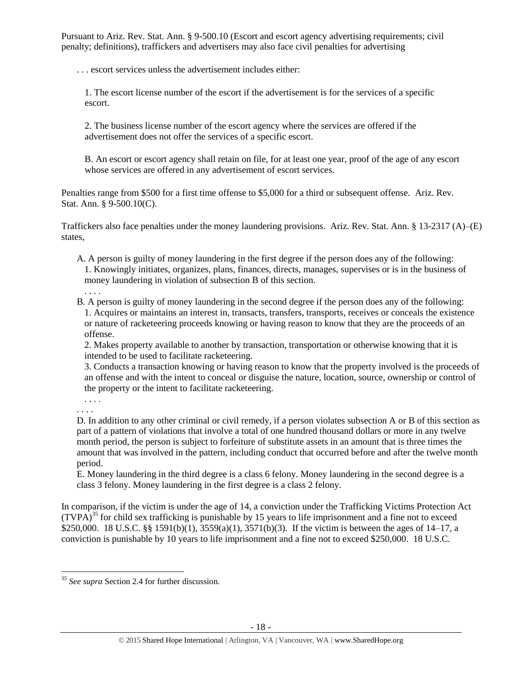Pursuant to Ariz. Rev. Stat. Ann. § 9-500.10 (Escort and escort agency advertising requirements; civil penalty; definitions), traffickers and advertisers may also face civil penalties for advertising

. . . escort services unless the advertisement includes either:

1. The escort license number of the escort if the advertisement is for the services of a specific escort.

2. The business license number of the escort agency where the services are offered if the advertisement does not offer the services of a specific escort.

B. An escort or escort agency shall retain on file, for at least one year, proof of the age of any escort whose services are offered in any advertisement of escort services.

Penalties range from \$500 for a first time offense to \$5,000 for a third or subsequent offense. Ariz. Rev. Stat. Ann. § 9-500.10(C).

Traffickers also face penalties under the money laundering provisions. Ariz. Rev. Stat. Ann. § 13-2317 (A)–(E) states,

A. A person is guilty of money laundering in the first degree if the person does any of the following: 1. Knowingly initiates, organizes, plans, finances, directs, manages, supervises or is in the business of money laundering in violation of subsection B of this section. . . . .

B. A person is guilty of money laundering in the second degree if the person does any of the following: 1. Acquires or maintains an interest in, transacts, transfers, transports, receives or conceals the existence or nature of racketeering proceeds knowing or having reason to know that they are the proceeds of an offense.

2. Makes property available to another by transaction, transportation or otherwise knowing that it is intended to be used to facilitate racketeering.

3. Conducts a transaction knowing or having reason to know that the property involved is the proceeds of an offense and with the intent to conceal or disguise the nature, location, source, ownership or control of the property or the intent to facilitate racketeering.

. . . . . . . .

 $\overline{a}$ 

D. In addition to any other criminal or civil remedy, if a person violates subsection A or B of this section as part of a pattern of violations that involve a total of one hundred thousand dollars or more in any twelve month period, the person is subject to forfeiture of substitute assets in an amount that is three times the amount that was involved in the pattern, including conduct that occurred before and after the twelve month period.

E. Money laundering in the third degree is a class 6 felony. Money laundering in the second degree is a class 3 felony. Money laundering in the first degree is a class 2 felony.

In comparison, if the victim is under the age of 14, a conviction under the Trafficking Victims Protection Act  $(TVPA)^{35}$  for child sex trafficking is punishable by 15 years to life imprisonment and a fine not to exceed \$250,000. 18 U.S.C. §§ 1591(b)(1), 3559(a)(1), 3571(b)(3). If the victim is between the ages of 14–17, a conviction is punishable by 10 years to life imprisonment and a fine not to exceed \$250,000. 18 U.S.C.

<sup>35</sup> *See supra* Section 2.4 for further discussion.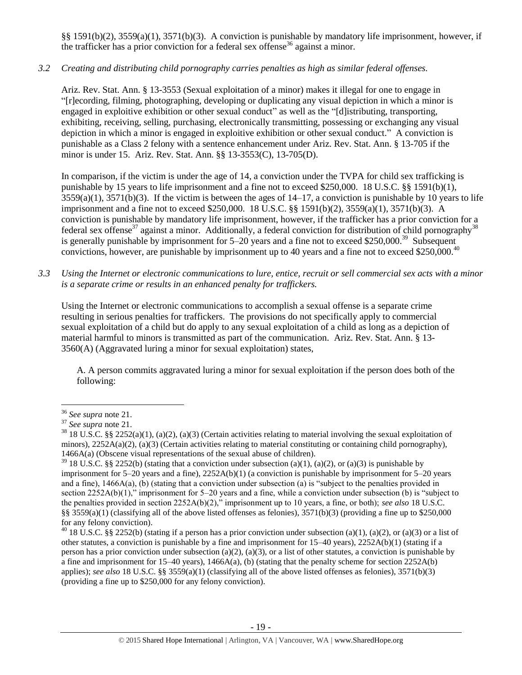§§ 1591(b)(2), 3559(a)(1), 3571(b)(3). A conviction is punishable by mandatory life imprisonment, however, if the trafficker has a prior conviction for a federal sex offense<sup>36</sup> against a minor.

# *3.2 Creating and distributing child pornography carries penalties as high as similar federal offenses.*

Ariz. Rev. Stat. Ann. § 13-3553 (Sexual exploitation of a minor) makes it illegal for one to engage in "[r]ecording, filming, photographing, developing or duplicating any visual depiction in which a minor is engaged in exploitive exhibition or other sexual conduct" as well as the "[d]istributing, transporting, exhibiting, receiving, selling, purchasing, electronically transmitting, possessing or exchanging any visual depiction in which a minor is engaged in exploitive exhibition or other sexual conduct." A conviction is punishable as a Class 2 felony with a sentence enhancement under Ariz. Rev. Stat. Ann. § 13-705 if the minor is under 15. Ariz. Rev. Stat. Ann. §§ 13-3553(C), 13-705(D).

In comparison, if the victim is under the age of 14, a conviction under the TVPA for child sex trafficking is punishable by 15 years to life imprisonment and a fine not to exceed \$250,000. 18 U.S.C. §§ 1591(b)(1),  $3559(a)(1)$ ,  $3571(b)(3)$ . If the victim is between the ages of  $14-17$ , a conviction is punishable by 10 years to life imprisonment and a fine not to exceed \$250,000. 18 U.S.C. §§ 1591(b)(2), 3559(a)(1), 3571(b)(3). A conviction is punishable by mandatory life imprisonment, however, if the trafficker has a prior conviction for a federal sex offense<sup>37</sup> against a minor. Additionally, a federal conviction for distribution of child pornography<sup>38</sup> is generally punishable by imprisonment for  $5-20$  years and a fine not to exceed \$250,000.<sup>39</sup> Subsequent convictions, however, are punishable by imprisonment up to 40 years and a fine not to exceed \$250,000.<sup>40</sup>

*3.3 Using the Internet or electronic communications to lure, entice, recruit or sell commercial sex acts with a minor is a separate crime or results in an enhanced penalty for traffickers.*

Using the Internet or electronic communications to accomplish a sexual offense is a separate crime resulting in serious penalties for traffickers. The provisions do not specifically apply to commercial sexual exploitation of a child but do apply to any sexual exploitation of a child as long as a depiction of material harmful to minors is transmitted as part of the communication. Ariz. Rev. Stat. Ann. § 13- 3560(A) (Aggravated luring a minor for sexual exploitation) states,

A. A person commits aggravated luring a minor for sexual exploitation if the person does both of the following:

 $\overline{a}$ 

<sup>36</sup> *See supra* note [21.](#page-11-0)

<sup>37</sup> *See supra* note [21.](#page-11-0)

 $38\,18\,$  U.S.C. §§ 2252(a)(1), (a)(2), (a)(3) (Certain activities relating to material involving the sexual exploitation of minors),  $2252A(a)(2)$ , (a)(3) (Certain activities relating to material constituting or containing child pornography), 1466A(a) (Obscene visual representations of the sexual abuse of children).

<sup>&</sup>lt;sup>39</sup> 18 U.S.C. §§ 2252(b) (stating that a conviction under subsection (a)(1), (a)(2), or (a)(3) is punishable by imprisonment for 5–20 years and a fine), 2252A(b)(1) (a conviction is punishable by imprisonment for 5–20 years and a fine), 1466A(a), (b) (stating that a conviction under subsection (a) is "subject to the penalties provided in section 2252A(b)(1)," imprisonment for 5–20 years and a fine, while a conviction under subsection (b) is "subject to the penalties provided in section 2252A(b)(2)," imprisonment up to 10 years, a fine, or both); *see also* 18 U.S.C. §§  $3559(a)(1)$  (classifying all of the above listed offenses as felonies),  $3571(b)(3)$  (providing a fine up to \$250,000 for any felony conviction).

<sup>&</sup>lt;sup>40</sup> 18 U.S.C. §§ 2252(b) (stating if a person has a prior conviction under subsection (a)(1), (a)(2), or (a)(3) or a list of other statutes, a conviction is punishable by a fine and imprisonment for  $15-40$  years),  $2252A(b)(1)$  (stating if a person has a prior conviction under subsection (a)(2), (a)(3), or a list of other statutes, a conviction is punishable by a fine and imprisonment for 15–40 years), 1466A(a), (b) (stating that the penalty scheme for section 2252A(b) applies); *see also* 18 U.S.C. §§ 3559(a)(1) (classifying all of the above listed offenses as felonies), 3571(b)(3) (providing a fine up to \$250,000 for any felony conviction).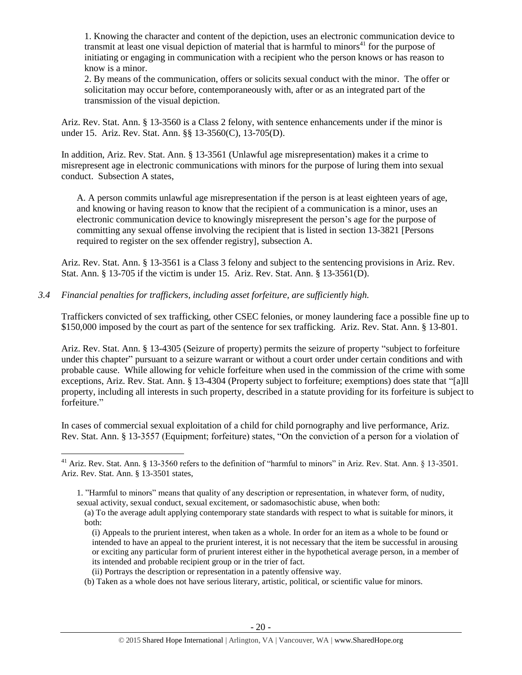1. Knowing the character and content of the depiction, uses an electronic communication device to transmit at least one visual depiction of material that is harmful to minors $41$  for the purpose of initiating or engaging in communication with a recipient who the person knows or has reason to know is a minor.

2. By means of the communication, offers or solicits sexual conduct with the minor. The offer or solicitation may occur before, contemporaneously with, after or as an integrated part of the transmission of the visual depiction.

Ariz. Rev. Stat. Ann. § 13-3560 is a Class 2 felony, with sentence enhancements under if the minor is under 15. Ariz. Rev. Stat. Ann. §§ 13-3560(C), 13-705(D).

In addition, Ariz. Rev. Stat. Ann. § 13-3561 (Unlawful age misrepresentation) makes it a crime to misrepresent age in electronic communications with minors for the purpose of luring them into sexual conduct. Subsection A states,

A. A person commits unlawful age misrepresentation if the person is at least eighteen years of age, and knowing or having reason to know that the recipient of a communication is a minor, uses an electronic communication device to knowingly misrepresent the person's age for the purpose of committing any sexual offense involving the recipient that is listed in [section 13-3821](https://www.lexis.com/research/buttonTFLink?_m=090cb2535ee035315844633f6dc755af&_xfercite=%3ccite%20cc%3d%22USA%22%3e%3c%21%5bCDATA%5bA.R.S.%20%a7%2013-3561%5d%5d%3e%3c%2fcite%3e&_butType=4&_butStat=0&_butNum=2&_butInline=1&_butinfo=AZCODE%2013-3821&_fmtstr=FULL&docnum=1&_startdoc=1&wchp=dGLzVlz-zSkAz&_md5=79822e9548f774d4abd7be509d74901f) [Persons required to register on the sex offender registry], subsection A.

Ariz. Rev. Stat. Ann. § 13-3561 is a Class 3 felony and subject to the sentencing provisions in Ariz. Rev. Stat. Ann. § 13-705 if the victim is under 15. Ariz. Rev. Stat. Ann. § 13-3561(D).

*3.4 Financial penalties for traffickers, including asset forfeiture, are sufficiently high.*

 $\overline{a}$ 

Traffickers convicted of sex trafficking, other CSEC felonies, or money laundering face a possible fine up to \$150,000 imposed by the court as part of the sentence for sex trafficking. Ariz. Rev. Stat. Ann. § 13-801.

Ariz. Rev. Stat. Ann. § 13-4305 (Seizure of property) permits the seizure of property "subject to forfeiture under this chapter" pursuant to a seizure warrant or without a court order under certain conditions and with probable cause. While allowing for vehicle forfeiture when used in the commission of the crime with some exceptions, Ariz. Rev. Stat. Ann. § 13-4304 (Property subject to forfeiture; exemptions) does state that "[a]ll property, including all interests in such property, described in a statute providing for its forfeiture is subject to forfeiture."

In cases of commercial sexual exploitation of a child for child pornography and live performance, Ariz. Rev. Stat. Ann. § 13-3557 (Equipment; forfeiture) states, "On the conviction of a person for a violation of

<sup>&</sup>lt;sup>41</sup> Ariz. Rev. Stat. Ann. § 13-3560 refers to the definition of "harmful to minors" in Ariz. Rev. Stat. Ann. § 13-3501. Ariz. Rev. Stat. Ann. § 13-3501 states,

<sup>1.</sup> "Harmful to minors" means that quality of any description or representation, in whatever form, of nudity, sexual activity, sexual conduct, sexual excitement, or sadomasochistic abuse, when both:

<sup>(</sup>a) To the average adult applying contemporary state standards with respect to what is suitable for minors, it both:

<sup>(</sup>i) Appeals to the prurient interest, when taken as a whole. In order for an item as a whole to be found or intended to have an appeal to the prurient interest, it is not necessary that the item be successful in arousing or exciting any particular form of prurient interest either in the hypothetical average person, in a member of its intended and probable recipient group or in the trier of fact.

<sup>(</sup>ii) Portrays the description or representation in a patently offensive way.

<sup>(</sup>b) Taken as a whole does not have serious literary, artistic, political, or scientific value for minors.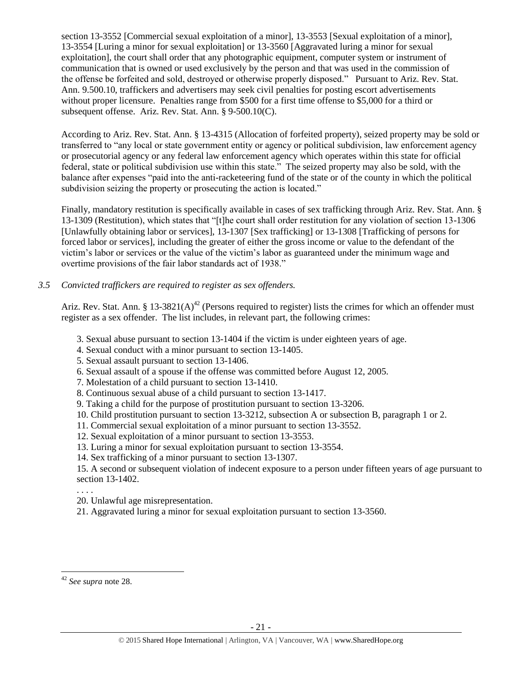section 13-3552 [Commercial sexual exploitation of a minor], 13-3553 [Sexual exploitation of a minor], 13-3554 [Luring a minor for sexual exploitation] or 13-3560 [Aggravated luring a minor for sexual exploitation], the court shall order that any photographic equipment, computer system or instrument of communication that is owned or used exclusively by the person and that was used in the commission of the offense be forfeited and sold, destroyed or otherwise properly disposed." Pursuant to Ariz. Rev. Stat. Ann. 9.500.10, traffickers and advertisers may seek civil penalties for posting escort advertisements without proper licensure. Penalties range from \$500 for a first time offense to \$5,000 for a third or subsequent offense. Ariz. Rev. Stat. Ann. § 9-500.10(C).

According to Ariz. Rev. Stat. Ann. § 13-4315 (Allocation of forfeited property), seized property may be sold or transferred to "any local or state government entity or agency or political subdivision, law enforcement agency or prosecutorial agency or any federal law enforcement agency which operates within this state for official federal, state or political subdivision use within this state." The seized property may also be sold, with the balance after expenses "paid into the anti-racketeering fund of the state or of the county in which the political subdivision seizing the property or prosecuting the action is located."

Finally, mandatory restitution is specifically available in cases of sex trafficking through Ariz. Rev. Stat. Ann. § 13-1309 (Restitution), which states that "[t]he court shall order restitution for any violation of section 13-1306 [Unlawfully obtaining labor or services], 13-1307 [Sex trafficking] or 13-1308 [Trafficking of persons for forced labor or services], including the greater of either the gross income or value to the defendant of the victim's labor or services or the value of the victim's labor as guaranteed under the minimum wage and overtime provisions of the fair labor standards act of 1938."

# *3.5 Convicted traffickers are required to register as sex offenders.*

Ariz. Rev. Stat. Ann. § 13-3821(A)<sup>42</sup> (Persons required to register) lists the crimes for which an offender must register as a sex offender. The list includes, in relevant part, the following crimes:

- 3. Sexual abuse pursuant to section 13-1404 if the victim is under eighteen years of age.
- 4. Sexual conduct with a minor pursuant to section 13-1405.
- 5. Sexual assault pursuant to section 13-1406.
- 6. Sexual assault of a spouse if the offense was committed before August 12, 2005.
- 7. Molestation of a child pursuant to section 13-1410.
- 8. Continuous sexual abuse of a child pursuant to section 13-1417.
- 9. Taking a child for the purpose of prostitution pursuant to section 13-3206.
- 10. Child prostitution pursuant to section 13-3212, subsection A or subsection B, paragraph 1 or 2.
- 11. Commercial sexual exploitation of a minor pursuant to section 13-3552.
- 12. Sexual exploitation of a minor pursuant to section 13-3553.
- 13. Luring a minor for sexual exploitation pursuant to section 13-3554.
- 14. Sex trafficking of a minor pursuant to section 13-1307.

15. A second or subsequent violation of indecent exposure to a person under fifteen years of age pursuant to section 13-1402.

. . . .

 $\overline{a}$ 

- 20. Unlawful age misrepresentation.
- 21. Aggravated luring a minor for sexual exploitation pursuant to section 13-3560.

<sup>42</sup> *See supra* note [28.](#page-14-0)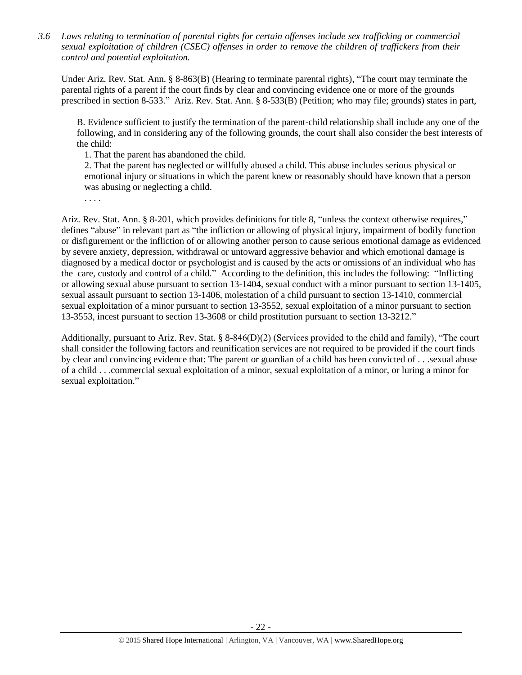*3.6 Laws relating to termination of parental rights for certain offenses include sex trafficking or commercial sexual exploitation of children (CSEC) offenses in order to remove the children of traffickers from their control and potential exploitation.* 

Under Ariz. Rev. Stat. Ann. § 8-863(B) (Hearing to terminate parental rights), "The court may terminate the parental rights of a parent if the court finds by clear and convincing evidence one or more of the grounds prescribed in section 8-533." Ariz. Rev. Stat. Ann. § 8-533(B) (Petition; who may file; grounds) states in part,

B. Evidence sufficient to justify the termination of the parent-child relationship shall include any one of the following, and in considering any of the following grounds, the court shall also consider the best interests of the child:

1. That the parent has abandoned the child.

2. That the parent has neglected or willfully abused a child. This abuse includes serious physical or emotional injury or situations in which the parent knew or reasonably should have known that a person was abusing or neglecting a child.

. . . .

Ariz. Rev. Stat. Ann. § 8-201, which provides definitions for title 8, "unless the context otherwise requires," defines "abuse" in relevant part as "the infliction or allowing of physical injury, impairment of bodily function or disfigurement or the infliction of or allowing another person to cause serious emotional damage as evidenced by severe anxiety, depression, withdrawal or untoward aggressive behavior and which emotional damage is diagnosed by a medical doctor or psychologist and is caused by the acts or omissions of an individual who has the care, custody and control of a child." According to the definition, this includes the following: "Inflicting or allowing sexual abuse pursuant to section 13-1404, sexual conduct with a minor pursuant to section 13-1405, sexual assault pursuant to section 13-1406, molestation of a child pursuant to section 13-1410, commercial sexual exploitation of a minor pursuant to section 13-3552, sexual exploitation of a minor pursuant to section 13-3553, incest pursuant to section 13-3608 or child prostitution pursuant to section 13-3212."

Additionally, pursuant to Ariz. Rev. Stat. § 8-846(D)(2) (Services provided to the child and family), "The court shall consider the following factors and reunification services are not required to be provided if the court finds by clear and convincing evidence that: The parent or guardian of a child has been convicted of . . .sexual abuse of a child . . .commercial sexual exploitation of a minor, sexual exploitation of a minor, or luring a minor for sexual exploitation."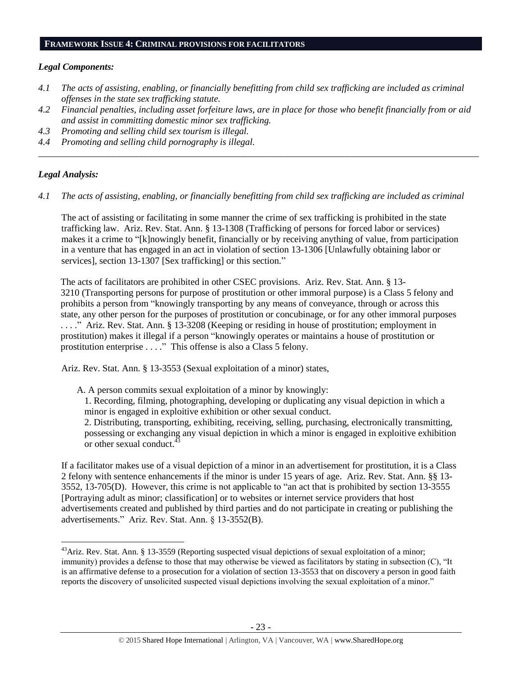#### **FRAMEWORK ISSUE 4: CRIMINAL PROVISIONS FOR FACILITATORS**

#### *Legal Components:*

- *4.1 The acts of assisting, enabling, or financially benefitting from child sex trafficking are included as criminal offenses in the state sex trafficking statute.*
- *4.2 Financial penalties, including asset forfeiture laws, are in place for those who benefit financially from or aid and assist in committing domestic minor sex trafficking.*

*\_\_\_\_\_\_\_\_\_\_\_\_\_\_\_\_\_\_\_\_\_\_\_\_\_\_\_\_\_\_\_\_\_\_\_\_\_\_\_\_\_\_\_\_\_\_\_\_\_\_\_\_\_\_\_\_\_\_\_\_\_\_\_\_\_\_\_\_\_\_\_\_\_\_\_\_\_\_\_\_\_\_\_\_\_\_\_\_\_\_\_\_\_\_*

- *4.3 Promoting and selling child sex tourism is illegal.*
- *4.4 Promoting and selling child pornography is illegal.*

#### *Legal Analysis:*

 $\overline{a}$ 

*4.1 The acts of assisting, enabling, or financially benefitting from child sex trafficking are included as criminal* 

The act of assisting or facilitating in some manner the crime of sex trafficking is prohibited in the state trafficking law. Ariz. Rev. Stat. Ann. § 13-1308 (Trafficking of persons for forced labor or services) makes it a crime to "[k]nowingly benefit, financially or by receiving anything of value, from participation in a venture that has engaged in an act in violation of section 13-1306 [Unlawfully obtaining labor or services], section 13-1307 [Sex trafficking] or this section."

The acts of facilitators are prohibited in other CSEC provisions. Ariz. Rev. Stat. Ann. § 13- 3210 (Transporting persons for purpose of prostitution or other immoral purpose) is a Class 5 felony and prohibits a person from "knowingly transporting by any means of conveyance, through or across this state, any other person for the purposes of prostitution or concubinage, or for any other immoral purposes . . . ." Ariz. Rev. Stat. Ann. § 13-3208 (Keeping or residing in house of prostitution; employment in prostitution) makes it illegal if a person "knowingly operates or maintains a house of prostitution or prostitution enterprise . . . ." This offense is also a Class 5 felony.

Ariz. Rev. Stat. Ann. § 13-3553 (Sexual exploitation of a minor) states,

A. A person commits sexual exploitation of a minor by knowingly:

1. Recording, filming, photographing, developing or duplicating any visual depiction in which a minor is engaged in exploitive exhibition or other sexual conduct.

2. Distributing, transporting, exhibiting, receiving, selling, purchasing, electronically transmitting, possessing or exchanging any visual depiction in which a minor is engaged in exploitive exhibition or other sexual conduct.<sup>43</sup>

If a facilitator makes use of a visual depiction of a minor in an advertisement for prostitution, it is a Class 2 felony with sentence enhancements if the minor is under 15 years of age. Ariz. Rev. Stat. Ann. §§ 13- 3552, 13-705(D). However, this crime is not applicable to "an act that is prohibited by section 13-3555 [Portraying adult as minor; classification] or to websites or internet service providers that host advertisements created and published by third parties and do not participate in creating or publishing the advertisements." Ariz. Rev. Stat. Ann. § 13-3552(B).

<sup>&</sup>lt;sup>43</sup>Ariz. Rev. Stat. Ann. § 13-3559 (Reporting suspected visual depictions of sexual exploitation of a minor; immunity) provides a defense to those that may otherwise be viewed as facilitators by stating in subsection (C), "It is an affirmative defense to a prosecution for a violation of section 13-3553 that on discovery a person in good faith reports the discovery of unsolicited suspected visual depictions involving the sexual exploitation of a minor."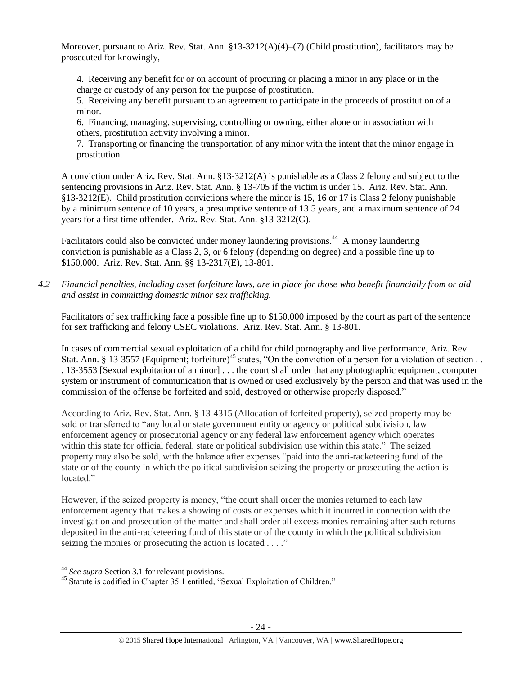Moreover, pursuant to Ariz. Rev. Stat. Ann. §13-3212(A)(4)–(7) (Child prostitution), facilitators may be prosecuted for knowingly,

4. Receiving any benefit for or on account of procuring or placing a minor in any place or in the charge or custody of any person for the purpose of prostitution.

5. Receiving any benefit pursuant to an agreement to participate in the proceeds of prostitution of a minor.

6. Financing, managing, supervising, controlling or owning, either alone or in association with others, prostitution activity involving a minor.

7. Transporting or financing the transportation of any minor with the intent that the minor engage in prostitution.

A conviction under Ariz. Rev. Stat. Ann. §13-3212(A) is punishable as a Class 2 felony and subject to the sentencing provisions in Ariz. Rev. Stat. Ann. § 13-705 if the victim is under 15. Ariz. Rev. Stat. Ann. §13-3212(E). Child prostitution convictions where the minor is 15, 16 or 17 is Class 2 felony punishable by a minimum sentence of 10 years, a presumptive sentence of 13.5 years, and a maximum sentence of 24 years for a first time offender. Ariz. Rev. Stat. Ann. §13-3212(G).

Facilitators could also be convicted under money laundering provisions.<sup>44</sup> A money laundering conviction is punishable as a Class 2, 3, or 6 felony (depending on degree) and a possible fine up to \$150,000. Ariz. Rev. Stat. Ann. §§ 13-2317(E), 13-801.

*4.2 Financial penalties, including asset forfeiture laws, are in place for those who benefit financially from or aid and assist in committing domestic minor sex trafficking.*

Facilitators of sex trafficking face a possible fine up to \$150,000 imposed by the court as part of the sentence for sex trafficking and felony CSEC violations. Ariz. Rev. Stat. Ann. § 13-801.

In cases of commercial sexual exploitation of a child for child pornography and live performance, Ariz. Rev. Stat. Ann. § 13-3557 (Equipment; forfeiture)<sup>45</sup> states, "On the conviction of a person for a violation of section . . . 13-3553 [Sexual exploitation of a minor] . . . the court shall order that any photographic equipment, computer system or instrument of communication that is owned or used exclusively by the person and that was used in the commission of the offense be forfeited and sold, destroyed or otherwise properly disposed."

According to Ariz. Rev. Stat. Ann. § 13-4315 (Allocation of forfeited property), seized property may be sold or transferred to "any local or state government entity or agency or political subdivision, law enforcement agency or prosecutorial agency or any federal law enforcement agency which operates within this state for official federal, state or political subdivision use within this state." The seized property may also be sold, with the balance after expenses "paid into the anti-racketeering fund of the state or of the county in which the political subdivision seizing the property or prosecuting the action is located."

However, if the seized property is money, "the court shall order the monies returned to each law enforcement agency that makes a showing of costs or expenses which it incurred in connection with the investigation and prosecution of the matter and shall order all excess monies remaining after such returns deposited in the anti-racketeering fund of this state or of the county in which the political subdivision seizing the monies or prosecuting the action is located . . . ."

 $\overline{a}$ 

<sup>44</sup> *See supra* Section 3.1 for relevant provisions.

<sup>45</sup> Statute is codified in Chapter 35.1 entitled, "Sexual Exploitation of Children."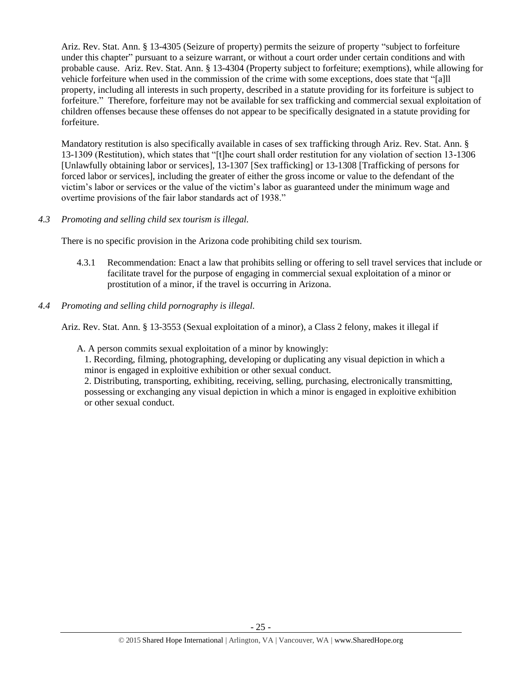Ariz. Rev. Stat. Ann. § 13-4305 (Seizure of property) permits the seizure of property "subject to forfeiture under this chapter" pursuant to a seizure warrant, or without a court order under certain conditions and with probable cause. Ariz. Rev. Stat. Ann. § 13-4304 (Property subject to forfeiture; exemptions), while allowing for vehicle forfeiture when used in the commission of the crime with some exceptions, does state that "[a]ll property, including all interests in such property, described in a statute providing for its forfeiture is subject to forfeiture." Therefore, forfeiture may not be available for sex trafficking and commercial sexual exploitation of children offenses because these offenses do not appear to be specifically designated in a statute providing for forfeiture.

Mandatory restitution is also specifically available in cases of sex trafficking through Ariz. Rev. Stat. Ann. § 13-1309 (Restitution), which states that "[t]he court shall order restitution for any violation of section 13-1306 [Unlawfully obtaining labor or services], 13-1307 [Sex trafficking] or 13-1308 [Trafficking of persons for forced labor or services], including the greater of either the gross income or value to the defendant of the victim's labor or services or the value of the victim's labor as guaranteed under the minimum wage and overtime provisions of the fair labor standards act of 1938."

*4.3 Promoting and selling child sex tourism is illegal.*

There is no specific provision in the Arizona code prohibiting child sex tourism.

- 4.3.1 Recommendation: Enact a law that prohibits selling or offering to sell travel services that include or facilitate travel for the purpose of engaging in commercial sexual exploitation of a minor or prostitution of a minor, if the travel is occurring in Arizona.
- *4.4 Promoting and selling child pornography is illegal.*

Ariz. Rev. Stat. Ann. § 13-3553 (Sexual exploitation of a minor), a Class 2 felony, makes it illegal if

A. A person commits sexual exploitation of a minor by knowingly:

1. Recording, filming, photographing, developing or duplicating any visual depiction in which a minor is engaged in exploitive exhibition or other sexual conduct.

2. Distributing, transporting, exhibiting, receiving, selling, purchasing, electronically transmitting, possessing or exchanging any visual depiction in which a minor is engaged in exploitive exhibition or other sexual conduct.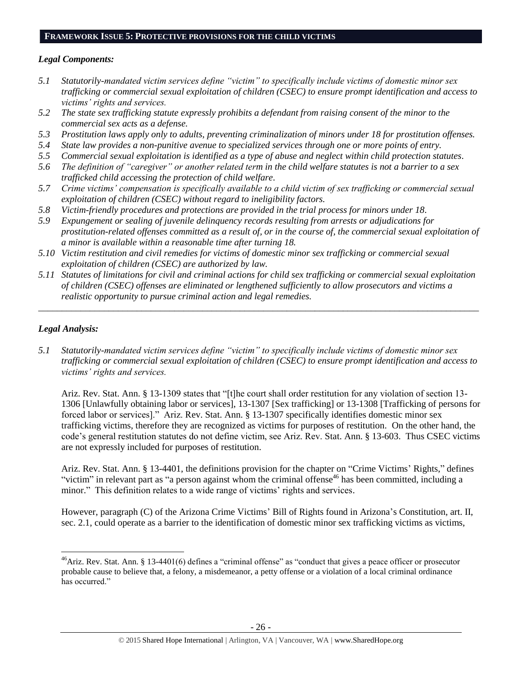#### **FRAMEWORK ISSUE 5: PROTECTIVE PROVISIONS FOR THE CHILD VICTIMS**

## *Legal Components:*

- *5.1 Statutorily-mandated victim services define "victim" to specifically include victims of domestic minor sex trafficking or commercial sexual exploitation of children (CSEC) to ensure prompt identification and access to victims' rights and services.*
- *5.2 The state sex trafficking statute expressly prohibits a defendant from raising consent of the minor to the commercial sex acts as a defense.*
- *5.3 Prostitution laws apply only to adults, preventing criminalization of minors under 18 for prostitution offenses.*
- *5.4 State law provides a non-punitive avenue to specialized services through one or more points of entry.*
- *5.5 Commercial sexual exploitation is identified as a type of abuse and neglect within child protection statutes.*
- *5.6 The definition of "caregiver" or another related term in the child welfare statutes is not a barrier to a sex trafficked child accessing the protection of child welfare.*
- *5.7 Crime victims' compensation is specifically available to a child victim of sex trafficking or commercial sexual exploitation of children (CSEC) without regard to ineligibility factors.*
- *5.8 Victim-friendly procedures and protections are provided in the trial process for minors under 18.*
- *5.9 Expungement or sealing of juvenile delinquency records resulting from arrests or adjudications for prostitution-related offenses committed as a result of, or in the course of, the commercial sexual exploitation of a minor is available within a reasonable time after turning 18.*
- *5.10 Victim restitution and civil remedies for victims of domestic minor sex trafficking or commercial sexual exploitation of children (CSEC) are authorized by law.*
- *5.11 Statutes of limitations for civil and criminal actions for child sex trafficking or commercial sexual exploitation of children (CSEC) offenses are eliminated or lengthened sufficiently to allow prosecutors and victims a realistic opportunity to pursue criminal action and legal remedies.*

*\_\_\_\_\_\_\_\_\_\_\_\_\_\_\_\_\_\_\_\_\_\_\_\_\_\_\_\_\_\_\_\_\_\_\_\_\_\_\_\_\_\_\_\_\_\_\_\_\_\_\_\_\_\_\_\_\_\_\_\_\_\_\_\_\_\_\_\_\_\_\_\_\_\_\_\_\_\_\_\_\_\_\_\_\_\_\_\_\_\_\_\_\_\_*

# *Legal Analysis:*

 $\overline{a}$ 

*5.1 Statutorily-mandated victim services define "victim" to specifically include victims of domestic minor sex trafficking or commercial sexual exploitation of children (CSEC) to ensure prompt identification and access to victims' rights and services.* 

Ariz. Rev. Stat. Ann. § 13-1309 states that "[t]he court shall order restitution for any violation of section 13- 1306 [Unlawfully obtaining labor or services], 13-1307 [Sex trafficking] or 13-1308 [Trafficking of persons for forced labor or services]." Ariz. Rev. Stat. Ann. § 13-1307 specifically identifies domestic minor sex trafficking victims, therefore they are recognized as victims for purposes of restitution. On the other hand, the code's general restitution statutes do not define victim, see Ariz. Rev. Stat. Ann. § 13-603. Thus CSEC victims are not expressly included for purposes of restitution.

Ariz. Rev. Stat. Ann. § 13-4401, the definitions provision for the chapter on "Crime Victims' Rights," defines "victim" in relevant part as "a person against whom the criminal offense<sup>46</sup> has been committed, including a minor." This definition relates to a wide range of victims' rights and services.

However, paragraph (C) of the Arizona Crime Victims' Bill of Rights found in Arizona's Constitution, art. II, sec. 2.1, could operate as a barrier to the identification of domestic minor sex trafficking victims as victims,

 $46$ Ariz. Rev. Stat. Ann. § 13-4401(6) defines a "criminal offense" as "conduct that gives a peace officer or prosecutor probable cause to believe that, a felony, a misdemeanor, a petty offense or a violation of a local criminal ordinance has occurred."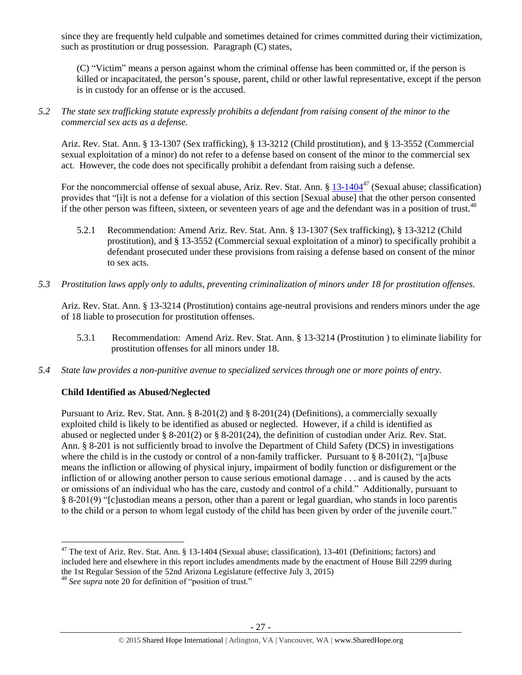since they are frequently held culpable and sometimes detained for crimes committed during their victimization, such as prostitution or drug possession. Paragraph (C) states,

(C) "Victim" means a person against whom the criminal offense has been committed or, if the person is killed or incapacitated, the person's spouse, parent, child or other lawful representative, except if the person is in custody for an offense or is the accused.

*5.2 The state sex trafficking statute expressly prohibits a defendant from raising consent of the minor to the commercial sex acts as a defense.*

Ariz. Rev. Stat. Ann. § 13-1307 (Sex trafficking), § 13-3212 (Child prostitution), and § 13-3552 (Commercial sexual exploitation of a minor) do not refer to a defense based on consent of the minor to the commercial sex act. However, the code does not specifically prohibit a defendant from raising such a defense.

For the noncommercial offense of sexual abuse, Ariz. Rev. Stat. Ann. § [13-1404](http://www.azleg.gov/FormatDocument.asp?inDoc=/ars/13/01404.htm)<sup>47</sup> (Sexual abuse; classification) provides that "[i]t is not a defense for a violation of this section [Sexual abuse] that the other person consented if the other person was fifteen, sixteen, or seventeen years of age and the defendant was in a position of trust. $^{48}$ 

- 5.2.1 Recommendation: Amend Ariz. Rev. Stat. Ann. § 13-1307 (Sex trafficking), § 13-3212 (Child prostitution), and § 13-3552 (Commercial sexual exploitation of a minor) to specifically prohibit a defendant prosecuted under these provisions from raising a defense based on consent of the minor to sex acts.
- *5.3 Prostitution laws apply only to adults, preventing criminalization of minors under 18 for prostitution offenses.*

Ariz. Rev. Stat. Ann. § 13-3214 (Prostitution) contains age-neutral provisions and renders minors under the age of 18 liable to prosecution for prostitution offenses.

- 5.3.1 Recommendation: Amend Ariz. Rev. Stat. Ann. § 13-3214 (Prostitution ) to eliminate liability for prostitution offenses for all minors under 18.
- *5.4 State law provides a non-punitive avenue to specialized services through one or more points of entry.*

## **Child Identified as Abused/Neglected**

Pursuant to Ariz. Rev. Stat. Ann. § 8-201(2) and § 8-201(24) (Definitions), a commercially sexually exploited child is likely to be identified as abused or neglected. However, if a child is identified as abused or neglected under § 8-201(2) or § 8-201(24), the definition of custodian under Ariz. Rev. Stat. Ann. § 8-201 is not sufficiently broad to involve the Department of Child Safety (DCS) in investigations where the child is in the custody or control of a non-family trafficker. Pursuant to  $\S$  8-201(2), "[a]buse means the infliction or allowing of physical injury, impairment of bodily function or disfigurement or the infliction of or allowing another person to cause serious emotional damage . . . and is caused by the acts or omissions of an individual who has the care, custody and control of a child." Additionally, pursuant to § 8-201(9) "[c]ustodian means a person, other than a parent or legal guardian, who stands in loco parentis to the child or a person to whom legal custody of the child has been given by order of the juvenile court."

 $\overline{a}$ 

 $47$  The text of Ariz. Rev. Stat. Ann. § 13-1404 (Sexual abuse; classification), 13-401 (Definitions; factors) and included here and elsewhere in this report includes amendments made by the enactment of House Bill 2299 during the 1st Regular Session of the 52nd Arizona Legislature (effective July 3, 2015)

<sup>48</sup> *See supra* note [20](#page-10-0) for definition of "position of trust."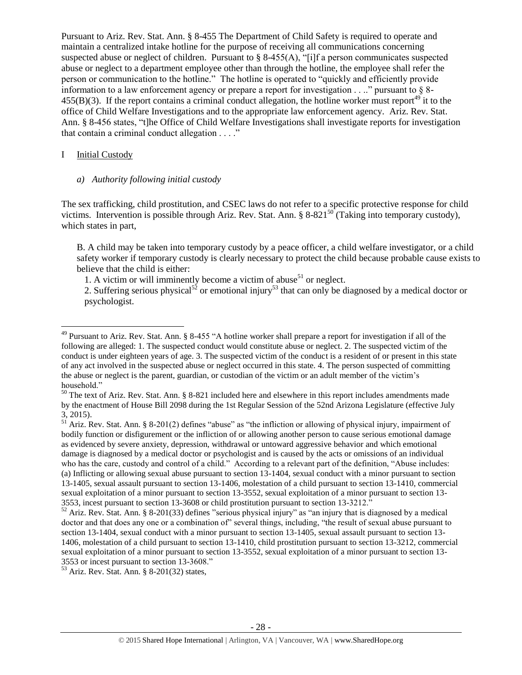Pursuant to Ariz. Rev. Stat. Ann. § 8-455 The Department of Child Safety is required to operate and maintain a centralized intake hotline for the purpose of receiving all communications concerning suspected abuse or neglect of children. Pursuant to § 8-455(A), "[i]f a person communicates suspected abuse or neglect to a department employee other than through the hotline, the employee shall refer the person or communication to the hotline." The hotline is operated to "quickly and efficiently provide information to a law enforcement agency or prepare a report for investigation . . .." pursuant to § 8- 455(B)(3). If the report contains a criminal conduct allegation, the hotline worker must report<sup>49</sup> it to the office of Child Welfare Investigations and to the appropriate law enforcement agency. Ariz. Rev. Stat. Ann. § 8-456 states, "t]he Office of Child Welfare Investigations shall investigate reports for investigation that contain a criminal conduct allegation . . . ."

#### I Initial Custody

 $\overline{a}$ 

#### *a) Authority following initial custody*

The sex trafficking, child prostitution, and CSEC laws do not refer to a specific protective response for child victims. Intervention is possible through Ariz. Rev. Stat. Ann.  $\S 8-821^{50}$  (Taking into temporary custody), which states in part,

B. A child may be taken into temporary custody by a peace officer, a child welfare investigator, or a child safety worker if temporary custody is clearly necessary to protect the child because probable cause exists to believe that the child is either:

1. A victim or will imminently become a victim of abuse<sup>51</sup> or neglect.

2. Suffering serious physical<sup>52</sup> or emotional injury<sup>53</sup> that can only be diagnosed by a medical doctor or psychologist.

 $50$  The text of Ariz. Rev. Stat. Ann. § 8-821 included here and elsewhere in this report includes amendments made by the enactment of House Bill 2098 during the 1st Regular Session of the 52nd Arizona Legislature (effective July 3, 2015).

 $51$  Ariz. Rev. Stat. Ann. § 8-201(2) defines "abuse" as "the infliction or allowing of physical injury, impairment of bodily function or disfigurement or the infliction of or allowing another person to cause serious emotional damage as evidenced by severe anxiety, depression, withdrawal or untoward aggressive behavior and which emotional damage is diagnosed by a medical doctor or psychologist and is caused by the acts or omissions of an individual who has the care, custody and control of a child." According to a relevant part of the definition, "Abuse includes: (a) Inflicting or allowing sexual abuse pursuant to section 13-1404, sexual conduct with a minor pursuant to section 13-1405, sexual assault pursuant to section 13-1406, molestation of a child pursuant to section 13-1410, commercial sexual exploitation of a minor pursuant to section 13-3552, sexual exploitation of a minor pursuant to section 13- 3553, incest pursuant to section 13-3608 or child prostitution pursuant to section 13-3212."

<sup>53</sup> Ariz. Rev. Stat. Ann. § 8-201(32) states,

<sup>&</sup>lt;sup>49</sup> Pursuant to Ariz. Rev. Stat. Ann. § 8-455 "A hotline worker shall prepare a report for investigation if all of the following are alleged: 1. The suspected conduct would constitute abuse or neglect. 2. The suspected victim of the conduct is under eighteen years of age. 3. The suspected victim of the conduct is a resident of or present in this state of any act involved in the suspected abuse or neglect occurred in this state. 4. The person suspected of committing the abuse or neglect is the parent, guardian, or custodian of the victim or an adult member of the victim's household."

<sup>52</sup> Ariz. Rev. Stat. Ann. § 8-201(33) defines "serious physical injury" as "an injury that is diagnosed by a medical doctor and that does any one or a combination of" several things, including, "the result of sexual abuse pursuant to section 13-1404, sexual conduct with a minor pursuant to section 13-1405, sexual assault pursuant to section 13- 1406, molestation of a child pursuant to section 13-1410, child prostitution pursuant to section 13-3212, commercial sexual exploitation of a minor pursuant to section 13-3552, sexual exploitation of a minor pursuant to section 13- 3553 or incest pursuant to section 13-3608."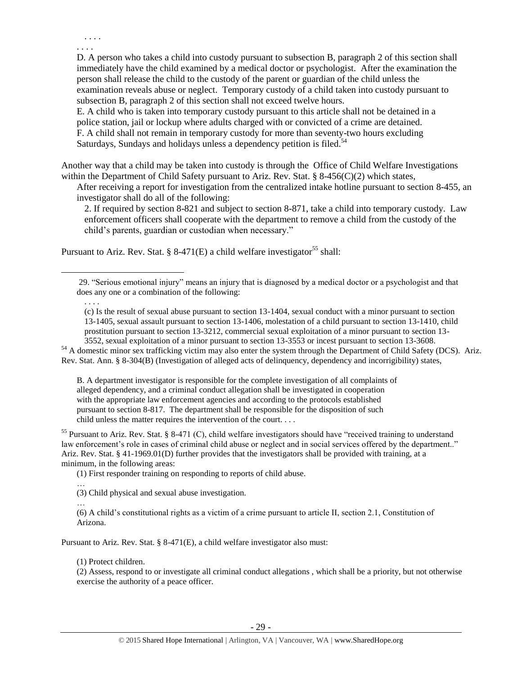. . . . . . . .

 $\overline{a}$ 

D. A person who takes a child into custody pursuant to subsection B, paragraph 2 of this section shall immediately have the child examined by a medical doctor or psychologist. After the examination the person shall release the child to the custody of the parent or guardian of the child unless the examination reveals abuse or neglect. Temporary custody of a child taken into custody pursuant to subsection B, paragraph 2 of this section shall not exceed twelve hours.

E. A child who is taken into temporary custody pursuant to this article shall not be detained in a police station, jail or lockup where adults charged with or convicted of a crime are detained. F. A child shall not remain in temporary custody for more than seventy-two hours excluding Saturdays, Sundays and holidays unless a dependency petition is filed.<sup>54</sup>

Another way that a child may be taken into custody is through the Office of Child Welfare Investigations within the Department of Child Safety pursuant to Ariz. Rev. Stat. §  $8-456(C)(2)$  which states,

After receiving a report for investigation from the centralized intake hotline pursuant to section 8-455, an investigator shall do all of the following:

2. If required by section 8-821 and subject to section 8-871, take a child into temporary custody. Law enforcement officers shall cooperate with the department to remove a child from the custody of the child's parents, guardian or custodian when necessary."

Pursuant to Ariz. Rev. Stat. § 8-471(E) a child welfare investigator<sup>55</sup> shall:

(c) Is the result of sexual abuse pursuant to section 13-1404, sexual conduct with a minor pursuant to section 13-1405, sexual assault pursuant to section 13-1406, molestation of a child pursuant to section 13-1410, child prostitution pursuant to section 13-3212, commercial sexual exploitation of a minor pursuant to section 13-

3552, sexual exploitation of a minor pursuant to section 13-3553 or incest pursuant to section 13-3608. <sup>54</sup> A domestic minor sex trafficking victim may also enter the system through the Department of Child Safety (DCS). Ariz. Rev. Stat. Ann. § 8-304(B) (Investigation of alleged acts of delinquency, dependency and incorrigibility) states,

B. A department investigator is responsible for the complete investigation of all complaints of alleged dependency, and a criminal conduct allegation shall be investigated in cooperation with the appropriate law enforcement agencies and according to the protocols established pursuant to section 8-817. The department shall be responsible for the disposition of such child unless the matter requires the intervention of the court. . . .

<sup>55</sup> Pursuant to Ariz. Rev. Stat. § 8-471 (C), child welfare investigators should have "received training to understand law enforcement's role in cases of criminal child abuse or neglect and in social services offered by the department.." Ariz. Rev. Stat. § 41-1969.01(D) further provides that the investigators shall be provided with training, at a minimum, in the following areas:

(1) First responder training on responding to reports of child abuse.

… (3) Child physical and sexual abuse investigation.

… (6) A child's constitutional rights as a victim of a crime pursuant to article II, section 2.1, Constitution of Arizona.

Pursuant to Ariz. Rev. Stat. § 8-471(E), a child welfare investigator also must:

#### (1) Protect children.

(2) Assess, respond to or investigate all criminal conduct allegations , which shall be a priority, but not otherwise exercise the authority of a peace officer.

<sup>29.</sup> "Serious emotional injury" means an injury that is diagnosed by a medical doctor or a psychologist and that does any one or a combination of the following: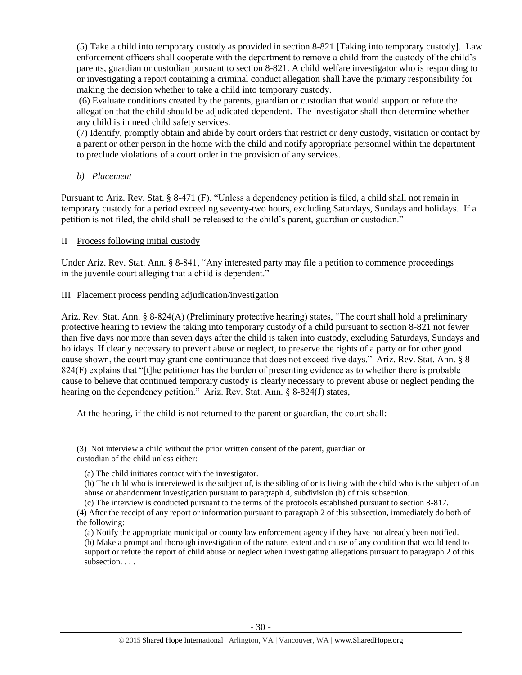(5) Take a child into temporary custody as provided in section 8-821 [Taking into temporary custody]. Law enforcement officers shall cooperate with the department to remove a child from the custody of the child's parents, guardian or custodian pursuant to section 8-821. A child welfare investigator who is responding to or investigating a report containing a criminal conduct allegation shall have the primary responsibility for making the decision whether to take a child into temporary custody.

(6) Evaluate conditions created by the parents, guardian or custodian that would support or refute the allegation that the child should be adjudicated dependent. The investigator shall then determine whether any child is in need child safety services.

(7) Identify, promptly obtain and abide by court orders that restrict or deny custody, visitation or contact by a parent or other person in the home with the child and notify appropriate personnel within the department to preclude violations of a court order in the provision of any services.

*b) Placement*

 $\overline{a}$ 

Pursuant to Ariz. Rev. Stat. § 8-471 (F), "Unless a dependency petition is filed, a child shall not remain in temporary custody for a period exceeding seventy-two hours, excluding Saturdays, Sundays and holidays. If a petition is not filed, the child shall be released to the child's parent, guardian or custodian."

# II Process following initial custody

Under Ariz. Rev. Stat. Ann. § 8-841, "Any interested party may file a petition to commence proceedings in the juvenile court alleging that a child is dependent."

## III Placement process pending adjudication/investigation

Ariz. Rev. Stat. Ann. § 8-824(A) (Preliminary protective hearing) states, "The court shall hold a preliminary protective hearing to review the taking into temporary custody of a child pursuant to section 8-821 not fewer than five days nor more than seven days after the child is taken into custody, excluding Saturdays, Sundays and holidays. If clearly necessary to prevent abuse or neglect, to preserve the rights of a party or for other good cause shown, the court may grant one continuance that does not exceed five days." Ariz. Rev. Stat. Ann. § 8- 824(F) explains that "[t]he petitioner has the burden of presenting evidence as to whether there is probable cause to believe that continued temporary custody is clearly necessary to prevent abuse or neglect pending the hearing on the dependency petition." Ariz. Rev. Stat. Ann. § 8-824(J) states,

At the hearing, if the child is not returned to the parent or guardian, the court shall:

<sup>(3)</sup> Not interview a child without the prior written consent of the parent, guardian or custodian of the child unless either:

<sup>(</sup>a) The child initiates contact with the investigator.

<sup>(</sup>b) The child who is interviewed is the subject of, is the sibling of or is living with the child who is the subject of an abuse or abandonment investigation pursuant to paragraph 4, subdivision (b) of this subsection.

<sup>(</sup>c) The interview is conducted pursuant to the terms of the protocols established pursuant to section 8-817.

<sup>(4)</sup> After the receipt of any report or information pursuant to paragraph 2 of this subsection, immediately do both of the following:

<sup>(</sup>a) Notify the appropriate municipal or county law enforcement agency if they have not already been notified. (b) Make a prompt and thorough investigation of the nature, extent and cause of any condition that would tend to support or refute the report of child abuse or neglect when investigating allegations pursuant to paragraph 2 of this subsection. . . .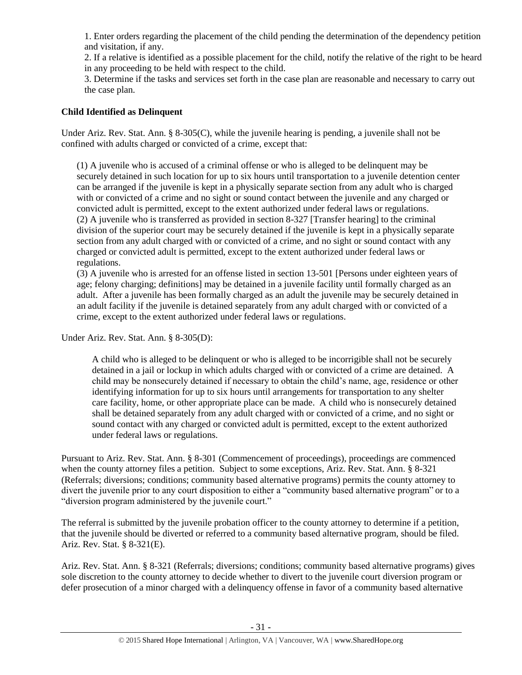1. Enter orders regarding the placement of the child pending the determination of the dependency petition and visitation, if any.

2. If a relative is identified as a possible placement for the child, notify the relative of the right to be heard in any proceeding to be held with respect to the child.

3. Determine if the tasks and services set forth in the case plan are reasonable and necessary to carry out the case plan.

# **Child Identified as Delinquent**

Under Ariz. Rev. Stat. Ann. § 8-305(C), while the juvenile hearing is pending, a juvenile shall not be confined with adults charged or convicted of a crime, except that:

(1) A juvenile who is accused of a criminal offense or who is alleged to be delinquent may be securely detained in such location for up to six hours until transportation to a juvenile detention center can be arranged if the juvenile is kept in a physically separate section from any adult who is charged with or convicted of a crime and no sight or sound contact between the juvenile and any charged or convicted adult is permitted, except to the extent authorized under federal laws or regulations. (2) A juvenile who is transferred as provided in section 8-327 [Transfer hearing] to the criminal division of the superior court may be securely detained if the juvenile is kept in a physically separate section from any adult charged with or convicted of a crime, and no sight or sound contact with any charged or convicted adult is permitted, except to the extent authorized under federal laws or regulations.

(3) A juvenile who is arrested for an offense listed in section 13-501 [Persons under eighteen years of age; felony charging; definitions] may be detained in a juvenile facility until formally charged as an adult. After a juvenile has been formally charged as an adult the juvenile may be securely detained in an adult facility if the juvenile is detained separately from any adult charged with or convicted of a crime, except to the extent authorized under federal laws or regulations.

Under Ariz. Rev. Stat. Ann. § 8-305(D):

A child who is alleged to be delinquent or who is alleged to be incorrigible shall not be securely detained in a jail or lockup in which adults charged with or convicted of a crime are detained. A child may be nonsecurely detained if necessary to obtain the child's name, age, residence or other identifying information for up to six hours until arrangements for transportation to any shelter care facility, home, or other appropriate place can be made. A child who is nonsecurely detained shall be detained separately from any adult charged with or convicted of a crime, and no sight or sound contact with any charged or convicted adult is permitted, except to the extent authorized under federal laws or regulations.

Pursuant to Ariz. Rev. Stat. Ann. § 8-301 (Commencement of proceedings), proceedings are commenced when the county attorney files a petition. Subject to some exceptions, Ariz. Rev. Stat. Ann. § 8-321 (Referrals; diversions; conditions; community based alternative programs) permits the county attorney to divert the juvenile prior to any court disposition to either a "community based alternative program" or to a "diversion program administered by the juvenile court."

The referral is submitted by the juvenile probation officer to the county attorney to determine if a petition, that the juvenile should be diverted or referred to a community based alternative program, should be filed. Ariz. Rev. Stat. § 8-321(E).

Ariz. Rev. Stat. Ann. § 8-321 (Referrals; diversions; conditions; community based alternative programs) gives sole discretion to the county attorney to decide whether to divert to the juvenile court diversion program or defer prosecution of a minor charged with a delinquency offense in favor of a community based alternative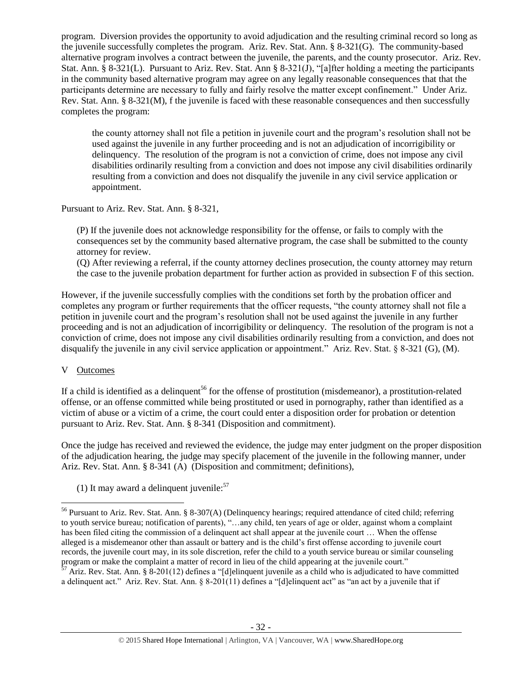program. Diversion provides the opportunity to avoid adjudication and the resulting criminal record so long as the juvenile successfully completes the program. Ariz. Rev. Stat. Ann. § 8-321(G). The community-based alternative program involves a contract between the juvenile, the parents, and the county prosecutor. Ariz. Rev. Stat. Ann. § 8-321(L). Pursuant to Ariz. Rev. Stat. Ann § 8-321(J), "[a]fter holding a meeting the participants in the community based alternative program may agree on any legally reasonable consequences that that the participants determine are necessary to fully and fairly resolve the matter except confinement." Under Ariz. Rev. Stat. Ann. § 8-321(M), f the juvenile is faced with these reasonable consequences and then successfully completes the program:

the county attorney shall not file a petition in juvenile court and the program's resolution shall not be used against the juvenile in any further proceeding and is not an adjudication of incorrigibility or delinquency. The resolution of the program is not a conviction of crime, does not impose any civil disabilities ordinarily resulting from a conviction and does not impose any civil disabilities ordinarily resulting from a conviction and does not disqualify the juvenile in any civil service application or appointment.

Pursuant to Ariz. Rev. Stat. Ann. § 8-321,

(P) If the juvenile does not acknowledge responsibility for the offense, or fails to comply with the consequences set by the community based alternative program, the case shall be submitted to the county attorney for review.

(Q) After reviewing a referral, if the county attorney declines prosecution, the county attorney may return the case to the juvenile probation department for further action as provided in subsection F of this section.

However, if the juvenile successfully complies with the conditions set forth by the probation officer and completes any program or further requirements that the officer requests, "the county attorney shall not file a petition in juvenile court and the program's resolution shall not be used against the juvenile in any further proceeding and is not an adjudication of incorrigibility or delinquency. The resolution of the program is not a conviction of crime, does not impose any civil disabilities ordinarily resulting from a conviction, and does not disqualify the juvenile in any civil service application or appointment." Ariz. Rev. Stat. § 8-321 (G), (M).

# V Outcomes

 $\overline{a}$ 

If a child is identified as a delinquent<sup>56</sup> for the offense of prostitution (misdemeanor), a prostitution-related offense, or an offense committed while being prostituted or used in pornography, rather than identified as a victim of abuse or a victim of a crime, the court could enter a disposition order for probation or detention pursuant to Ariz. Rev. Stat. Ann. § 8-341 (Disposition and commitment).

Once the judge has received and reviewed the evidence, the judge may enter judgment on the proper disposition of the adjudication hearing, the judge may specify placement of the juvenile in the following manner, under Ariz. Rev. Stat. Ann. § 8-341 (A) (Disposition and commitment; definitions),

(1) It may award a delinquent juvenile: $57$ 

<sup>&</sup>lt;sup>56</sup> Pursuant to Ariz. Rev. Stat. Ann. § 8-307(A) (Delinquency hearings; required attendance of cited child; referring to youth service bureau; notification of parents), "…any child, ten years of age or older, against whom a complaint has been filed citing the commission of a delinquent act shall appear at the juvenile court ... When the offense alleged is a misdemeanor other than assault or battery and is the child's first offense according to juvenile court records, the juvenile court may, in its sole discretion, refer the child to a youth service bureau or similar counseling program or make the complaint a matter of record in lieu of the child appearing at the juvenile court."

<sup>57</sup> Ariz. Rev. Stat. Ann. § 8-201(12) defines a "[d]elinquent juvenile as a child who is adjudicated to have committed a delinquent act." Ariz. Rev. Stat. Ann. § 8-201(11) defines a "[d]elinquent act" as "an act by a juvenile that if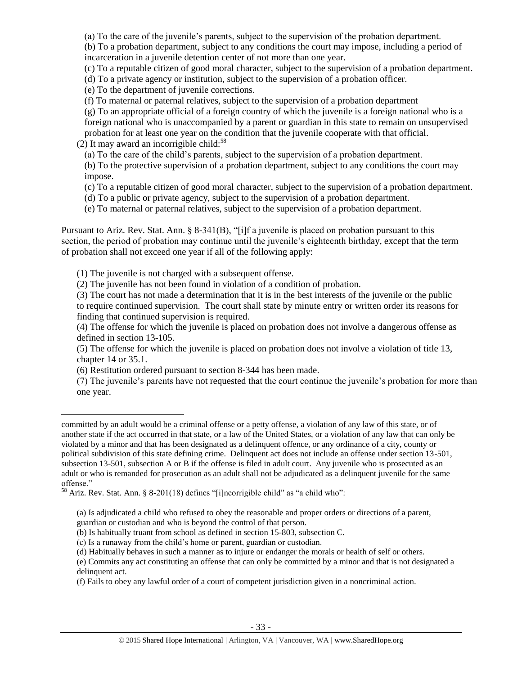(a) To the care of the juvenile's parents, subject to the supervision of the probation department.

(b) To a probation department, subject to any conditions the court may impose, including a period of incarceration in a juvenile detention center of not more than one year.

(c) To a reputable citizen of good moral character, subject to the supervision of a probation department.

(d) To a private agency or institution, subject to the supervision of a probation officer.

(e) To the department of juvenile corrections.

(f) To maternal or paternal relatives, subject to the supervision of a probation department

(g) To an appropriate official of a foreign country of which the juvenile is a foreign national who is a foreign national who is unaccompanied by a parent or guardian in this state to remain on unsupervised

probation for at least one year on the condition that the juvenile cooperate with that official. (2) It may award an incorrigible child: $58$ 

(a) To the care of the child's parents, subject to the supervision of a probation department.

(b) To the protective supervision of a probation department, subject to any conditions the court may impose.

(c) To a reputable citizen of good moral character, subject to the supervision of a probation department.

(d) To a public or private agency, subject to the supervision of a probation department.

(e) To maternal or paternal relatives, subject to the supervision of a probation department.

Pursuant to Ariz. Rev. Stat. Ann. § 8-341(B), "[i]f a juvenile is placed on probation pursuant to this section, the period of probation may continue until the juvenile's eighteenth birthday, except that the term of probation shall not exceed one year if all of the following apply:

(1) The juvenile is not charged with a subsequent offense.

(2) The juvenile has not been found in violation of a condition of probation.

(3) The court has not made a determination that it is in the best interests of the juvenile or the public to require continued supervision. The court shall state by minute entry or written order its reasons for finding that continued supervision is required.

(4) The offense for which the juvenile is placed on probation does not involve a dangerous offense as defined in section 13-105.

(5) The offense for which the juvenile is placed on probation does not involve a violation of title 13, chapter 14 or 35.1.

(6) Restitution ordered pursuant to section 8-344 has been made.

 $\overline{a}$ 

(7) The juvenile's parents have not requested that the court continue the juvenile's probation for more than one year.

guardian or custodian and who is beyond the control of that person.

committed by an adult would be a criminal offense or a petty offense, a violation of any law of this state, or of another state if the act occurred in that state, or a law of the United States, or a violation of any law that can only be violated by a minor and that has been designated as a delinquent offence, or any ordinance of a city, county or political subdivision of this state defining crime. Delinquent act does not include an offense under section 13-501, subsection 13-501, subsection A or B if the offense is filed in adult court. Any juvenile who is prosecuted as an adult or who is remanded for prosecution as an adult shall not be adjudicated as a delinquent juvenile for the same offense."

<sup>58</sup> Ariz. Rev. Stat. Ann. § 8-201(18) defines "[i]ncorrigible child" as "a child who":

<sup>(</sup>a) Is adjudicated a child who refused to obey the reasonable and proper orders or directions of a parent,

<sup>(</sup>b) Is habitually truant from school as defined in section 15-803, subsection C.

<sup>(</sup>c) Is a runaway from the child's home or parent, guardian or custodian.

<sup>(</sup>d) Habitually behaves in such a manner as to injure or endanger the morals or health of self or others.

<sup>(</sup>e) Commits any act constituting an offense that can only be committed by a minor and that is not designated a delinquent act.

<sup>(</sup>f) Fails to obey any lawful order of a court of competent jurisdiction given in a noncriminal action.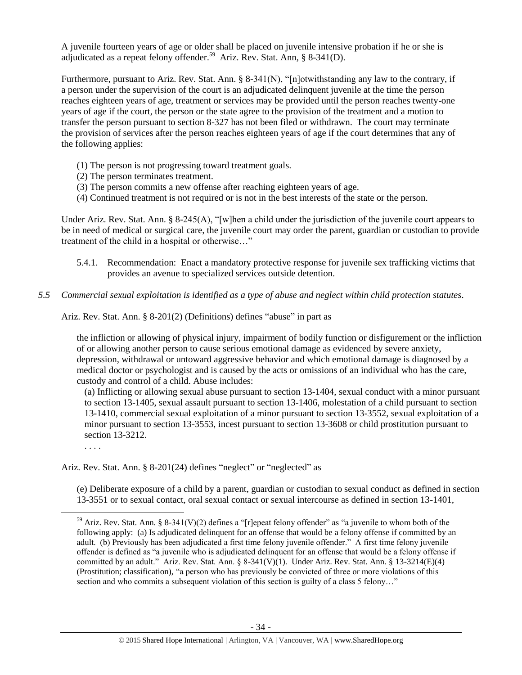A juvenile fourteen years of age or older shall be placed on juvenile intensive probation if he or she is adjudicated as a repeat felony offender.<sup>59</sup> Ariz. Rev. Stat. Ann, § 8-341(D).

Furthermore, pursuant to Ariz. Rev. Stat. Ann. § 8-341(N), "[n]otwithstanding any law to the contrary, if a person under the supervision of the court is an adjudicated delinquent juvenile at the time the person reaches eighteen years of age, treatment or services may be provided until the person reaches twenty-one years of age if the court, the person or the state agree to the provision of the treatment and a motion to transfer the person pursuant to section 8-327 has not been filed or withdrawn. The court may terminate the provision of services after the person reaches eighteen years of age if the court determines that any of the following applies:

- (1) The person is not progressing toward treatment goals.
- (2) The person terminates treatment.
- (3) The person commits a new offense after reaching eighteen years of age.
- (4) Continued treatment is not required or is not in the best interests of the state or the person.

Under Ariz. Rev. Stat. Ann. § 8-245(A), "[w]hen a child under the jurisdiction of the juvenile court appears to be in need of medical or surgical care, the juvenile court may order the parent, guardian or custodian to provide treatment of the child in a hospital or otherwise…"

- 5.4.1. Recommendation: Enact a mandatory protective response for juvenile sex trafficking victims that provides an avenue to specialized services outside detention.
- *5.5 Commercial sexual exploitation is identified as a type of abuse and neglect within child protection statutes.*

Ariz. Rev. Stat. Ann. § 8-201(2) (Definitions) defines "abuse" in part as

the infliction or allowing of physical injury, impairment of bodily function or disfigurement or the infliction of or allowing another person to cause serious emotional damage as evidenced by severe anxiety, depression, withdrawal or untoward aggressive behavior and which emotional damage is diagnosed by a medical doctor or psychologist and is caused by the acts or omissions of an individual who has the care, custody and control of a child. Abuse includes:

(a) Inflicting or allowing sexual abuse pursuant to section 13-1404, sexual conduct with a minor pursuant to section 13-1405, sexual assault pursuant to section 13-1406, molestation of a child pursuant to section 13-1410, commercial sexual exploitation of a minor pursuant to section 13-3552, sexual exploitation of a minor pursuant to section 13-3553, incest pursuant to section 13-3608 or child prostitution pursuant to section 13-3212.

. . . .

 $\overline{a}$ 

Ariz. Rev. Stat. Ann. § 8-201(24) defines "neglect" or "neglected" as

(e) Deliberate exposure of a child by a parent, guardian or custodian to sexual conduct as defined in section 13-3551 or to sexual contact, oral sexual contact or sexual intercourse as defined in section 13-1401,

<sup>&</sup>lt;sup>59</sup> Ariz. Rev. Stat. Ann. § 8-341(V)(2) defines a "[r]epeat felony offender" as "a juvenile to whom both of the following apply: (a) Is adjudicated delinquent for an offense that would be a felony offense if committed by an adult. (b) Previously has been adjudicated a first time felony juvenile offender." A first time felony juvenile offender is defined as "a juvenile who is adjudicated delinquent for an offense that would be a felony offense if committed by an adult." Ariz. Rev. Stat. Ann. § 8-341(V)(1). Under Ariz. Rev. Stat. Ann. § 13-3214(E)(4) (Prostitution; classification), "a person who has previously be convicted of three or more violations of this section and who commits a subsequent violation of this section is guilty of a class 5 felony..."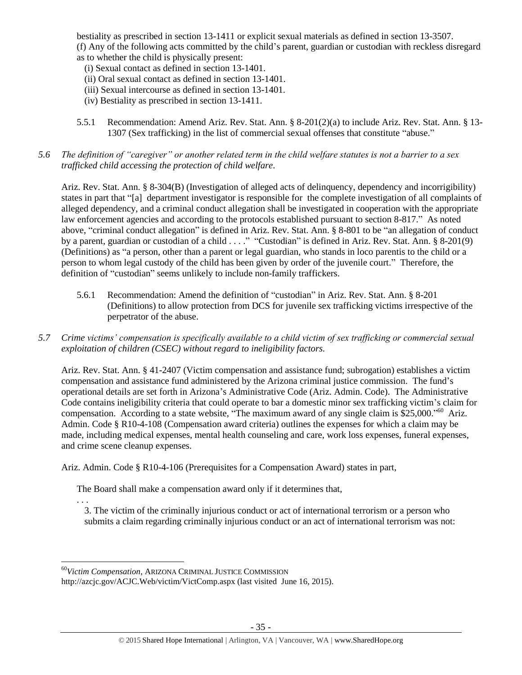bestiality as prescribed in section 13-1411 or explicit sexual materials as defined in section 13-3507. (f) Any of the following acts committed by the child's parent, guardian or custodian with reckless disregard as to whether the child is physically present:

- (i) Sexual contact as defined in section 13-1401.
- (ii) Oral sexual contact as defined in section 13-1401.
- (iii) Sexual intercourse as defined in section 13-1401.
- (iv) Bestiality as prescribed in section 13-1411.
- 5.5.1 Recommendation: Amend Ariz. Rev. Stat. Ann. § 8-201(2)(a) to include Ariz. Rev. Stat. Ann. § 13- 1307 (Sex trafficking) in the list of commercial sexual offenses that constitute "abuse."
- *5.6 The definition of "caregiver" or another related term in the child welfare statutes is not a barrier to a sex trafficked child accessing the protection of child welfare.*

Ariz. Rev. Stat. Ann. § 8-304(B) (Investigation of alleged acts of delinquency, dependency and incorrigibility) states in part that "[a] department investigator is responsible for the complete investigation of all complaints of alleged dependency, and a criminal conduct allegation shall be investigated in cooperation with the appropriate law enforcement agencies and according to the protocols established pursuant to section 8-817." As noted above, "criminal conduct allegation" is defined in Ariz. Rev. Stat. Ann. § 8-801 to be "an allegation of conduct by a parent, guardian or custodian of a child . . . ." "Custodian" is defined in Ariz. Rev. Stat. Ann. § 8-201(9) (Definitions) as "a person, other than a parent or legal guardian, who stands in loco parentis to the child or a person to whom legal custody of the child has been given by order of the juvenile court." Therefore, the definition of "custodian" seems unlikely to include non-family traffickers.

- 5.6.1 Recommendation: Amend the definition of "custodian" in Ariz. Rev. Stat. Ann. § 8-201 (Definitions) to allow protection from DCS for juvenile sex trafficking victims irrespective of the perpetrator of the abuse.
- *5.7 Crime victims' compensation is specifically available to a child victim of sex trafficking or commercial sexual exploitation of children (CSEC) without regard to ineligibility factors.*

Ariz. Rev. Stat. Ann. § 41-2407 (Victim compensation and assistance fund; subrogation) establishes a victim compensation and assistance fund administered by the Arizona criminal justice commission. The fund's operational details are set forth in Arizona's Administrative Code (Ariz. Admin. Code). The Administrative Code contains ineligibility criteria that could operate to bar a domestic minor sex trafficking victim's claim for compensation. According to a state website, "The maximum award of any single claim is  $$25,000."$ <sup>60</sup> Ariz. Admin. Code § R10-4-108 (Compensation award criteria) outlines the expenses for which a claim may be made, including medical expenses, mental health counseling and care, work loss expenses, funeral expenses, and crime scene cleanup expenses.

Ariz. Admin. Code § R10-4-106 (Prerequisites for a Compensation Award) states in part,

The Board shall make a compensation award only if it determines that,

. . . 3. The victim of the criminally injurious conduct or act of international terrorism or a person who submits a claim regarding criminally injurious conduct or an act of international terrorism was not:

 $\overline{a}$ 

<sup>60</sup>*Victim Compensation*, ARIZONA CRIMINAL JUSTICE COMMISSION

http://azcjc.gov/ACJC.Web/victim/VictComp.aspx (last visited June 16, 2015).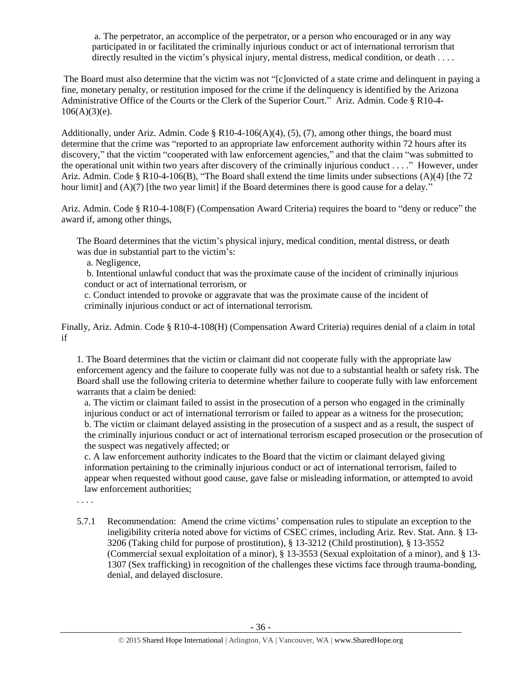a. The perpetrator, an accomplice of the perpetrator, or a person who encouraged or in any way participated in or facilitated the criminally injurious conduct or act of international terrorism that directly resulted in the victim's physical injury, mental distress, medical condition, or death . . . .

The Board must also determine that the victim was not "[c]onvicted of a state crime and delinquent in paying a fine, monetary penalty, or restitution imposed for the crime if the delinquency is identified by the Arizona Administrative Office of the Courts or the Clerk of the Superior Court." Ariz. Admin. Code § R10-4-  $106(A)(3)(e)$ .

Additionally, under Ariz. Admin. Code § R10-4-106(A)(4), (5), (7), among other things, the board must determine that the crime was "reported to an appropriate law enforcement authority within 72 hours after its discovery," that the victim "cooperated with law enforcement agencies," and that the claim "was submitted to the operational unit within two years after discovery of the criminally injurious conduct . . . ." However, under Ariz. Admin. Code § R10-4-106(B), "The Board shall extend the time limits under subsections (A)(4) [the 72 hour limit] and (A)(7) [the two year limit] if the Board determines there is good cause for a delay."

Ariz. Admin. Code § R10-4-108(F) (Compensation Award Criteria) requires the board to "deny or reduce" the award if, among other things,

The Board determines that the victim's physical injury, medical condition, mental distress, or death was due in substantial part to the victim's:

a. Negligence,

b. Intentional unlawful conduct that was the proximate cause of the incident of criminally injurious conduct or act of international terrorism, or

c. Conduct intended to provoke or aggravate that was the proximate cause of the incident of criminally injurious conduct or act of international terrorism.

Finally, Ariz. Admin. Code § R10-4-108(H) (Compensation Award Criteria) requires denial of a claim in total if

1. The Board determines that the victim or claimant did not cooperate fully with the appropriate law enforcement agency and the failure to cooperate fully was not due to a substantial health or safety risk. The Board shall use the following criteria to determine whether failure to cooperate fully with law enforcement warrants that a claim be denied:

a. The victim or claimant failed to assist in the prosecution of a person who engaged in the criminally injurious conduct or act of international terrorism or failed to appear as a witness for the prosecution; b. The victim or claimant delayed assisting in the prosecution of a suspect and as a result, the suspect of the criminally injurious conduct or act of international terrorism escaped prosecution or the prosecution of the suspect was negatively affected; or

c. A law enforcement authority indicates to the Board that the victim or claimant delayed giving information pertaining to the criminally injurious conduct or act of international terrorism, failed to appear when requested without good cause, gave false or misleading information, or attempted to avoid law enforcement authorities;

. . . .

5.7.1 Recommendation: Amend the crime victims' compensation rules to stipulate an exception to the ineligibility criteria noted above for victims of CSEC crimes, including Ariz. Rev. Stat. Ann. § 13- 3206 (Taking child for purpose of prostitution), § 13-3212 (Child prostitution), § 13-3552 (Commercial sexual exploitation of a minor), § 13-3553 (Sexual exploitation of a minor), and § 13- 1307 (Sex trafficking) in recognition of the challenges these victims face through trauma-bonding, denial, and delayed disclosure.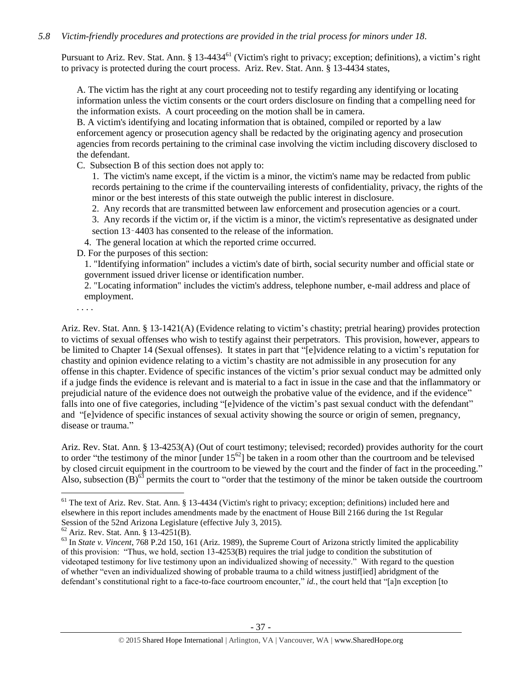# *5.8 Victim-friendly procedures and protections are provided in the trial process for minors under 18.*

Pursuant to Ariz. Rev. Stat. Ann. § 13-4434<sup>61</sup> (Victim's right to privacy; exception; definitions), a victim's right to privacy is protected during the court process. Ariz. Rev. Stat. Ann. § 13-4434 states,

A. The victim has the right at any court proceeding not to testify regarding any identifying or locating information unless the victim consents or the court orders disclosure on finding that a compelling need for the information exists. A court proceeding on the motion shall be in camera.

B. A victim's identifying and locating information that is obtained, compiled or reported by a law enforcement agency or prosecution agency shall be redacted by the originating agency and prosecution agencies from records pertaining to the criminal case involving the victim including discovery disclosed to the defendant.

C. Subsection B of this section does not apply to:

1. The victim's name except, if the victim is a minor, the victim's name may be redacted from public records pertaining to the crime if the countervailing interests of confidentiality, privacy, the rights of the minor or the best interests of this state outweigh the public interest in disclosure.

2. Any records that are transmitted between law enforcement and prosecution agencies or a court.

3. Any records if the victim or, if the victim is a minor, the victim's representative as designated under section 13–4403 has consented to the release of the information.

4. The general location at which the reported crime occurred.

D. For the purposes of this section:

1. "Identifying information" includes a victim's date of birth, social security number and official state or government issued driver license or identification number.

2. "Locating information" includes the victim's address, telephone number, e-mail address and place of employment.

. . . .

 $\overline{a}$ 

Ariz. Rev. Stat. Ann. § 13-1421(A) (Evidence relating to victim's chastity; pretrial hearing) provides protection to victims of sexual offenses who wish to testify against their perpetrators. This provision, however, appears to be limited to Chapter 14 (Sexual offenses). It states in part that "[e]vidence relating to a victim's reputation for chastity and opinion evidence relating to a victim's chastity are not admissible in any prosecution for any offense in this chapter. Evidence of specific instances of the victim's prior sexual conduct may be admitted only if a judge finds the evidence is relevant and is material to a fact in issue in the case and that the inflammatory or prejudicial nature of the evidence does not outweigh the probative value of the evidence, and if the evidence" falls into one of five categories, including "[e]vidence of the victim's past sexual conduct with the defendant" and "[e]vidence of specific instances of sexual activity showing the source or origin of semen, pregnancy, disease or trauma."

Ariz. Rev. Stat. Ann. § 13-4253(A) (Out of court testimony; televised; recorded) provides authority for the court to order "the testimony of the minor  $\left[$ under  $15^{62}$ ] be taken in a room other than the courtroom and be televised by closed circuit equipment in the courtroom to be viewed by the court and the finder of fact in the proceeding." Also, subsection  $(\tilde{B})^{63}$  permits the court to "order that the testimony of the minor be taken outside the courtroom

<sup>&</sup>lt;sup>61</sup> The text of Ariz. Rev. Stat. Ann. § 13-4434 (Victim's right to privacy; exception; definitions) included here and elsewhere in this report includes amendments made by the enactment of House Bill 2166 during the 1st Regular Session of the 52nd Arizona Legislature (effective July 3, 2015).

 $62$  Ariz. Rev. Stat. Ann. § 13-4251(B).

<sup>63</sup> In *State v. Vincent*, 768 P.2d 150, 161 (Ariz. 1989), the Supreme Court of Arizona strictly limited the applicability of this provision: "Thus, we hold, section 13-4253(B) requires the trial judge to condition the substitution of videotaped testimony for live testimony upon an individualized showing of necessity." With regard to the question of whether "even an individualized showing of probable trauma to a child witness justif[ied] abridgment of the defendant's constitutional right to a face-to-face courtroom encounter," *id.*, the court held that "[a]n exception [to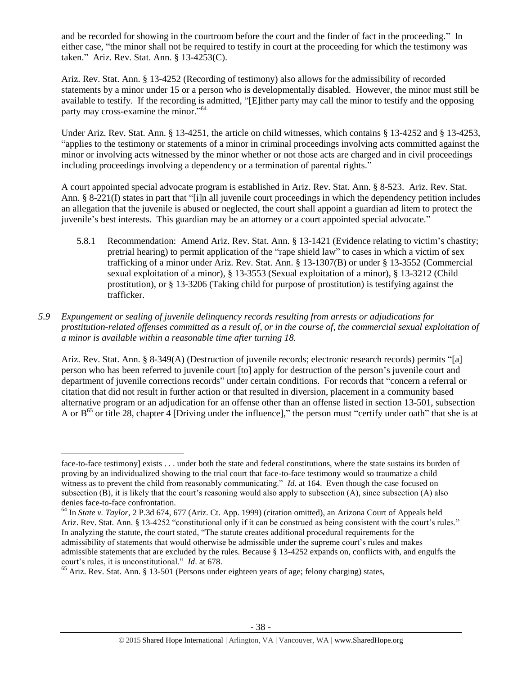and be recorded for showing in the courtroom before the court and the finder of fact in the proceeding." In either case, "the minor shall not be required to testify in court at the proceeding for which the testimony was taken." Ariz. Rev. Stat. Ann. § 13-4253(C).

Ariz. Rev. Stat. Ann. § 13-4252 (Recording of testimony) also allows for the admissibility of recorded statements by a minor under 15 or a person who is developmentally disabled. However, the minor must still be available to testify. If the recording is admitted, "[E]ither party may call the minor to testify and the opposing party may cross-examine the minor."<sup>64</sup>

Under Ariz. Rev. Stat. Ann. § 13-4251, the article on child witnesses, which contains § 13-4252 and § 13-4253, "applies to the testimony or statements of a minor in criminal proceedings involving acts committed against the minor or involving acts witnessed by the minor whether or not those acts are charged and in civil proceedings including proceedings involving a dependency or a termination of parental rights."

A court appointed special advocate program is established in Ariz. Rev. Stat. Ann. § 8-523. Ariz. Rev. Stat. Ann. § 8-221(I) states in part that "[i]n all juvenile court proceedings in which the dependency petition includes an allegation that the juvenile is abused or neglected, the court shall appoint a guardian ad litem to protect the juvenile's best interests. This guardian may be an attorney or a court appointed special advocate."

5.8.1 Recommendation: Amend Ariz. Rev. Stat. Ann. § 13-1421 (Evidence relating to victim's chastity; pretrial hearing) to permit application of the "rape shield law" to cases in which a victim of sex trafficking of a minor under Ariz. Rev. Stat. Ann. § 13-1307(B) or under § 13-3552 (Commercial sexual exploitation of a minor), § 13-3553 (Sexual exploitation of a minor), § 13-3212 (Child prostitution), or § 13-3206 (Taking child for purpose of prostitution) is testifying against the trafficker.

# *5.9 Expungement or sealing of juvenile delinquency records resulting from arrests or adjudications for prostitution-related offenses committed as a result of, or in the course of, the commercial sexual exploitation of a minor is available within a reasonable time after turning 18.*

Ariz. Rev. Stat. Ann. § 8-349(A) (Destruction of juvenile records; electronic research records) permits "[a] person who has been referred to juvenile court [to] apply for destruction of the person's juvenile court and department of juvenile corrections records" under certain conditions. For records that "concern a referral or citation that did not result in further action or that resulted in diversion, placement in a community based alternative program or an adjudication for an offense other than an offense listed in section 13-501, subsection A or B<sup>65</sup> or title 28, chapter 4 [Driving under the influence]," the person must "certify under oath" that she is at

 $\overline{a}$ face-to-face testimony] exists . . . under both the state and federal constitutions, where the state sustains its burden of proving by an individualized showing to the trial court that face-to-face testimony would so traumatize a child witness as to prevent the child from reasonably communicating." *Id.* at 164. Even though the case focused on subsection (B), it is likely that the court's reasoning would also apply to subsection (A), since subsection (A) also denies face-to-face confrontation.

<sup>64</sup> In *State v. Taylor*, 2 P.3d 674, 677 (Ariz. Ct. App. 1999) (citation omitted), an Arizona Court of Appeals held Ariz. Rev. Stat. Ann. § 13-4252 "constitutional only if it can be construed as being consistent with the court's rules." In analyzing the statute, the court stated, "The statute creates additional procedural requirements for the admissibility of statements that would otherwise be admissible under the supreme court's rules and makes admissible statements that are excluded by the rules. Because § 13-4252 expands on, conflicts with, and engulfs the court's rules, it is unconstitutional." *Id*. at 678.

 $65$  Ariz. Rev. Stat. Ann. § 13-501 (Persons under eighteen years of age; felony charging) states,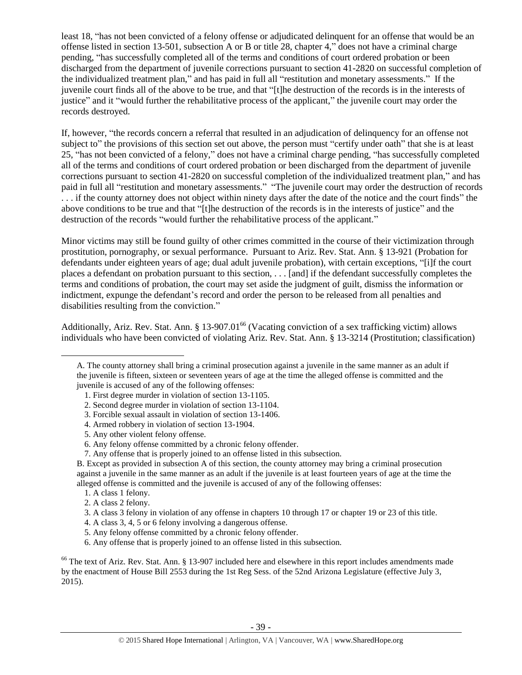least 18, "has not been convicted of a felony offense or adjudicated delinquent for an offense that would be an offense listed in section 13-501, subsection A or B or title 28, chapter 4," does not have a criminal charge pending, "has successfully completed all of the terms and conditions of court ordered probation or been discharged from the department of juvenile corrections pursuant to section 41-2820 on successful completion of the individualized treatment plan," and has paid in full all "restitution and monetary assessments." If the juvenile court finds all of the above to be true, and that "[t]he destruction of the records is in the interests of justice" and it "would further the rehabilitative process of the applicant," the juvenile court may order the records destroyed.

If, however, "the records concern a referral that resulted in an adjudication of delinquency for an offense not subject to" the provisions of this section set out above, the person must "certify under oath" that she is at least 25, "has not been convicted of a felony," does not have a criminal charge pending, "has successfully completed all of the terms and conditions of court ordered probation or been discharged from the department of juvenile corrections pursuant to section 41-2820 on successful completion of the individualized treatment plan," and has paid in full all "restitution and monetary assessments." "The juvenile court may order the destruction of records . . . if the county attorney does not object within ninety days after the date of the notice and the court finds" the above conditions to be true and that "[t]he destruction of the records is in the interests of justice" and the destruction of the records "would further the rehabilitative process of the applicant."

Minor victims may still be found guilty of other crimes committed in the course of their victimization through prostitution, pornography, or sexual performance. Pursuant to Ariz. Rev. Stat. Ann. § 13-921 (Probation for defendants under eighteen years of age; dual adult juvenile probation), with certain exceptions, "[i]f the court places a defendant on probation pursuant to this section, . . . [and] if the defendant successfully completes the terms and conditions of probation, the court may set aside the judgment of guilt, dismiss the information or indictment, expunge the defendant's record and order the person to be released from all penalties and disabilities resulting from the conviction."

Additionally, Ariz. Rev. Stat. Ann. § 13-907.01<sup>66</sup> (Vacating conviction of a sex trafficking victim) allows individuals who have been convicted of violating Ariz. Rev. Stat. Ann. § 13-3214 (Prostitution; classification)

- 4. Armed robbery in violation of section 13-1904.
- 5. Any other violent felony offense.

1. A class 1 felony.

 $\overline{a}$ 

<sup>66</sup> The text of Ariz. Rev. Stat. Ann. § 13-907 included here and elsewhere in this report includes amendments made by the enactment of House Bill 2553 during the 1st Reg Sess. of the 52nd Arizona Legislature (effective July 3, 2015).

A. The county attorney shall bring a criminal prosecution against a juvenile in the same manner as an adult if the juvenile is fifteen, sixteen or seventeen years of age at the time the alleged offense is committed and the juvenile is accused of any of the following offenses:

<sup>1.</sup> First degree murder in violation of section 13-1105.

<sup>2.</sup> Second degree murder in violation of section 13-1104.

<sup>3.</sup> Forcible sexual assault in violation of section 13-1406.

<sup>6.</sup> Any felony offense committed by a chronic felony offender.

<sup>7.</sup> Any offense that is properly joined to an offense listed in this subsection.

B. Except as provided in subsection A of this section, the county attorney may bring a criminal prosecution against a juvenile in the same manner as an adult if the juvenile is at least fourteen years of age at the time the alleged offense is committed and the juvenile is accused of any of the following offenses:

<sup>2.</sup> A class 2 felony.

<sup>3.</sup> A class 3 felony in violation of any offense in chapters 10 through 17 or chapter 19 or 23 of this title.

<sup>4.</sup> A class 3, 4, 5 or 6 felony involving a dangerous offense.

<sup>5.</sup> Any felony offense committed by a chronic felony offender.

<sup>6.</sup> Any offense that is properly joined to an offense listed in this subsection.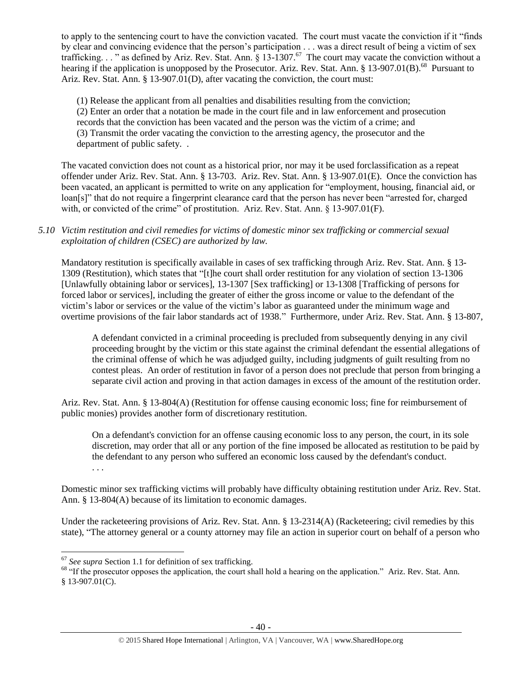to apply to the sentencing court to have the conviction vacated. The court must vacate the conviction if it "finds by clear and convincing evidence that the person's participation . . . was a direct result of being a victim of sex trafficking..." as defined by Ariz. Rev. Stat. Ann.  $\S 13-1307$ .<sup>67</sup> The court may vacate the conviction without a hearing if the application is unopposed by the Prosecutor. Ariz. Rev. Stat. Ann. § 13-907.01(B).<sup>68</sup> Pursuant to Ariz. Rev. Stat. Ann. § 13-907.01(D), after vacating the conviction, the court must:

(1) Release the applicant from all penalties and disabilities resulting from the conviction; (2) Enter an order that a notation be made in the court file and in law enforcement and prosecution records that the conviction has been vacated and the person was the victim of a crime; and (3) Transmit the order vacating the conviction to the arresting agency, the prosecutor and the department of public safety. .

The vacated conviction does not count as a historical prior, nor may it be used forclassification as a repeat offender under Ariz. Rev. Stat. Ann. § 13-703. Ariz. Rev. Stat. Ann. § 13-907.01(E). Once the conviction has been vacated, an applicant is permitted to write on any application for "employment, housing, financial aid, or loan[s]" that do not require a fingerprint clearance card that the person has never been "arrested for, charged with, or convicted of the crime" of prostitution. Ariz. Rev. Stat. Ann. § 13-907.01(F).

*5.10 Victim restitution and civil remedies for victims of domestic minor sex trafficking or commercial sexual exploitation of children (CSEC) are authorized by law.* 

Mandatory restitution is specifically available in cases of sex trafficking through Ariz. Rev. Stat. Ann. § 13- 1309 (Restitution), which states that "[t]he court shall order restitution for any violation of section 13-1306 [Unlawfully obtaining labor or services], 13-1307 [Sex trafficking] or 13-1308 [Trafficking of persons for forced labor or services], including the greater of either the gross income or value to the defendant of the victim's labor or services or the value of the victim's labor as guaranteed under the minimum wage and overtime provisions of the fair labor standards act of 1938." Furthermore, under Ariz. Rev. Stat. Ann. § 13-807,

A defendant convicted in a criminal proceeding is precluded from subsequently denying in any civil proceeding brought by the victim or this state against the criminal defendant the essential allegations of the criminal offense of which he was adjudged guilty, including judgments of guilt resulting from no contest pleas. An order of restitution in favor of a person does not preclude that person from bringing a separate civil action and proving in that action damages in excess of the amount of the restitution order.

Ariz. Rev. Stat. Ann. § 13-804(A) (Restitution for offense causing economic loss; fine for reimbursement of public monies) provides another form of discretionary restitution.

On a defendant's conviction for an offense causing economic loss to any person, the court, in its sole discretion, may order that all or any portion of the fine imposed be allocated as restitution to be paid by the defendant to any person who suffered an economic loss caused by the defendant's conduct. . . .

Domestic minor sex trafficking victims will probably have difficulty obtaining restitution under Ariz. Rev. Stat. Ann. § 13-804(A) because of its limitation to economic damages.

Under the racketeering provisions of Ariz. Rev. Stat. Ann. § 13-2314(A) (Racketeering; civil remedies by this state), "The attorney general or a county attorney may file an action in superior court on behalf of a person who

 $\overline{a}$ 

<sup>67</sup> *See supra* Section 1.1 for definition of sex trafficking.

<sup>&</sup>lt;sup>68</sup> "If the prosecutor opposes the application, the court shall hold a hearing on the application." Ariz. Rev. Stat. Ann. § 13-907.01(C).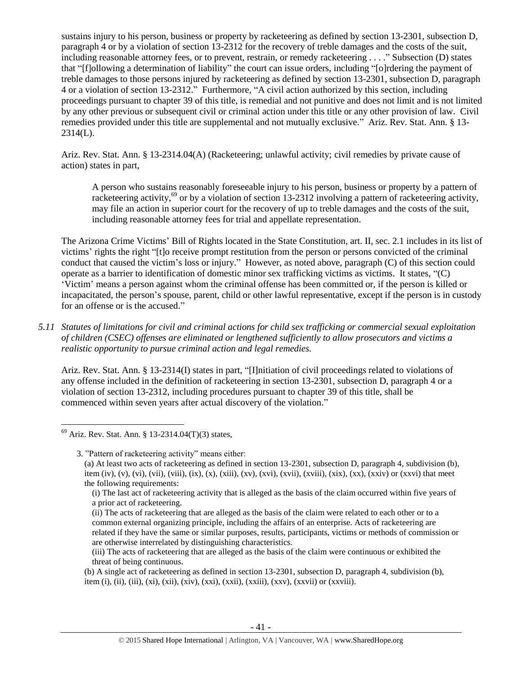sustains injury to his person, business or property by racketeering as defined by section 13-2301, subsection D, paragraph 4 or by a violation of section 13-2312 for the recovery of treble damages and the costs of the suit, including reasonable attorney fees, or to prevent, restrain, or remedy racketeering . . . ." Subsection (D) states that "[f]ollowing a determination of liability" the court can issue orders, including "[o]rdering the payment of treble damages to those persons injured by racketeering as defined by section 13-2301, subsection D, paragraph 4 or a violation of section 13-2312." Furthermore, "A civil action authorized by this section, including proceedings pursuant to chapter 39 of this title, is remedial and not punitive and does not limit and is not limited by any other previous or subsequent civil or criminal action under this title or any other provision of law. Civil remedies provided under this title are supplemental and not mutually exclusive." Ariz. Rev. Stat. Ann. § 13- 2314(L).

Ariz. Rev. Stat. Ann. § 13-2314.04(A) (Racketeering; unlawful activity; civil remedies by private cause of action) states in part,

A person who sustains reasonably foreseeable injury to his person, business or property by a pattern of racketeering activity,<sup>69</sup> or by a violation of section 13-2312 involving a pattern of racketeering activity, may file an action in superior court for the recovery of up to treble damages and the costs of the suit, including reasonable attorney fees for trial and appellate representation.

The Arizona Crime Victims' Bill of Rights located in the State Constitution, art. II, sec. 2.1 includes in its list of victims' rights the right "[t]o receive prompt restitution from the person or persons convicted of the criminal conduct that caused the victim's loss or injury." However, as noted above, paragraph (C) of this section could operate as a barrier to identification of domestic minor sex trafficking victims as victims. It states, "(C) 'Victim' means a person against whom the criminal offense has been committed or, if the person is killed or incapacitated, the person's spouse, parent, child or other lawful representative, except if the person is in custody for an offense or is the accused."

*5.11 Statutes of limitations for civil and criminal actions for child sex trafficking or commercial sexual exploitation of children (CSEC) offenses are eliminated or lengthened sufficiently to allow prosecutors and victims a realistic opportunity to pursue criminal action and legal remedies.*

Ariz. Rev. Stat. Ann. § 13-2314(I) states in part, "[I]nitiation of civil proceedings related to violations of any offense included in the definition of racketeering in section 13-2301, subsection D, paragraph 4 or a violation of section 13-2312, including procedures pursuant to chapter 39 of this title, shall be commenced within seven years after actual discovery of the violation."

3. "Pattern of racketeering activity" means either:

(ii) The acts of racketeering that are alleged as the basis of the claim were related to each other or to a common external organizing principle, including the affairs of an enterprise. Acts of racketeering are related if they have the same or similar purposes, results, participants, victims or methods of commission or are otherwise interrelated by distinguishing characteristics.

 $\overline{a}$  $69$  Ariz. Rev. Stat. Ann. § 13-2314.04(T)(3) states,

<sup>(</sup>a) At least two acts of racketeering as defined in section 13-2301, subsection D, paragraph 4, subdivision (b), item (iv), (v), (vi), (vii), (viii), (ix), (x), (xiii), (xv), (xvi), (xvii), (xviii), (xix), (xx), (xxiv) or (xxvi) that meet the following requirements:

<sup>(</sup>i) The last act of racketeering activity that is alleged as the basis of the claim occurred within five years of a prior act of racketeering.

<sup>(</sup>iii) The acts of racketeering that are alleged as the basis of the claim were continuous or exhibited the threat of being continuous.

<sup>(</sup>b) A single act of racketeering as defined in section 13-2301, subsection D, paragraph 4, subdivision (b), item (i), (ii), (iii), (xi), (xii), (xiv), (xxi), (xxii), (xxiii), (xxv), (xxvii) or (xxviii).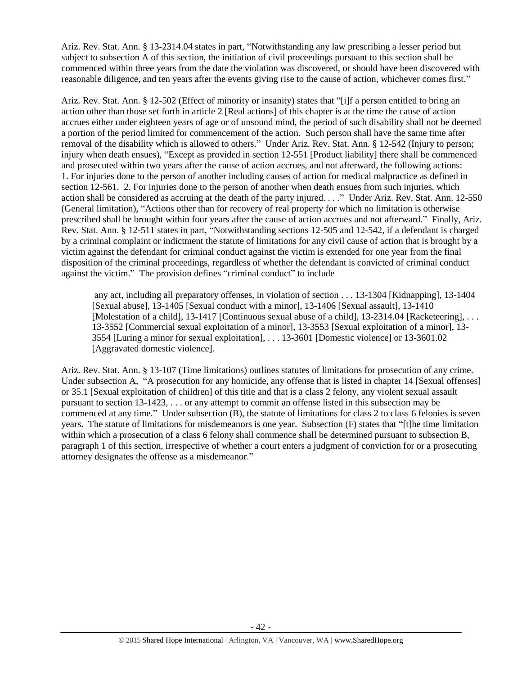Ariz. Rev. Stat. Ann. § 13-2314.04 states in part, "Notwithstanding any law prescribing a lesser period but subject to subsection A of this section, the initiation of civil proceedings pursuant to this section shall be commenced within three years from the date the violation was discovered, or should have been discovered with reasonable diligence, and ten years after the events giving rise to the cause of action, whichever comes first."

Ariz. Rev. Stat. Ann. § 12-502 (Effect of minority or insanity) states that "[i]f a person entitled to bring an action other than those set forth in article 2 [Real actions] of this chapter is at the time the cause of action accrues either under eighteen years of age or of unsound mind, the period of such disability shall not be deemed a portion of the period limited for commencement of the action. Such person shall have the same time after removal of the disability which is allowed to others." Under Ariz. Rev. Stat. Ann. § 12-542 (Injury to person; injury when death ensues), "Except as provided in [section 12-551](https://www.lexis.com/research/buttonTFLink?_m=3850ce49001f84acbff8d5994c1b54a8&_xfercite=%3ccite%20cc%3d%22USA%22%3e%3c%21%5bCDATA%5bA.R.S.%20%a7%2012-542%5d%5d%3e%3c%2fcite%3e&_butType=4&_butStat=0&_butNum=2&_butInline=1&_butinfo=AZCODE%2012-551&_fmtstr=FULL&docnum=1&_startdoc=1&wchp=dGLzVtz-zSkAl&_md5=5a988684de5eb43898e3ea5c05f332b5) [Product liability] there shall be commenced and prosecuted within two years after the cause of action accrues, and not afterward, the following actions: 1. For injuries done to the person of another including causes of action for medical malpractice as defined in [section 12-561.](https://www.lexis.com/research/buttonTFLink?_m=3850ce49001f84acbff8d5994c1b54a8&_xfercite=%3ccite%20cc%3d%22USA%22%3e%3c%21%5bCDATA%5bA.R.S.%20%a7%2012-542%5d%5d%3e%3c%2fcite%3e&_butType=4&_butStat=0&_butNum=3&_butInline=1&_butinfo=AZCODE%2012-561&_fmtstr=FULL&docnum=1&_startdoc=1&wchp=dGLzVtz-zSkAl&_md5=cf55beb52a68b5852cb6837706118de9) 2. For injuries done to the person of another when death ensues from such injuries, which action shall be considered as accruing at the death of the party injured. . . ." Under Ariz. Rev. Stat. Ann. 12-550 (General limitation), "Actions other than for recovery of real property for which no limitation is otherwise prescribed shall be brought within four years after the cause of action accrues and not afterward." Finally, Ariz. Rev. Stat. Ann. § 12-511 states in part, "Notwithstanding [sections 12-505](https://www.lexis.com/research/buttonTFLink?_m=648458cdffb0e5e94f9be30d2fa43d52&_xfercite=%3ccite%20cc%3d%22USA%22%3e%3c%21%5bCDATA%5bA.R.S.%20%a7%2012-511%5d%5d%3e%3c%2fcite%3e&_butType=4&_butStat=0&_butNum=2&_butInline=1&_butinfo=AZCODE%2012-505&_fmtstr=FULL&docnum=1&_startdoc=1&wchp=dGLzVtz-zSkAl&_md5=ffa275be36922dc82ec072f8c76ed452) and [12-542,](https://www.lexis.com/research/buttonTFLink?_m=648458cdffb0e5e94f9be30d2fa43d52&_xfercite=%3ccite%20cc%3d%22USA%22%3e%3c%21%5bCDATA%5bA.R.S.%20%a7%2012-511%5d%5d%3e%3c%2fcite%3e&_butType=4&_butStat=0&_butNum=3&_butInline=1&_butinfo=AZCODE%2012-542&_fmtstr=FULL&docnum=1&_startdoc=1&wchp=dGLzVtz-zSkAl&_md5=616988ce61c3f4890008f3dbf172e956) if a defendant is charged by a criminal complaint or indictment the statute of limitations for any civil cause of action that is brought by a victim against the defendant for criminal conduct against the victim is extended for one year from the final disposition of the criminal proceedings, regardless of whether the defendant is convicted of criminal conduct against the victim." The provision defines "criminal conduct" to include

any act, including all preparatory offenses, in violation of section . . . 13-1304 [Kidnapping], 13-1404 [Sexual abuse], [13-1405](https://www.lexis.com/research/buttonTFLink?_m=648458cdffb0e5e94f9be30d2fa43d52&_xfercite=%3ccite%20cc%3d%22USA%22%3e%3c%21%5bCDATA%5bA.R.S.%20%a7%2012-511%5d%5d%3e%3c%2fcite%3e&_butType=4&_butStat=0&_butNum=13&_butInline=1&_butinfo=AZCODE%2013-1405&_fmtstr=FULL&docnum=1&_startdoc=1&wchp=dGLzVtz-zSkAl&_md5=86f6ff4f84d089090703b334fd908fe7) [Sexual conduct with a minor], [13-1406](https://www.lexis.com/research/buttonTFLink?_m=648458cdffb0e5e94f9be30d2fa43d52&_xfercite=%3ccite%20cc%3d%22USA%22%3e%3c%21%5bCDATA%5bA.R.S.%20%a7%2012-511%5d%5d%3e%3c%2fcite%3e&_butType=4&_butStat=0&_butNum=14&_butInline=1&_butinfo=AZCODE%2013-1406&_fmtstr=FULL&docnum=1&_startdoc=1&wchp=dGLzVtz-zSkAl&_md5=8930b42b74160f3a33f835415f69c5f9) [Sexual assault], [13-1410](https://www.lexis.com/research/buttonTFLink?_m=648458cdffb0e5e94f9be30d2fa43d52&_xfercite=%3ccite%20cc%3d%22USA%22%3e%3c%21%5bCDATA%5bA.R.S.%20%a7%2012-511%5d%5d%3e%3c%2fcite%3e&_butType=4&_butStat=0&_butNum=15&_butInline=1&_butinfo=AZCODE%2013-1410&_fmtstr=FULL&docnum=1&_startdoc=1&wchp=dGLzVtz-zSkAl&_md5=d8ddf0caf98423ad6e77d336a353d669) [Molestation of a child][, 13-1417](https://www.lexis.com/research/buttonTFLink?_m=648458cdffb0e5e94f9be30d2fa43d52&_xfercite=%3ccite%20cc%3d%22USA%22%3e%3c%21%5bCDATA%5bA.R.S.%20%a7%2012-511%5d%5d%3e%3c%2fcite%3e&_butType=4&_butStat=0&_butNum=16&_butInline=1&_butinfo=AZCODE%2013-1417&_fmtstr=FULL&docnum=1&_startdoc=1&wchp=dGLzVtz-zSkAl&_md5=b46b123baab2c9a35c00418fd097f1e2) [Continuous sexual abuse of a child][, 13-2314.04](https://www.lexis.com/research/buttonTFLink?_m=648458cdffb0e5e94f9be30d2fa43d52&_xfercite=%3ccite%20cc%3d%22USA%22%3e%3c%21%5bCDATA%5bA.R.S.%20%a7%2012-511%5d%5d%3e%3c%2fcite%3e&_butType=4&_butStat=0&_butNum=17&_butInline=1&_butinfo=AZCODE%2013-2314.04&_fmtstr=FULL&docnum=1&_startdoc=1&wchp=dGLzVtz-zSkAl&_md5=cbb802a51819057aa3017cae57c46b03) [Racketeering], ... [13-3552](https://www.lexis.com/research/buttonTFLink?_m=648458cdffb0e5e94f9be30d2fa43d52&_xfercite=%3ccite%20cc%3d%22USA%22%3e%3c%21%5bCDATA%5bA.R.S.%20%a7%2012-511%5d%5d%3e%3c%2fcite%3e&_butType=4&_butStat=0&_butNum=23&_butInline=1&_butinfo=AZCODE%2013-3552&_fmtstr=FULL&docnum=1&_startdoc=1&wchp=dGLzVtz-zSkAl&_md5=23bf5ab5ae03efbab9b520703402f7e0) [Commercial sexual exploitation of a minor], [13-3553](https://www.lexis.com/research/buttonTFLink?_m=648458cdffb0e5e94f9be30d2fa43d52&_xfercite=%3ccite%20cc%3d%22USA%22%3e%3c%21%5bCDATA%5bA.R.S.%20%a7%2012-511%5d%5d%3e%3c%2fcite%3e&_butType=4&_butStat=0&_butNum=24&_butInline=1&_butinfo=AZCODE%2013-3553&_fmtstr=FULL&docnum=1&_startdoc=1&wchp=dGLzVtz-zSkAl&_md5=2a2d072894ade1cb3044af40adaf308b) [Sexual exploitation of a minor], [13-](https://www.lexis.com/research/buttonTFLink?_m=648458cdffb0e5e94f9be30d2fa43d52&_xfercite=%3ccite%20cc%3d%22USA%22%3e%3c%21%5bCDATA%5bA.R.S.%20%a7%2012-511%5d%5d%3e%3c%2fcite%3e&_butType=4&_butStat=0&_butNum=25&_butInline=1&_butinfo=AZCODE%2013-3554&_fmtstr=FULL&docnum=1&_startdoc=1&wchp=dGLzVtz-zSkAl&_md5=8a8963fbd347969d652e4359cec368b9) [3554](https://www.lexis.com/research/buttonTFLink?_m=648458cdffb0e5e94f9be30d2fa43d52&_xfercite=%3ccite%20cc%3d%22USA%22%3e%3c%21%5bCDATA%5bA.R.S.%20%a7%2012-511%5d%5d%3e%3c%2fcite%3e&_butType=4&_butStat=0&_butNum=25&_butInline=1&_butinfo=AZCODE%2013-3554&_fmtstr=FULL&docnum=1&_startdoc=1&wchp=dGLzVtz-zSkAl&_md5=8a8963fbd347969d652e4359cec368b9) [Luring a minor for sexual exploitation], . . . 13-3601 [Domestic violence] or 13-3601.02 [Aggravated domestic violence].

Ariz. Rev. Stat. Ann. § 13-107 (Time limitations) outlines statutes of limitations for prosecution of any crime. Under subsection A, "A prosecution for any homicide, any offense that is listed in chapter 14 [Sexual offenses] or 35.1 [Sexual exploitation of children] of this title and that is a class 2 felony, any violent sexual assault pursuant to section 13-1423, . . . or any attempt to commit an offense listed in this subsection may be commenced at any time." Under subsection (B), the statute of limitations for class 2 to class 6 felonies is seven years. The statute of limitations for misdemeanors is one year. Subsection (F) states that "[t]he time limitation within which a prosecution of a class 6 felony shall commence shall be determined pursuant to subsection B, paragraph 1 of this section, irrespective of whether a court enters a judgment of conviction for or a prosecuting attorney designates the offense as a misdemeanor."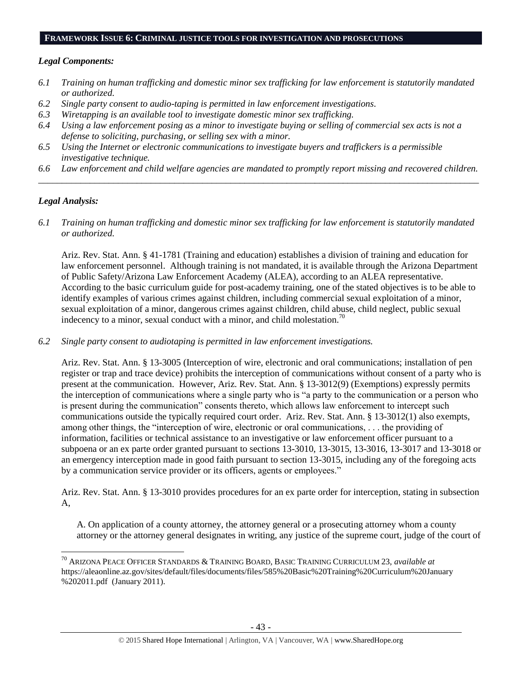#### **FRAMEWORK ISSUE 6: CRIMINAL JUSTICE TOOLS FOR INVESTIGATION AND PROSECUTIONS**

## *Legal Components:*

- *6.1 Training on human trafficking and domestic minor sex trafficking for law enforcement is statutorily mandated or authorized.*
- *6.2 Single party consent to audio-taping is permitted in law enforcement investigations.*
- *6.3 Wiretapping is an available tool to investigate domestic minor sex trafficking.*
- *6.4 Using a law enforcement posing as a minor to investigate buying or selling of commercial sex acts is not a defense to soliciting, purchasing, or selling sex with a minor.*
- *6.5 Using the Internet or electronic communications to investigate buyers and traffickers is a permissible investigative technique.*
- *6.6 Law enforcement and child welfare agencies are mandated to promptly report missing and recovered children. \_\_\_\_\_\_\_\_\_\_\_\_\_\_\_\_\_\_\_\_\_\_\_\_\_\_\_\_\_\_\_\_\_\_\_\_\_\_\_\_\_\_\_\_\_\_\_\_\_\_\_\_\_\_\_\_\_\_\_\_\_\_\_\_\_\_\_\_\_\_\_\_\_\_\_\_\_\_\_\_\_\_\_\_\_\_\_\_\_\_\_\_\_\_*

## *Legal Analysis:*

 $\overline{a}$ 

*6.1 Training on human trafficking and domestic minor sex trafficking for law enforcement is statutorily mandated or authorized.*

Ariz. Rev. Stat. Ann. § 41-1781 (Training and education) establishes a division of training and education for law enforcement personnel. Although training is not mandated, it is available through the Arizona Department of Public Safety/Arizona Law Enforcement Academy (ALEA), according to an ALEA representative. According to the basic curriculum guide for post-academy training, one of the stated objectives is to be able to identify examples of various crimes against children, including commercial sexual exploitation of a minor, sexual exploitation of a minor, dangerous crimes against children, child abuse, child neglect, public sexual indecency to a minor, sexual conduct with a minor, and child molestation.<sup>70</sup>

*6.2 Single party consent to audiotaping is permitted in law enforcement investigations.*

Ariz. Rev. Stat. Ann. § 13-3005 (Interception of wire, electronic and oral communications; installation of pen register or trap and trace device) prohibits the interception of communications without consent of a party who is present at the communication. However, Ariz. Rev. Stat. Ann. § 13-3012(9) (Exemptions) expressly permits the interception of communications where a single party who is "a party to the communication or a person who is present during the communication" consents thereto, which allows law enforcement to intercept such communications outside the typically required court order. Ariz. Rev. Stat. Ann. § 13-3012(1) also exempts, among other things, the "interception of wire, electronic or oral communications, . . . the providing of information, facilities or technical assistance to an investigative or law enforcement officer pursuant to a subpoena or an ex parte order granted pursuant to sections 13-3010, 13-3015, 13-3016, 13-3017 and 13-3018 or an emergency interception made in good faith pursuant to section 13-3015, including any of the foregoing acts by a communication service provider or its officers, agents or employees."

Ariz. Rev. Stat. Ann. § 13-3010 provides procedures for an ex parte order for interception, stating in subsection A,

A. On application of a county attorney, the attorney general or a prosecuting attorney whom a county attorney or the attorney general designates in writing, any justice of the supreme court, judge of the court of

<sup>70</sup> ARIZONA PEACE OFFICER STANDARDS & TRAINING BOARD, BASIC TRAINING CURRICULUM 23, *available at* https://aleaonline.az.gov/sites/default/files/documents/files/585%20Basic%20Training%20Curriculum%20January %202011.pdf (January 2011).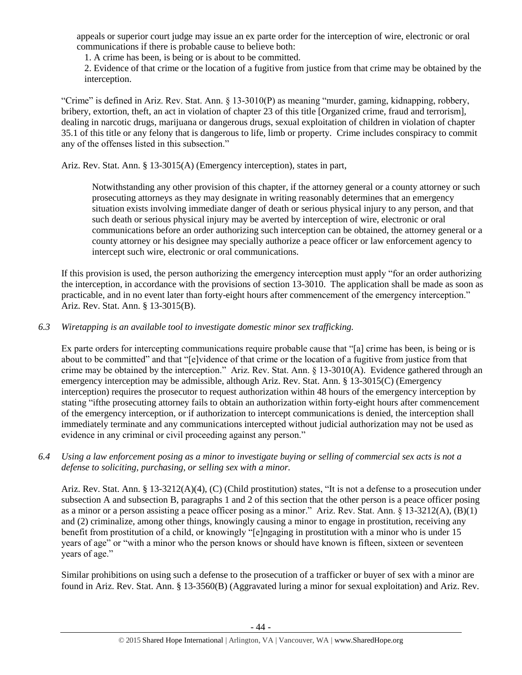appeals or superior court judge may issue an ex parte order for the interception of wire, electronic or oral communications if there is probable cause to believe both:

1. A crime has been, is being or is about to be committed.

2. Evidence of that crime or the location of a fugitive from justice from that crime may be obtained by the interception.

"Crime" is defined in Ariz. Rev. Stat. Ann. § 13-3010(P) as meaning "murder, gaming, kidnapping, robbery, bribery, extortion, theft, an act in violation of chapter 23 of this title [Organized crime, fraud and terrorism], dealing in narcotic drugs, marijuana or dangerous drugs, sexual exploitation of children in violation of chapter 35.1 of this title or any felony that is dangerous to life, limb or property. Crime includes conspiracy to commit any of the offenses listed in this subsection."

Ariz. Rev. Stat. Ann. § 13-3015(A) (Emergency interception), states in part,

Notwithstanding any other provision of this chapter, if the attorney general or a county attorney or such prosecuting attorneys as they may designate in writing reasonably determines that an emergency situation exists involving immediate danger of death or serious physical injury to any person, and that such death or serious physical injury may be averted by interception of wire, electronic or oral communications before an order authorizing such interception can be obtained, the attorney general or a county attorney or his designee may specially authorize a peace officer or law enforcement agency to intercept such wire, electronic or oral communications.

If this provision is used, the person authorizing the emergency interception must apply "for an order authorizing the interception, in accordance with the provisions of section 13-3010. The application shall be made as soon as practicable, and in no event later than forty-eight hours after commencement of the emergency interception." Ariz. Rev. Stat. Ann. § 13-3015(B).

# *6.3 Wiretapping is an available tool to investigate domestic minor sex trafficking.*

Ex parte orders for intercepting communications require probable cause that "[a] crime has been, is being or is about to be committed" and that "[e]vidence of that crime or the location of a fugitive from justice from that crime may be obtained by the interception." Ariz. Rev. Stat. Ann. § 13-3010(A). Evidence gathered through an emergency interception may be admissible, although Ariz. Rev. Stat. Ann. § 13-3015(C) (Emergency interception) requires the prosecutor to request authorization within 48 hours of the emergency interception by stating "ifthe prosecuting attorney fails to obtain an authorization within forty-eight hours after commencement of the emergency interception, or if authorization to intercept communications is denied, the interception shall immediately terminate and any communications intercepted without judicial authorization may not be used as evidence in any criminal or civil proceeding against any person."

*6.4 Using a law enforcement posing as a minor to investigate buying or selling of commercial sex acts is not a defense to soliciting, purchasing, or selling sex with a minor.*

Ariz. Rev. Stat. Ann. § 13-3212(A)(4), (C) (Child prostitution) states, "It is not a defense to a prosecution under subsection A and subsection B, paragraphs 1 and 2 of this section that the other person is a peace officer posing as a minor or a person assisting a peace officer posing as a minor." Ariz. Rev. Stat. Ann. § 13-3212(A), (B)(1) and (2) criminalize, among other things, knowingly causing a minor to engage in prostitution, receiving any benefit from prostitution of a child, or knowingly "[e]ngaging in prostitution with a minor who is under 15 years of age" or "with a minor who the person knows or should have known is fifteen, sixteen or seventeen years of age."

Similar prohibitions on using such a defense to the prosecution of a trafficker or buyer of sex with a minor are found in Ariz. Rev. Stat. Ann. § 13-3560(B) (Aggravated luring a minor for sexual exploitation) and Ariz. Rev.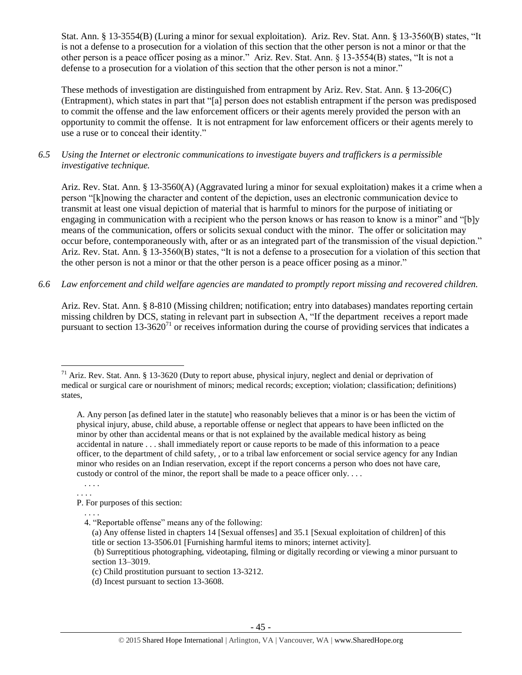Stat. Ann. § 13-3554(B) (Luring a minor for sexual exploitation). Ariz. Rev. Stat. Ann. § 13-3560(B) states, "It is not a defense to a prosecution for a violation of this section that the other person is not a minor or that the other person is a peace officer posing as a minor." Ariz. Rev. Stat. Ann. § 13-3554(B) states, "It is not a defense to a prosecution for a violation of this section that the other person is not a minor."

These methods of investigation are distinguished from entrapment by Ariz. Rev. Stat. Ann. § 13-206(C) (Entrapment), which states in part that "[a] person does not establish entrapment if the person was predisposed to commit the offense and the law enforcement officers or their agents merely provided the person with an opportunity to commit the offense. It is not entrapment for law enforcement officers or their agents merely to use a ruse or to conceal their identity."

*6.5 Using the Internet or electronic communications to investigate buyers and traffickers is a permissible investigative technique.*

Ariz. Rev. Stat. Ann. § 13-3560(A) (Aggravated luring a minor for sexual exploitation) makes it a crime when a person "[k]nowing the character and content of the depiction, uses an electronic communication device to transmit at least one visual depiction of material that is harmful to minors for the purpose of initiating or engaging in communication with a recipient who the person knows or has reason to know is a minor" and "[b]y means of the communication, offers or solicits sexual conduct with the minor. The offer or solicitation may occur before, contemporaneously with, after or as an integrated part of the transmission of the visual depiction." Ariz. Rev. Stat. Ann. § 13-3560(B) states, "It is not a defense to a prosecution for a violation of this section that the other person is not a minor or that the other person is a peace officer posing as a minor."

*6.6 Law enforcement and child welfare agencies are mandated to promptly report missing and recovered children.* 

Ariz. Rev. Stat. Ann. § 8-810 (Missing children; notification; entry into databases) mandates reporting certain missing children by DCS, stating in relevant part in subsection A, "If the department receives a report made pursuant to section  $13{\text -}3620^{71}$  or receives information during the course of providing services that indicates a

. . . . . . . .

 $\overline{a}$ 

. . . .

- 4. "Reportable offense" means any of the following:
	- (a) Any offense listed in chapters 14 [Sexual offenses] and 35.1 [Sexual exploitation of children] of this title or section 13-3506.01 [Furnishing harmful items to minors; internet activity].

<sup>&</sup>lt;sup>71</sup> Ariz. Rev. Stat. Ann. § 13-3620 (Duty to report abuse, physical injury, neglect and denial or deprivation of medical or surgical care or nourishment of minors; medical records; exception; violation; classification; definitions) states,

A. Any person [as defined later in the statute] who reasonably believes that a minor is or has been the victim of physical injury, abuse, child abuse, a reportable offense or neglect that appears to have been inflicted on the minor by other than accidental means or that is not explained by the available medical history as being accidental in nature . . . shall immediately report or cause reports to be made of this information to a peace officer, to the department of child safety, , or to a tribal law enforcement or social service agency for any Indian minor who resides on an Indian reservation, except if the report concerns a person who does not have care, custody or control of the minor, the report shall be made to a peace officer only....

P. For purposes of this section:

<sup>(</sup>b) Surreptitious photographing, videotaping, filming or digitally recording or viewing a minor pursuant to section 13–3019.

<sup>(</sup>c) Child prostitution pursuant to section 13-3212.

<sup>(</sup>d) Incest pursuant to section 13-3608.